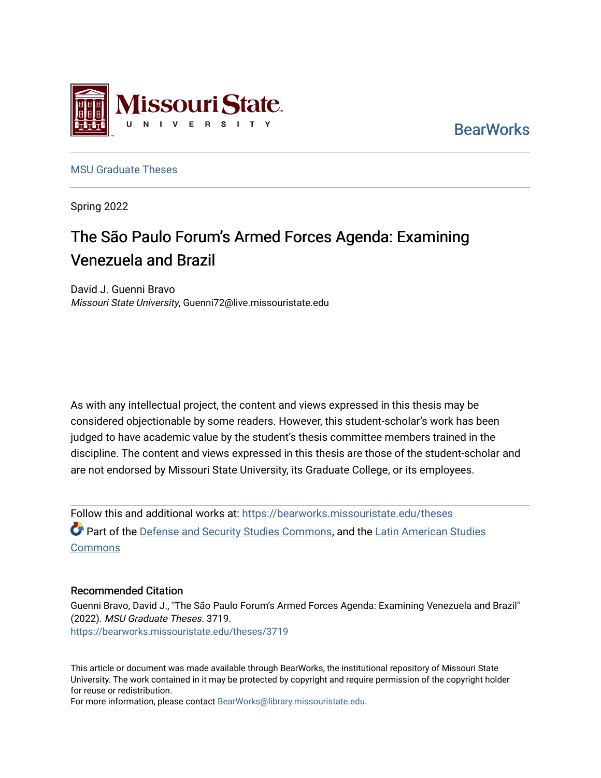

**BearWorks** 

[MSU Graduate Theses](https://bearworks.missouristate.edu/theses) 

Spring 2022

# The São Paulo Forum's Armed Forces Agenda: Examining Venezuela and Brazil

David J. Guenni Bravo Missouri State University, Guenni72@live.missouristate.edu

As with any intellectual project, the content and views expressed in this thesis may be considered objectionable by some readers. However, this student-scholar's work has been judged to have academic value by the student's thesis committee members trained in the discipline. The content and views expressed in this thesis are those of the student-scholar and are not endorsed by Missouri State University, its Graduate College, or its employees.

Follow this and additional works at: [https://bearworks.missouristate.edu/theses](https://bearworks.missouristate.edu/theses?utm_source=bearworks.missouristate.edu%2Ftheses%2F3719&utm_medium=PDF&utm_campaign=PDFCoverPages)  **Part of the [Defense and Security Studies Commons](http://network.bepress.com/hgg/discipline/394?utm_source=bearworks.missouristate.edu%2Ftheses%2F3719&utm_medium=PDF&utm_campaign=PDFCoverPages), and the [Latin American Studies](http://network.bepress.com/hgg/discipline/363?utm_source=bearworks.missouristate.edu%2Ftheses%2F3719&utm_medium=PDF&utm_campaign=PDFCoverPages) Commons** 

#### Recommended Citation

Guenni Bravo, David J., "The São Paulo Forum's Armed Forces Agenda: Examining Venezuela and Brazil" (2022). MSU Graduate Theses. 3719. [https://bearworks.missouristate.edu/theses/3719](https://bearworks.missouristate.edu/theses/3719?utm_source=bearworks.missouristate.edu%2Ftheses%2F3719&utm_medium=PDF&utm_campaign=PDFCoverPages) 

This article or document was made available through BearWorks, the institutional repository of Missouri State University. The work contained in it may be protected by copyright and require permission of the copyright holder for reuse or redistribution.

For more information, please contact [BearWorks@library.missouristate.edu.](mailto:BearWorks@library.missouristate.edu)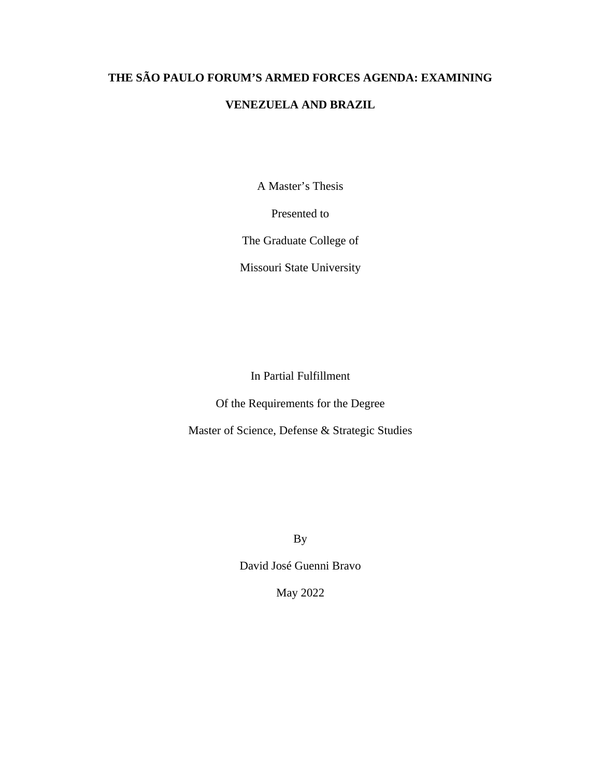# **THE SÃO PAULO FORUM'S ARMED FORCES AGENDA: EXAMINING**

# **VENEZUELA AND BRAZIL**

A Master's Thesis

Presented to

The Graduate College of

Missouri State University

In Partial Fulfillment

Of the Requirements for the Degree

Master of Science, Defense & Strategic Studies

By

David José Guenni Bravo

May 2022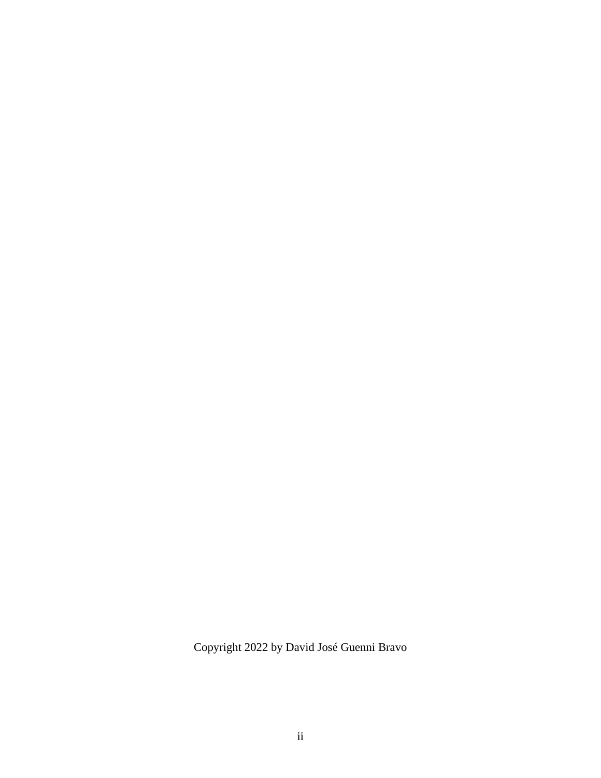Copyright 2022 by David José Guenni Bravo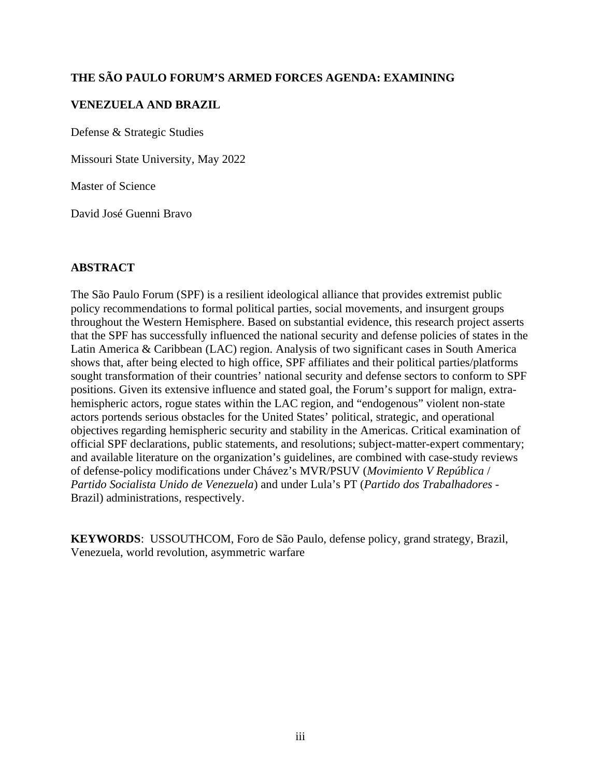# **THE SÃO PAULO FORUM'S ARMED FORCES AGENDA: EXAMINING**

# **VENEZUELA AND BRAZIL**

Defense & Strategic Studies

Missouri State University, May 2022

Master of Science

David José Guenni Bravo

## **ABSTRACT**

The São Paulo Forum (SPF) is a resilient ideological alliance that provides extremist public policy recommendations to formal political parties, social movements, and insurgent groups throughout the Western Hemisphere. Based on substantial evidence, this research project asserts that the SPF has successfully influenced the national security and defense policies of states in the Latin America & Caribbean (LAC) region. Analysis of two significant cases in South America shows that, after being elected to high office, SPF affiliates and their political parties/platforms sought transformation of their countries' national security and defense sectors to conform to SPF positions. Given its extensive influence and stated goal, the Forum's support for malign, extrahemispheric actors, rogue states within the LAC region, and "endogenous" violent non-state actors portends serious obstacles for the United States' political, strategic, and operational objectives regarding hemispheric security and stability in the Americas. Critical examination of official SPF declarations, public statements, and resolutions; subject-matter-expert commentary; and available literature on the organization's guidelines, are combined with case-study reviews of defense-policy modifications under Chávez's MVR/PSUV (*Movimiento V República* / *Partido Socialista Unido de Venezuela*) and under Lula's PT (*Partido dos Trabalhadores -*  Brazil) administrations, respectively.

**KEYWORDS**: USSOUTHCOM, Foro de São Paulo, defense policy, grand strategy, Brazil, Venezuela, world revolution, asymmetric warfare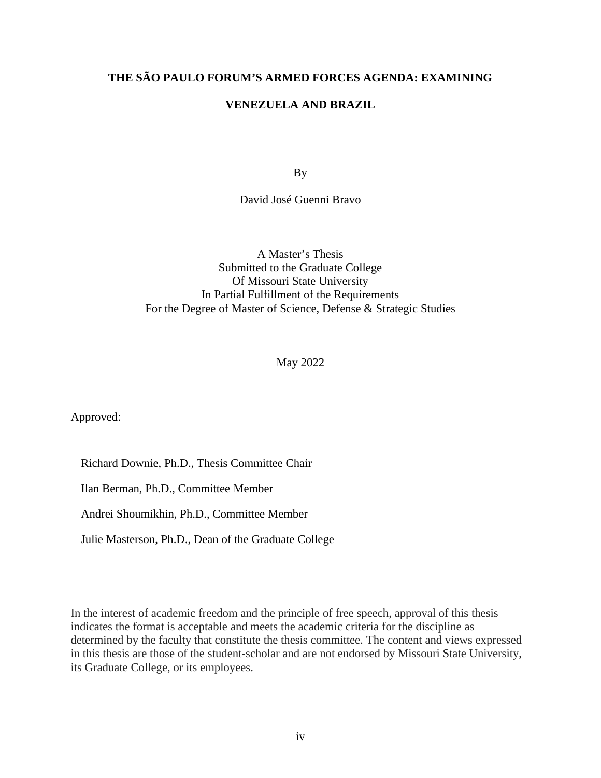# **THE SÃO PAULO FORUM'S ARMED FORCES AGENDA: EXAMINING**

## **VENEZUELA AND BRAZIL**

By

David José Guenni Bravo

A Master's Thesis Submitted to the Graduate College Of Missouri State University In Partial Fulfillment of the Requirements For the Degree of Master of Science, Defense & Strategic Studies

May 2022

Approved:

Richard Downie, Ph.D., Thesis Committee Chair

Ilan Berman, Ph.D., Committee Member

Andrei Shoumikhin, Ph.D., Committee Member

Julie Masterson, Ph.D., Dean of the Graduate College

In the interest of academic freedom and the principle of free speech, approval of this thesis indicates the format is acceptable and meets the academic criteria for the discipline as determined by the faculty that constitute the thesis committee. The content and views expressed in this thesis are those of the student-scholar and are not endorsed by Missouri State University, its Graduate College, or its employees.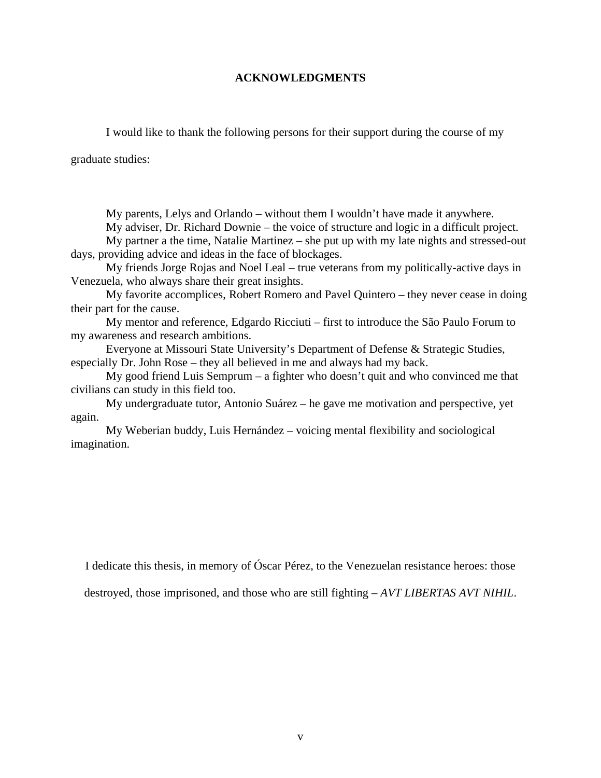#### **ACKNOWLEDGMENTS**

I would like to thank the following persons for their support during the course of my

graduate studies:

My parents, Lelys and Orlando – without them I wouldn't have made it anywhere.

My adviser, Dr. Richard Downie – the voice of structure and logic in a difficult project.

My partner a the time, Natalie Martinez – she put up with my late nights and stressed-out days, providing advice and ideas in the face of blockages.

My friends Jorge Rojas and Noel Leal – true veterans from my politically-active days in Venezuela, who always share their great insights.

My favorite accomplices, Robert Romero and Pavel Quintero – they never cease in doing their part for the cause.

My mentor and reference, Edgardo Ricciuti – first to introduce the São Paulo Forum to my awareness and research ambitions.

Everyone at Missouri State University's Department of Defense & Strategic Studies, especially Dr. John Rose – they all believed in me and always had my back.

My good friend Luis Semprum – a fighter who doesn't quit and who convinced me that civilians can study in this field too.

My undergraduate tutor, Antonio Suárez – he gave me motivation and perspective, yet again.

My Weberian buddy, Luis Hernández – voicing mental flexibility and sociological imagination.

I dedicate this thesis, in memory of Óscar Pérez, to the Venezuelan resistance heroes: those

destroyed, those imprisoned, and those who are still fighting – *AVT LIBERTAS AVT NIHIL*.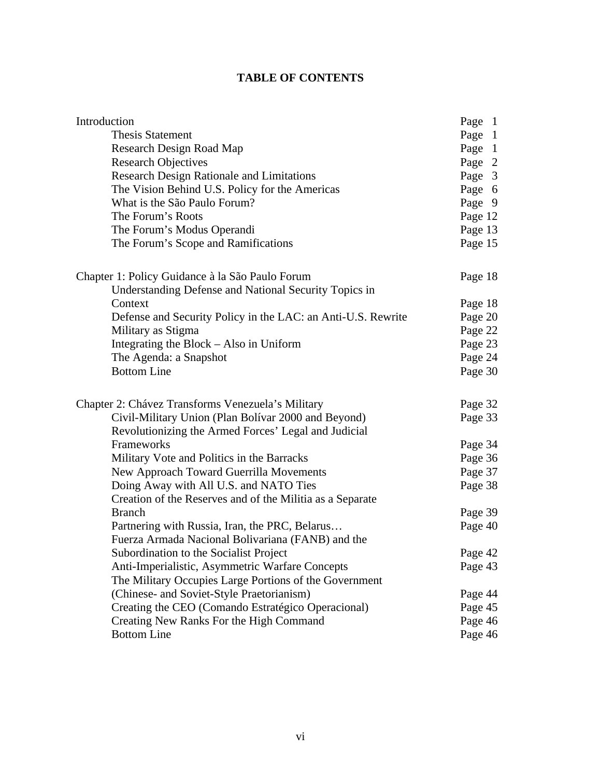# **TABLE OF CONTENTS**

| Introduction                                                 | Page 1  |
|--------------------------------------------------------------|---------|
| <b>Thesis Statement</b>                                      | Page 1  |
| Research Design Road Map                                     | Page 1  |
| <b>Research Objectives</b>                                   | Page 2  |
| Research Design Rationale and Limitations                    | Page 3  |
| The Vision Behind U.S. Policy for the Americas               | Page 6  |
| What is the São Paulo Forum?                                 | Page 9  |
| The Forum's Roots                                            | Page 12 |
| The Forum's Modus Operandi                                   | Page 13 |
| The Forum's Scope and Ramifications                          | Page 15 |
| Chapter 1: Policy Guidance à la São Paulo Forum              | Page 18 |
| Understanding Defense and National Security Topics in        |         |
| Context                                                      | Page 18 |
| Defense and Security Policy in the LAC: an Anti-U.S. Rewrite | Page 20 |
| Military as Stigma                                           | Page 22 |
| Integrating the Block - Also in Uniform                      | Page 23 |
| The Agenda: a Snapshot                                       | Page 24 |
| <b>Bottom Line</b>                                           | Page 30 |
| Chapter 2: Chávez Transforms Venezuela's Military            | Page 32 |
| Civil-Military Union (Plan Bolívar 2000 and Beyond)          | Page 33 |
| Revolutionizing the Armed Forces' Legal and Judicial         |         |
| Frameworks                                                   | Page 34 |
| Military Vote and Politics in the Barracks                   | Page 36 |
| New Approach Toward Guerrilla Movements                      | Page 37 |
| Doing Away with All U.S. and NATO Ties                       | Page 38 |
| Creation of the Reserves and of the Militia as a Separate    |         |
| <b>Branch</b>                                                | Page 39 |
| Partnering with Russia, Iran, the PRC, Belarus               | Page 40 |
| Fuerza Armada Nacional Bolivariana (FANB) and the            |         |
| Subordination to the Socialist Project                       | Page 42 |
| Anti-Imperialistic, Asymmetric Warfare Concepts              | Page 43 |
| The Military Occupies Large Portions of the Government       |         |
| (Chinese- and Soviet-Style Praetorianism)                    | Page 44 |
| Creating the CEO (Comando Estratégico Operacional)           | Page 45 |
| Creating New Ranks For the High Command                      | Page 46 |
| <b>Bottom Line</b>                                           | Page 46 |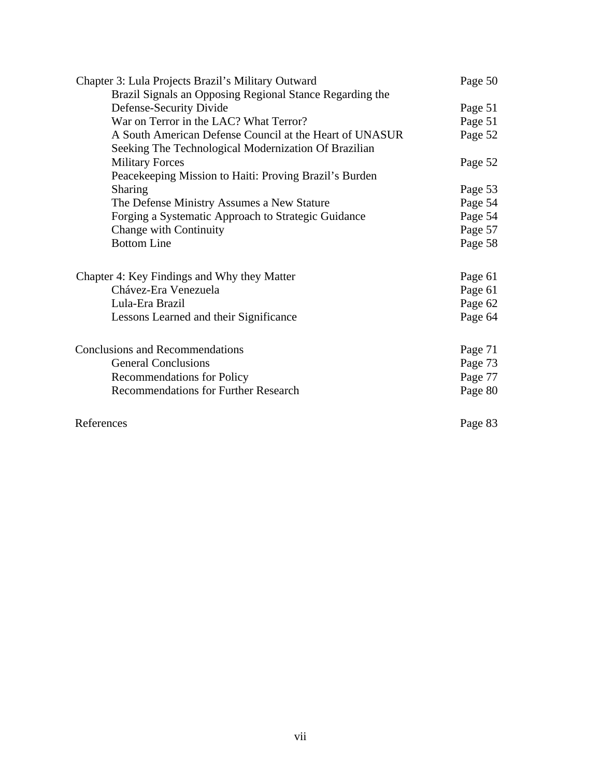| Chapter 3: Lula Projects Brazil's Military Outward       | Page 50 |
|----------------------------------------------------------|---------|
| Brazil Signals an Opposing Regional Stance Regarding the |         |
| Defense-Security Divide                                  | Page 51 |
| War on Terror in the LAC? What Terror?                   | Page 51 |
| A South American Defense Council at the Heart of UNASUR  | Page 52 |
| Seeking The Technological Modernization Of Brazilian     |         |
| <b>Military Forces</b>                                   | Page 52 |
| Peacekeeping Mission to Haiti: Proving Brazil's Burden   |         |
| <b>Sharing</b>                                           | Page 53 |
| The Defense Ministry Assumes a New Stature               | Page 54 |
| Forging a Systematic Approach to Strategic Guidance      | Page 54 |
| Change with Continuity                                   | Page 57 |
| <b>Bottom Line</b>                                       | Page 58 |
|                                                          |         |
| Chapter 4: Key Findings and Why they Matter              | Page 61 |
| Chávez-Era Venezuela                                     | Page 61 |
| Lula-Era Brazil                                          | Page 62 |
| Lessons Learned and their Significance                   | Page 64 |
|                                                          |         |
| <b>Conclusions and Recommendations</b>                   | Page 71 |
| <b>General Conclusions</b>                               | Page 73 |
| <b>Recommendations for Policy</b>                        | Page 77 |
| Recommendations for Further Research                     | Page 80 |
|                                                          |         |
|                                                          |         |
| References                                               | Page 83 |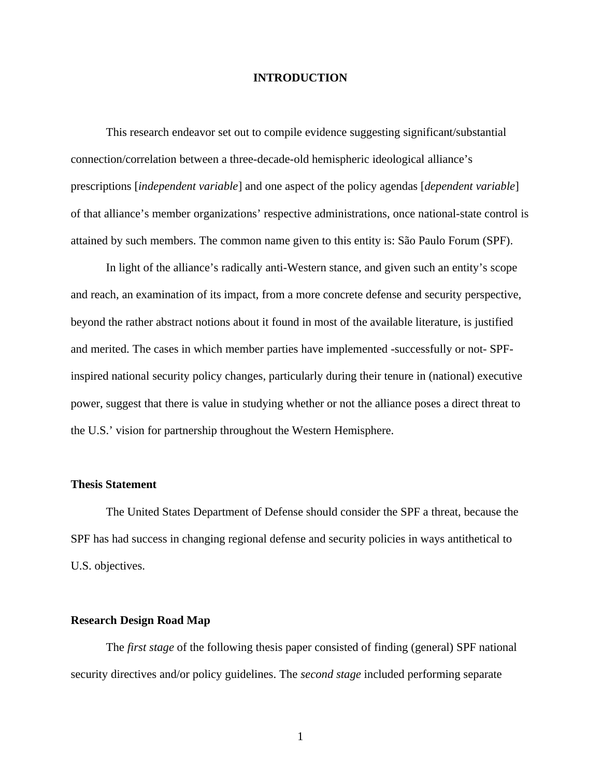#### **INTRODUCTION**

This research endeavor set out to compile evidence suggesting significant/substantial connection/correlation between a three-decade-old hemispheric ideological alliance's prescriptions [*independent variable*] and one aspect of the policy agendas [*dependent variable*] of that alliance's member organizations' respective administrations, once national-state control is attained by such members. The common name given to this entity is: São Paulo Forum (SPF).

In light of the alliance's radically anti-Western stance, and given such an entity's scope and reach, an examination of its impact, from a more concrete defense and security perspective, beyond the rather abstract notions about it found in most of the available literature, is justified and merited. The cases in which member parties have implemented -successfully or not- SPFinspired national security policy changes, particularly during their tenure in (national) executive power, suggest that there is value in studying whether or not the alliance poses a direct threat to the U.S.' vision for partnership throughout the Western Hemisphere.

#### **Thesis Statement**

The United States Department of Defense should consider the SPF a threat, because the SPF has had success in changing regional defense and security policies in ways antithetical to U.S. objectives.

#### **Research Design Road Map**

The *first stage* of the following thesis paper consisted of finding (general) SPF national security directives and/or policy guidelines. The *second stage* included performing separate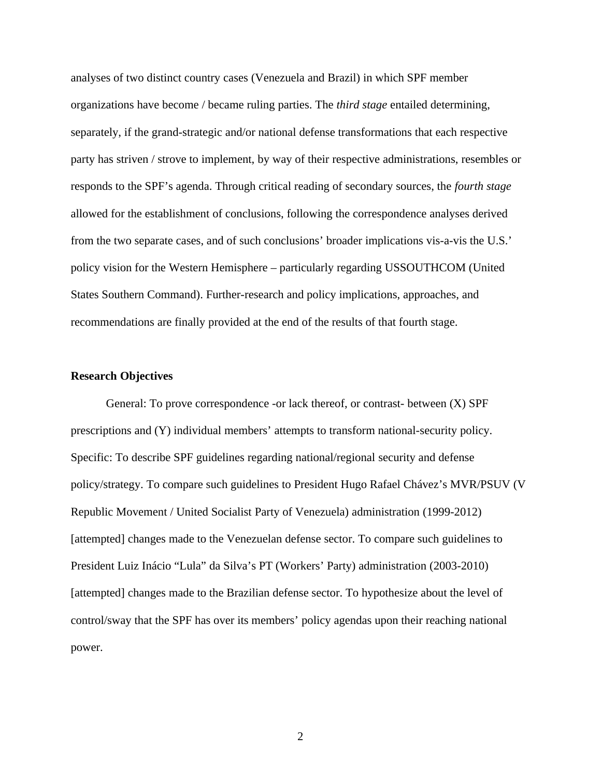analyses of two distinct country cases (Venezuela and Brazil) in which SPF member organizations have become / became ruling parties. The *third stage* entailed determining, separately, if the grand-strategic and/or national defense transformations that each respective party has striven / strove to implement, by way of their respective administrations, resembles or responds to the SPF's agenda. Through critical reading of secondary sources, the *fourth stage* allowed for the establishment of conclusions, following the correspondence analyses derived from the two separate cases, and of such conclusions' broader implications vis-a-vis the U.S.' policy vision for the Western Hemisphere – particularly regarding USSOUTHCOM (United States Southern Command). Further-research and policy implications, approaches, and recommendations are finally provided at the end of the results of that fourth stage.

#### **Research Objectives**

General: To prove correspondence -or lack thereof, or contrast- between (X) SPF prescriptions and (Y) individual members' attempts to transform national-security policy. Specific: To describe SPF guidelines regarding national/regional security and defense policy/strategy. To compare such guidelines to President Hugo Rafael Chávez's MVR/PSUV (V Republic Movement / United Socialist Party of Venezuela) administration (1999-2012) [attempted] changes made to the Venezuelan defense sector. To compare such guidelines to President Luiz Inácio "Lula" da Silva's PT (Workers' Party) administration (2003-2010) [attempted] changes made to the Brazilian defense sector. To hypothesize about the level of control/sway that the SPF has over its members' policy agendas upon their reaching national power.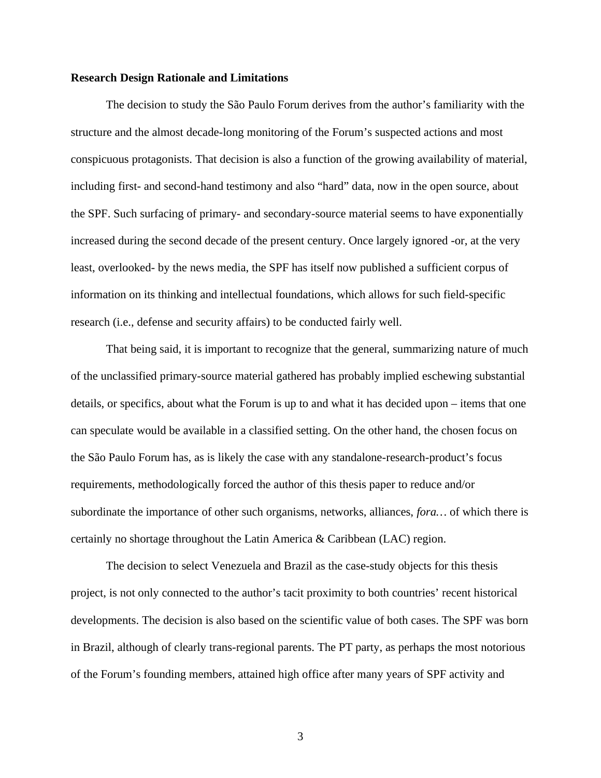#### **Research Design Rationale and Limitations**

The decision to study the São Paulo Forum derives from the author's familiarity with the structure and the almost decade-long monitoring of the Forum's suspected actions and most conspicuous protagonists. That decision is also a function of the growing availability of material, including first- and second-hand testimony and also "hard" data, now in the open source, about the SPF. Such surfacing of primary- and secondary-source material seems to have exponentially increased during the second decade of the present century. Once largely ignored -or, at the very least, overlooked- by the news media, the SPF has itself now published a sufficient corpus of information on its thinking and intellectual foundations, which allows for such field-specific research (i.e., defense and security affairs) to be conducted fairly well.

That being said, it is important to recognize that the general, summarizing nature of much of the unclassified primary-source material gathered has probably implied eschewing substantial details, or specifics, about what the Forum is up to and what it has decided upon – items that one can speculate would be available in a classified setting. On the other hand, the chosen focus on the São Paulo Forum has, as is likely the case with any standalone-research-product's focus requirements, methodologically forced the author of this thesis paper to reduce and/or subordinate the importance of other such organisms, networks, alliances, *fora…* of which there is certainly no shortage throughout the Latin America & Caribbean (LAC) region.

The decision to select Venezuela and Brazil as the case-study objects for this thesis project, is not only connected to the author's tacit proximity to both countries' recent historical developments. The decision is also based on the scientific value of both cases. The SPF was born in Brazil, although of clearly trans-regional parents. The PT party, as perhaps the most notorious of the Forum's founding members, attained high office after many years of SPF activity and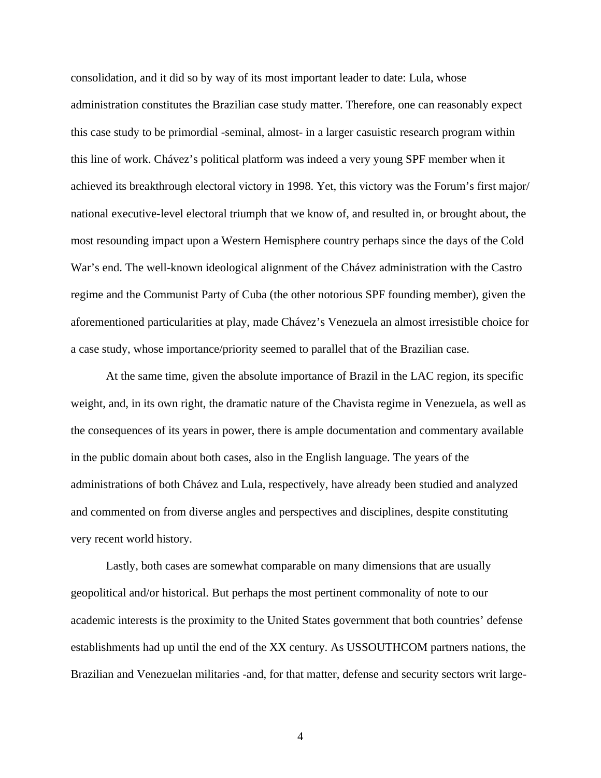consolidation, and it did so by way of its most important leader to date: Lula, whose administration constitutes the Brazilian case study matter. Therefore, one can reasonably expect this case study to be primordial -seminal, almost- in a larger casuistic research program within this line of work. Chávez's political platform was indeed a very young SPF member when it achieved its breakthrough electoral victory in 1998. Yet, this victory was the Forum's first major/ national executive-level electoral triumph that we know of, and resulted in, or brought about, the most resounding impact upon a Western Hemisphere country perhaps since the days of the Cold War's end. The well-known ideological alignment of the Chávez administration with the Castro regime and the Communist Party of Cuba (the other notorious SPF founding member), given the aforementioned particularities at play, made Chávez's Venezuela an almost irresistible choice for a case study, whose importance/priority seemed to parallel that of the Brazilian case.

At the same time, given the absolute importance of Brazil in the LAC region, its specific weight, and, in its own right, the dramatic nature of the Chavista regime in Venezuela, as well as the consequences of its years in power, there is ample documentation and commentary available in the public domain about both cases, also in the English language. The years of the administrations of both Chávez and Lula, respectively, have already been studied and analyzed and commented on from diverse angles and perspectives and disciplines, despite constituting very recent world history.

Lastly, both cases are somewhat comparable on many dimensions that are usually geopolitical and/or historical. But perhaps the most pertinent commonality of note to our academic interests is the proximity to the United States government that both countries' defense establishments had up until the end of the XX century. As USSOUTHCOM partners nations, the Brazilian and Venezuelan militaries -and, for that matter, defense and security sectors writ large-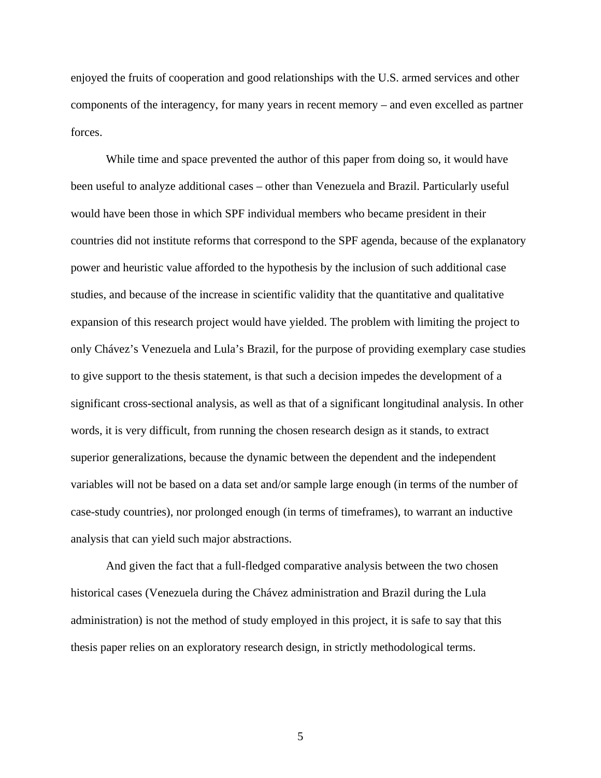enjoyed the fruits of cooperation and good relationships with the U.S. armed services and other components of the interagency, for many years in recent memory – and even excelled as partner forces.

While time and space prevented the author of this paper from doing so, it would have been useful to analyze additional cases – other than Venezuela and Brazil. Particularly useful would have been those in which SPF individual members who became president in their countries did not institute reforms that correspond to the SPF agenda, because of the explanatory power and heuristic value afforded to the hypothesis by the inclusion of such additional case studies, and because of the increase in scientific validity that the quantitative and qualitative expansion of this research project would have yielded. The problem with limiting the project to only Chávez's Venezuela and Lula's Brazil, for the purpose of providing exemplary case studies to give support to the thesis statement, is that such a decision impedes the development of a significant cross-sectional analysis, as well as that of a significant longitudinal analysis. In other words, it is very difficult, from running the chosen research design as it stands, to extract superior generalizations, because the dynamic between the dependent and the independent variables will not be based on a data set and/or sample large enough (in terms of the number of case-study countries), nor prolonged enough (in terms of timeframes), to warrant an inductive analysis that can yield such major abstractions.

And given the fact that a full-fledged comparative analysis between the two chosen historical cases (Venezuela during the Chávez administration and Brazil during the Lula administration) is not the method of study employed in this project, it is safe to say that this thesis paper relies on an exploratory research design, in strictly methodological terms.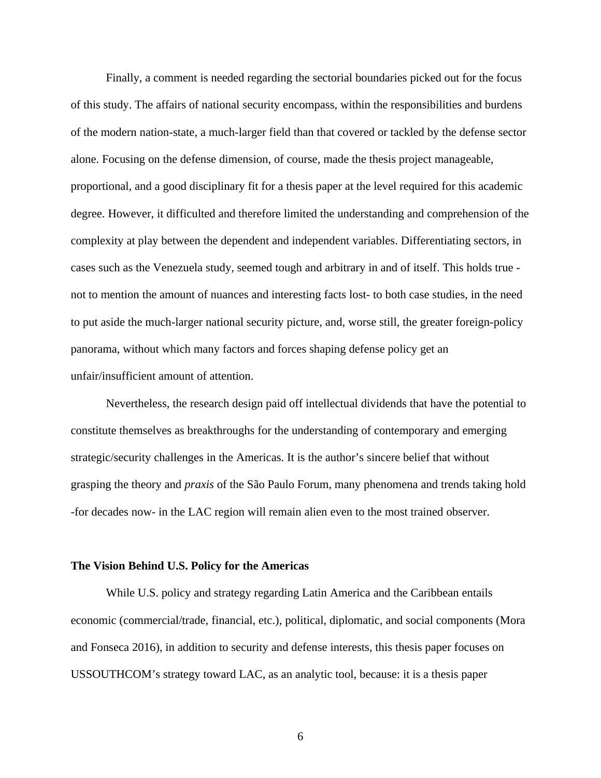Finally, a comment is needed regarding the sectorial boundaries picked out for the focus of this study. The affairs of national security encompass, within the responsibilities and burdens of the modern nation-state, a much-larger field than that covered or tackled by the defense sector alone. Focusing on the defense dimension, of course, made the thesis project manageable, proportional, and a good disciplinary fit for a thesis paper at the level required for this academic degree. However, it difficulted and therefore limited the understanding and comprehension of the complexity at play between the dependent and independent variables. Differentiating sectors, in cases such as the Venezuela study, seemed tough and arbitrary in and of itself. This holds true not to mention the amount of nuances and interesting facts lost- to both case studies, in the need to put aside the much-larger national security picture, and, worse still, the greater foreign-policy panorama, without which many factors and forces shaping defense policy get an unfair/insufficient amount of attention.

Nevertheless, the research design paid off intellectual dividends that have the potential to constitute themselves as breakthroughs for the understanding of contemporary and emerging strategic/security challenges in the Americas. It is the author's sincere belief that without grasping the theory and *praxis* of the São Paulo Forum, many phenomena and trends taking hold -for decades now- in the LAC region will remain alien even to the most trained observer.

#### **The Vision Behind U.S. Policy for the Americas**

While U.S. policy and strategy regarding Latin America and the Caribbean entails economic (commercial/trade, financial, etc.), political, diplomatic, and social components (Mora and Fonseca 2016), in addition to security and defense interests, this thesis paper focuses on USSOUTHCOM's strategy toward LAC, as an analytic tool, because: it is a thesis paper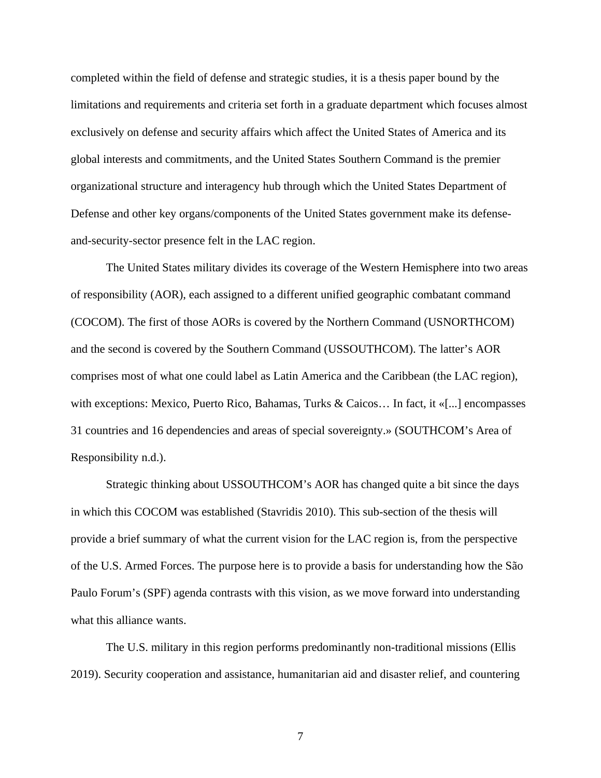completed within the field of defense and strategic studies, it is a thesis paper bound by the limitations and requirements and criteria set forth in a graduate department which focuses almost exclusively on defense and security affairs which affect the United States of America and its global interests and commitments, and the United States Southern Command is the premier organizational structure and interagency hub through which the United States Department of Defense and other key organs/components of the United States government make its defenseand-security-sector presence felt in the LAC region.

The United States military divides its coverage of the Western Hemisphere into two areas of responsibility (AOR), each assigned to a different unified geographic combatant command (COCOM). The first of those AORs is covered by the Northern Command (USNORTHCOM) and the second is covered by the Southern Command (USSOUTHCOM). The latter's AOR comprises most of what one could label as Latin America and the Caribbean (the LAC region), with exceptions: Mexico, Puerto Rico, Bahamas, Turks & Caicos… In fact, it «[...] encompasses 31 countries and 16 dependencies and areas of special sovereignty.» (SOUTHCOM's Area of Responsibility n.d.).

Strategic thinking about USSOUTHCOM's AOR has changed quite a bit since the days in which this COCOM was established (Stavridis 2010). This sub-section of the thesis will provide a brief summary of what the current vision for the LAC region is, from the perspective of the U.S. Armed Forces. The purpose here is to provide a basis for understanding how the São Paulo Forum's (SPF) agenda contrasts with this vision, as we move forward into understanding what this alliance wants.

The U.S. military in this region performs predominantly non-traditional missions (Ellis 2019). Security cooperation and assistance, humanitarian aid and disaster relief, and countering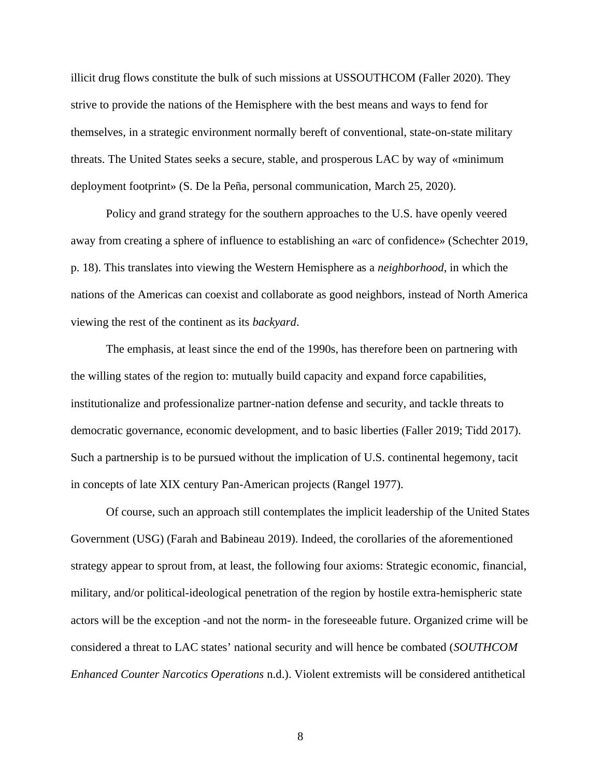illicit drug flows constitute the bulk of such missions at USSOUTHCOM (Faller 2020). They strive to provide the nations of the Hemisphere with the best means and ways to fend for themselves, in a strategic environment normally bereft of conventional, state-on-state military threats. The United States seeks a secure, stable, and prosperous LAC by way of «minimum deployment footprint» (S. De la Peña, personal communication, March 25, 2020).

Policy and grand strategy for the southern approaches to the U.S. have openly veered away from creating a sphere of influence to establishing an «arc of confidence» (Schechter 2019, p. 18). This translates into viewing the Western Hemisphere as a *neighborhood*, in which the nations of the Americas can coexist and collaborate as good neighbors, instead of North America viewing the rest of the continent as its *backyard*.

The emphasis, at least since the end of the 1990s, has therefore been on partnering with the willing states of the region to: mutually build capacity and expand force capabilities, institutionalize and professionalize partner-nation defense and security, and tackle threats to democratic governance, economic development, and to basic liberties (Faller 2019; Tidd 2017). Such a partnership is to be pursued without the implication of U.S. continental hegemony, tacit in concepts of late XIX century Pan-American projects (Rangel 1977).

Of course, such an approach still contemplates the implicit leadership of the United States Government (USG) (Farah and Babineau 2019). Indeed, the corollaries of the aforementioned strategy appear to sprout from, at least, the following four axioms: Strategic economic, financial, military, and/or political-ideological penetration of the region by hostile extra-hemispheric state actors will be the exception -and not the norm- in the foreseeable future. Organized crime will be considered a threat to LAC states' national security and will hence be combated (*SOUTHCOM Enhanced Counter Narcotics Operations* n.d.). Violent extremists will be considered antithetical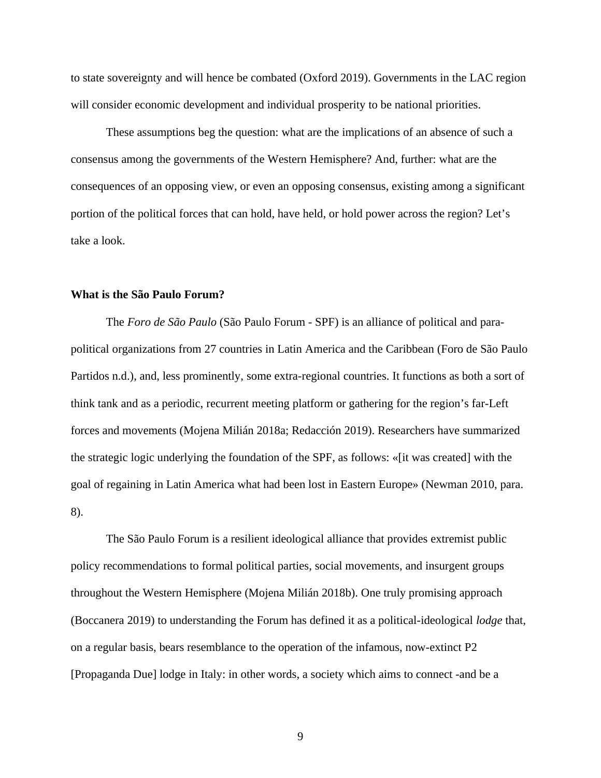to state sovereignty and will hence be combated (Oxford 2019). Governments in the LAC region will consider economic development and individual prosperity to be national priorities.

These assumptions beg the question: what are the implications of an absence of such a consensus among the governments of the Western Hemisphere? And, further: what are the consequences of an opposing view, or even an opposing consensus, existing among a significant portion of the political forces that can hold, have held, or hold power across the region? Let's take a look.

#### **What is the São Paulo Forum?**

The *Foro de São Paulo* (São Paulo Forum - SPF) is an alliance of political and parapolitical organizations from 27 countries in Latin America and the Caribbean (Foro de São Paulo Partidos n.d.), and, less prominently, some extra-regional countries. It functions as both a sort of think tank and as a periodic, recurrent meeting platform or gathering for the region's far-Left forces and movements (Mojena Milián 2018a; Redacción 2019). Researchers have summarized the strategic logic underlying the foundation of the SPF, as follows: «[it was created] with the goal of regaining in Latin America what had been lost in Eastern Europe» (Newman 2010, para. 8).

The São Paulo Forum is a resilient ideological alliance that provides extremist public policy recommendations to formal political parties, social movements, and insurgent groups throughout the Western Hemisphere (Mojena Milián 2018b). One truly promising approach (Boccanera 2019) to understanding the Forum has defined it as a political-ideological *lodge* that, on a regular basis, bears resemblance to the operation of the infamous, now-extinct P2 [Propaganda Due] lodge in Italy: in other words, a society which aims to connect -and be a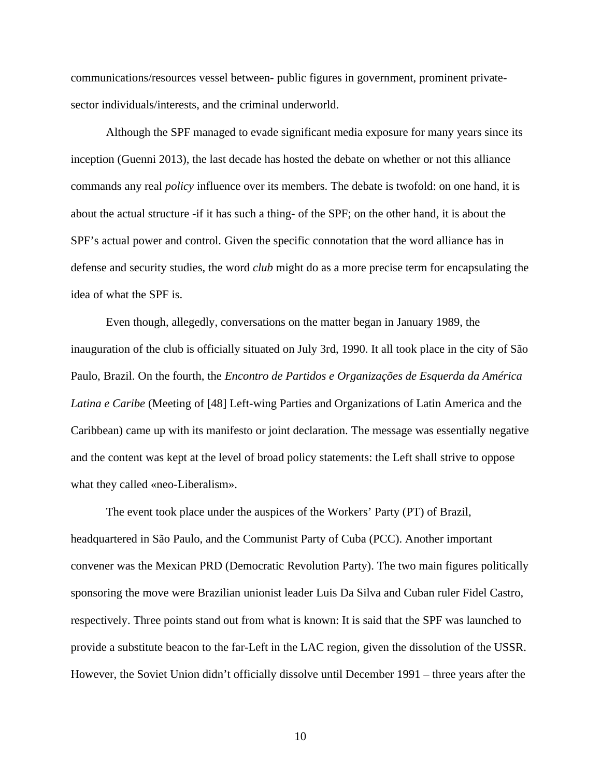communications/resources vessel between- public figures in government, prominent privatesector individuals/interests, and the criminal underworld.

Although the SPF managed to evade significant media exposure for many years since its inception (Guenni 2013), the last decade has hosted the debate on whether or not this alliance commands any real *policy* influence over its members. The debate is twofold: on one hand, it is about the actual structure -if it has such a thing- of the SPF; on the other hand, it is about the SPF's actual power and control. Given the specific connotation that the word alliance has in defense and security studies, the word *club* might do as a more precise term for encapsulating the idea of what the SPF is.

Even though, allegedly, conversations on the matter began in January 1989, the inauguration of the club is officially situated on July 3rd, 1990. It all took place in the city of São Paulo, Brazil. On the fourth, the *Encontro de Partidos e Organizações de Esquerda da América Latina e Caribe* (Meeting of [48] Left-wing Parties and Organizations of Latin America and the Caribbean) came up with its manifesto or joint declaration. The message was essentially negative and the content was kept at the level of broad policy statements: the Left shall strive to oppose what they called «neo-Liberalism».

The event took place under the auspices of the Workers' Party (PT) of Brazil, headquartered in São Paulo, and the Communist Party of Cuba (PCC). Another important convener was the Mexican PRD (Democratic Revolution Party). The two main figures politically sponsoring the move were Brazilian unionist leader Luis Da Silva and Cuban ruler Fidel Castro, respectively. Three points stand out from what is known: It is said that the SPF was launched to provide a substitute beacon to the far-Left in the LAC region, given the dissolution of the USSR. However, the Soviet Union didn't officially dissolve until December 1991 – three years after the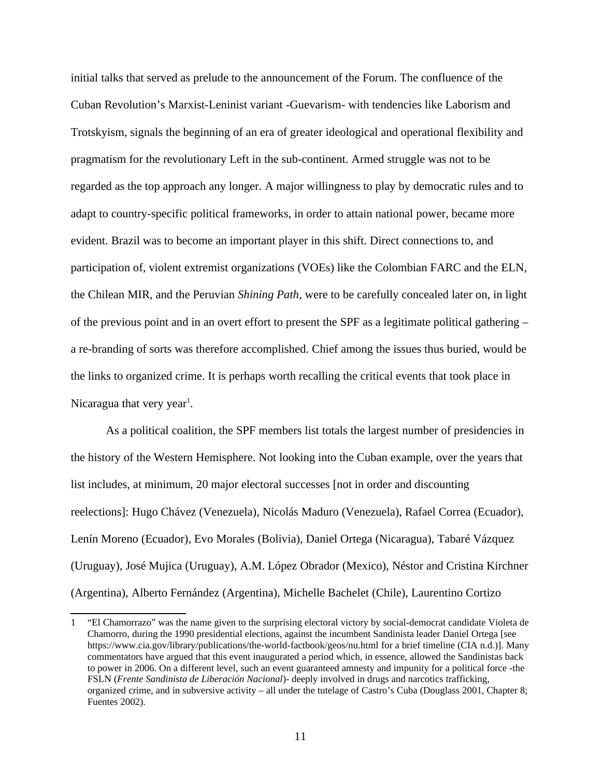initial talks that served as prelude to the announcement of the Forum. The confluence of the Cuban Revolution's Marxist-Leninist variant -Guevarism- with tendencies like Laborism and Trotskyism, signals the beginning of an era of greater ideological and operational flexibility and pragmatism for the revolutionary Left in the sub-continent. Armed struggle was not to be regarded as the top approach any longer. A major willingness to play by democratic rules and to adapt to country-specific political frameworks, in order to attain national power, became more evident. Brazil was to become an important player in this shift. Direct connections to, and participation of, violent extremist organizations (VOEs) like the Colombian FARC and the ELN, the Chilean MIR, and the Peruvian *Shining Path*, were to be carefully concealed later on, in light of the previous point and in an overt effort to present the SPF as a legitimate political gathering – a re-branding of sorts was therefore accomplished. Chief among the issues thus buried, would be the links to organized crime. It is perhaps worth recalling the critical events that took place in Nicaragua that very year<sup>[1](#page-18-0)</sup>.

As a political coalition, the SPF members list totals the largest number of presidencies in the history of the Western Hemisphere. Not looking into the Cuban example, over the years that list includes, at minimum, 20 major electoral successes [not in order and discounting reelections]: Hugo Chávez (Venezuela), Nicolás Maduro (Venezuela), Rafael Correa (Ecuador), Lenín Moreno (Ecuador), Evo Morales (Bolivia), Daniel Ortega (Nicaragua), Tabaré Vázquez (Uruguay), José Mujica (Uruguay), A.M. López Obrador (Mexico), Néstor and Cristina Kirchner (Argentina), Alberto Fernández (Argentina), Michelle Bachelet (Chile), Laurentino Cortizo

<span id="page-18-0"></span><sup>1</sup> "El Chamorrazo" was the name given to the surprising electoral victory by social-democrat candidate Violeta de Chamorro, during the 1990 presidential elections, against the incumbent Sandinista leader Daniel Ortega [see https://www.cia.gov/library/publications/the-world-factbook/geos/nu.html for a brief timeline (CIA n.d.)]. Many commentators have argued that this event inaugurated a period which, in essence, allowed the Sandinistas back to power in 2006. On a different level, such an event guaranteed amnesty and impunity for a political force -the FSLN (*Frente Sandinista de Liberación Nacional*)- deeply involved in drugs and narcotics trafficking, organized crime, and in subversive activity – all under the tutelage of Castro's Cuba (Douglass 2001, Chapter 8; Fuentes 2002).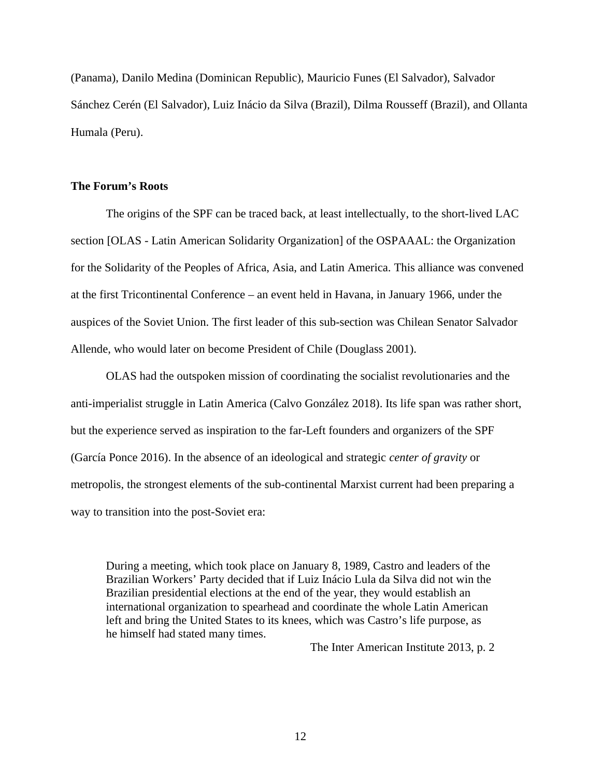(Panama), Danilo Medina (Dominican Republic), Mauricio Funes (El Salvador), Salvador Sánchez Cerén (El Salvador), Luiz Inácio da Silva (Brazil), Dilma Rousseff (Brazil), and Ollanta Humala (Peru).

#### **The Forum's Roots**

The origins of the SPF can be traced back, at least intellectually, to the short-lived LAC section [OLAS - Latin American Solidarity Organization] of the OSPAAAL: the Organization for the Solidarity of the Peoples of Africa, Asia, and Latin America. This alliance was convened at the first Tricontinental Conference – an event held in Havana, in January 1966, under the auspices of the Soviet Union. The first leader of this sub-section was Chilean Senator Salvador Allende, who would later on become President of Chile (Douglass 2001).

OLAS had the outspoken mission of coordinating the socialist revolutionaries and the anti-imperialist struggle in Latin America (Calvo González 2018). Its life span was rather short, but the experience served as inspiration to the far-Left founders and organizers of the SPF (García Ponce 2016). In the absence of an ideological and strategic *center of gravity* or metropolis, the strongest elements of the sub-continental Marxist current had been preparing a way to transition into the post-Soviet era:

During a meeting, which took place on January 8, 1989, Castro and leaders of the Brazilian Workers' Party decided that if Luiz Inácio Lula da Silva did not win the Brazilian presidential elections at the end of the year, they would establish an international organization to spearhead and coordinate the whole Latin American left and bring the United States to its knees, which was Castro's life purpose, as he himself had stated many times.

The Inter American Institute 2013, p. 2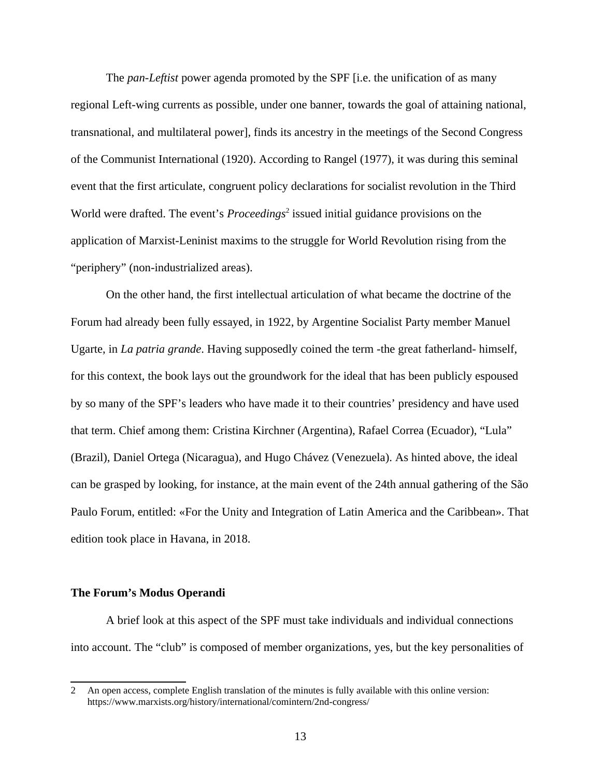The *pan-Leftist* power agenda promoted by the SPF [i.e. the unification of as many regional Left-wing currents as possible, under one banner, towards the goal of attaining national, transnational, and multilateral power], finds its ancestry in the meetings of the Second Congress of the Communist International (1920). According to Rangel (1977), it was during this seminal event that the first articulate, congruent policy declarations for socialist revolution in the Third World were drafted. The event's *Proceedings*<sup>[2](#page-20-0)</sup> issued initial guidance provisions on the application of Marxist-Leninist maxims to the struggle for World Revolution rising from the "periphery" (non-industrialized areas).

On the other hand, the first intellectual articulation of what became the doctrine of the Forum had already been fully essayed, in 1922, by Argentine Socialist Party member Manuel Ugarte, in *La patria grande*. Having supposedly coined the term -the great fatherland- himself, for this context, the book lays out the groundwork for the ideal that has been publicly espoused by so many of the SPF's leaders who have made it to their countries' presidency and have used that term. Chief among them: Cristina Kirchner (Argentina), Rafael Correa (Ecuador), "Lula" (Brazil), Daniel Ortega (Nicaragua), and Hugo Chávez (Venezuela). As hinted above, the ideal can be grasped by looking, for instance, at the main event of the 24th annual gathering of the São Paulo Forum, entitled: «For the Unity and Integration of Latin America and the Caribbean». That edition took place in Havana, in 2018.

#### **The Forum's Modus Operandi**

A brief look at this aspect of the SPF must take individuals and individual connections into account. The "club" is composed of member organizations, yes, but the key personalities of

<span id="page-20-0"></span><sup>2</sup> An open access, complete English translation of the minutes is fully available with this online version: https://www.marxists.org/history/international/comintern/2nd-congress/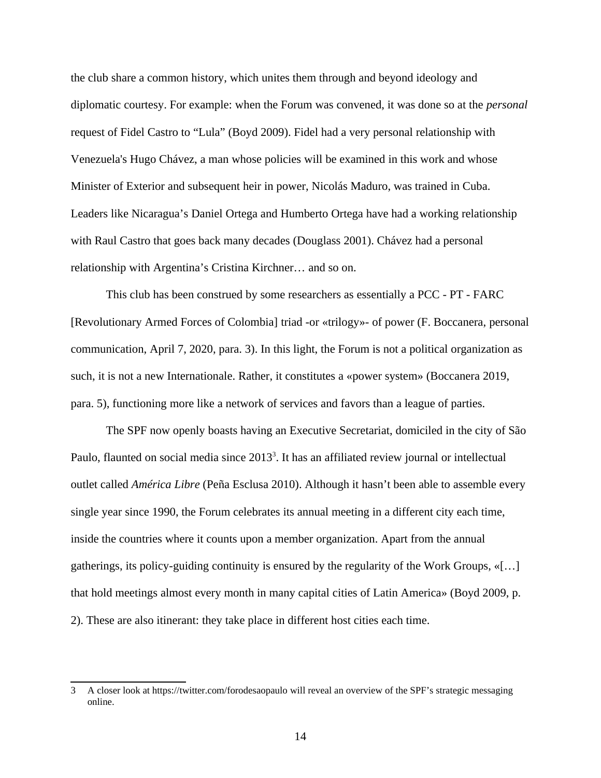the club share a common history, which unites them through and beyond ideology and diplomatic courtesy. For example: when the Forum was convened, it was done so at the *personal* request of Fidel Castro to "Lula" (Boyd 2009). Fidel had a very personal relationship with Venezuela's Hugo Chávez, a man whose policies will be examined in this work and whose Minister of Exterior and subsequent heir in power, Nicolás Maduro, was trained in Cuba. Leaders like Nicaragua's Daniel Ortega and Humberto Ortega have had a working relationship with Raul Castro that goes back many decades (Douglass 2001). Chávez had a personal relationship with Argentina's Cristina Kirchner… and so on.

This club has been construed by some researchers as essentially a PCC - PT - FARC [Revolutionary Armed Forces of Colombia] triad -or «trilogy»- of power (F. Boccanera, personal communication, April 7, 2020, para. 3). In this light, the Forum is not a political organization as such, it is not a new Internationale. Rather, it constitutes a «power system» (Boccanera 2019, para. 5), functioning more like a network of services and favors than a league of parties.

The SPF now openly boasts having an Executive Secretariat, domiciled in the city of São Paulo, flaunted on social media since 201[3](#page-21-0)<sup>3</sup>. It has an affiliated review journal or intellectual outlet called *América Libre* (Peña Esclusa 2010). Although it hasn't been able to assemble every single year since 1990, the Forum celebrates its annual meeting in a different city each time, inside the countries where it counts upon a member organization. Apart from the annual gatherings, its policy-guiding continuity is ensured by the regularity of the Work Groups,  $\langle \dots |$ that hold meetings almost every month in many capital cities of Latin America» (Boyd 2009, p. 2). These are also itinerant: they take place in different host cities each time.

<span id="page-21-0"></span><sup>3</sup> A closer look at https://twitter.com/forodesaopaulo will reveal an overview of the SPF's strategic messaging online.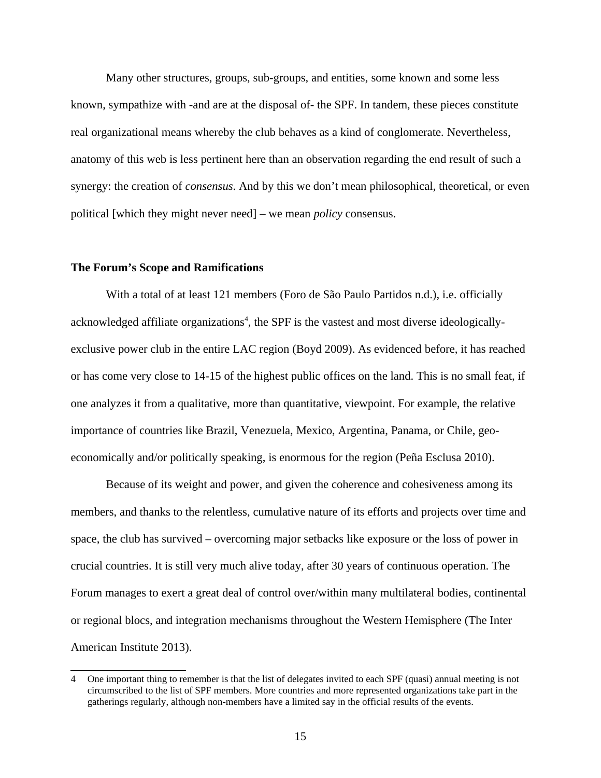Many other structures, groups, sub-groups, and entities, some known and some less known, sympathize with -and are at the disposal of- the SPF. In tandem, these pieces constitute real organizational means whereby the club behaves as a kind of conglomerate. Nevertheless, anatomy of this web is less pertinent here than an observation regarding the end result of such a synergy: the creation of *consensus*. And by this we don't mean philosophical, theoretical, or even political [which they might never need] – we mean *policy* consensus.

#### **The Forum's Scope and Ramifications**

With a total of at least 121 members (Foro de São Paulo Partidos n.d.), i.e. officially acknowledged affiliate organizations<sup>[4](#page-22-0)</sup>, the SPF is the vastest and most diverse ideologicallyexclusive power club in the entire LAC region (Boyd 2009). As evidenced before, it has reached or has come very close to 14-15 of the highest public offices on the land. This is no small feat, if one analyzes it from a qualitative, more than quantitative, viewpoint. For example, the relative importance of countries like Brazil, Venezuela, Mexico, Argentina, Panama, or Chile, geoeconomically and/or politically speaking, is enormous for the region (Peña Esclusa 2010).

Because of its weight and power, and given the coherence and cohesiveness among its members, and thanks to the relentless, cumulative nature of its efforts and projects over time and space, the club has survived – overcoming major setbacks like exposure or the loss of power in crucial countries. It is still very much alive today, after 30 years of continuous operation. The Forum manages to exert a great deal of control over/within many multilateral bodies, continental or regional blocs, and integration mechanisms throughout the Western Hemisphere (The Inter American Institute 2013).

<span id="page-22-0"></span><sup>4</sup> One important thing to remember is that the list of delegates invited to each SPF (quasi) annual meeting is not circumscribed to the list of SPF members. More countries and more represented organizations take part in the gatherings regularly, although non-members have a limited say in the official results of the events.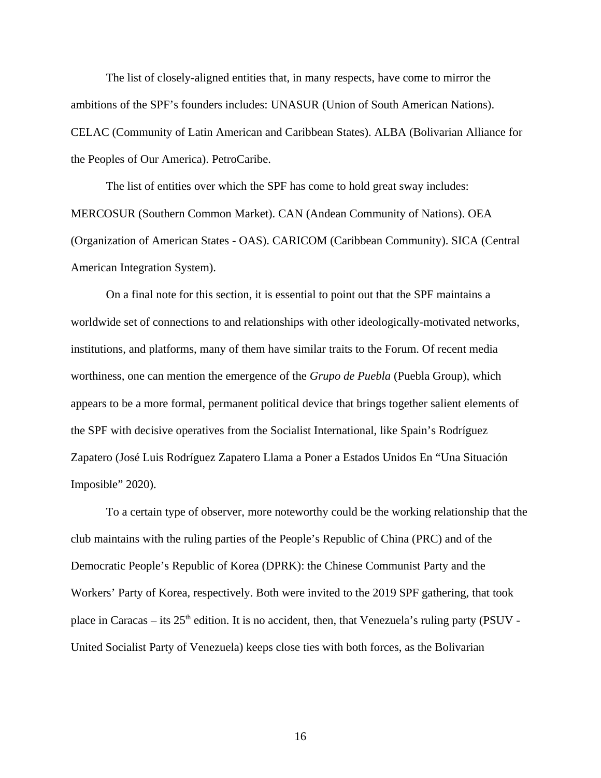The list of closely-aligned entities that, in many respects, have come to mirror the ambitions of the SPF's founders includes: UNASUR (Union of South American Nations). CELAC (Community of Latin American and Caribbean States). ALBA (Bolivarian Alliance for the Peoples of Our America). PetroCaribe.

The list of entities over which the SPF has come to hold great sway includes: MERCOSUR (Southern Common Market). CAN (Andean Community of Nations). OEA (Organization of American States - OAS). CARICOM (Caribbean Community). SICA (Central American Integration System).

On a final note for this section, it is essential to point out that the SPF maintains a worldwide set of connections to and relationships with other ideologically-motivated networks, institutions, and platforms, many of them have similar traits to the Forum. Of recent media worthiness, one can mention the emergence of the *Grupo de Puebla* (Puebla Group), which appears to be a more formal, permanent political device that brings together salient elements of the SPF with decisive operatives from the Socialist International, like Spain's Rodríguez Zapatero (José Luis Rodríguez Zapatero Llama a Poner a Estados Unidos En "Una Situación Imposible" 2020).

To a certain type of observer, more noteworthy could be the working relationship that the club maintains with the ruling parties of the People's Republic of China (PRC) and of the Democratic People's Republic of Korea (DPRK): the Chinese Communist Party and the Workers' Party of Korea, respectively. Both were invited to the 2019 SPF gathering, that took place in Caracas – its  $25<sup>th</sup>$  edition. It is no accident, then, that Venezuela's ruling party (PSUV -United Socialist Party of Venezuela) keeps close ties with both forces, as the Bolivarian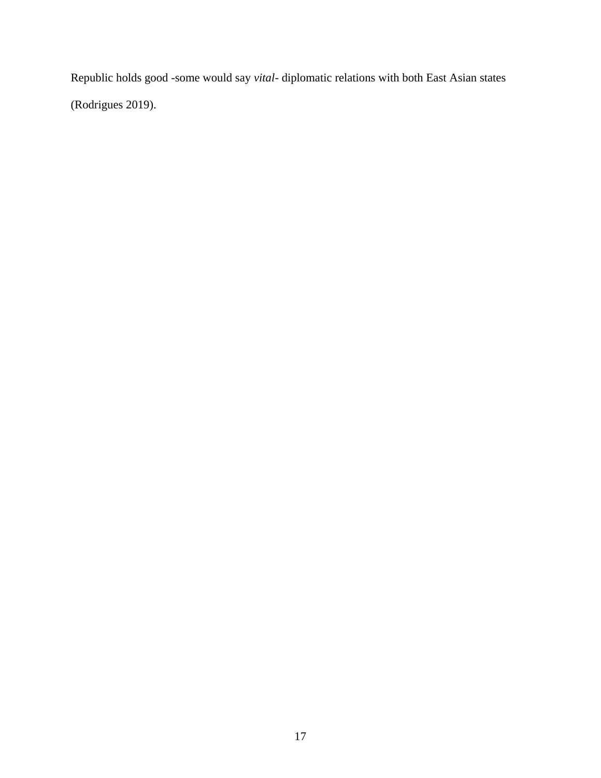Republic holds good -some would say *vital*- diplomatic relations with both East Asian states (Rodrigues 2019).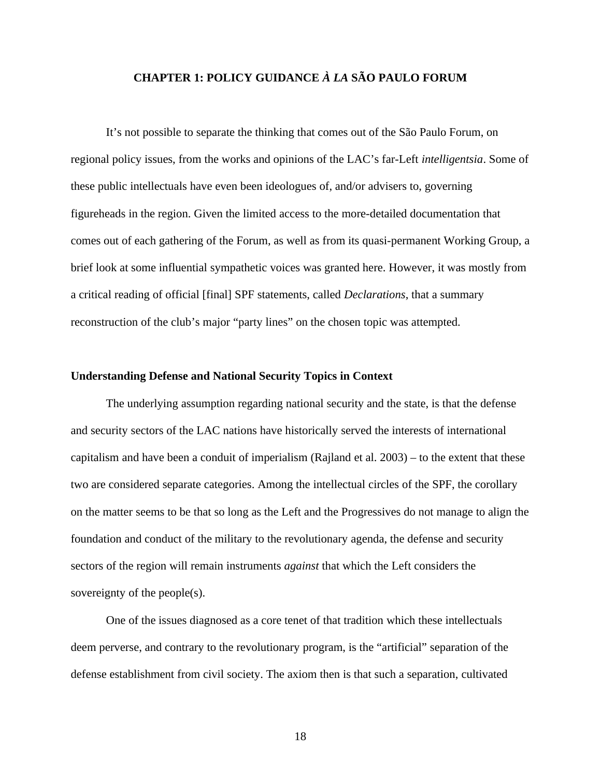#### **CHAPTER 1: POLICY GUIDANCE** *À LA* **SÃO PAULO FORUM**

It's not possible to separate the thinking that comes out of the São Paulo Forum, on regional policy issues, from the works and opinions of the LAC's far-Left *intelligentsia*. Some of these public intellectuals have even been ideologues of, and/or advisers to, governing figureheads in the region. Given the limited access to the more-detailed documentation that comes out of each gathering of the Forum, as well as from its quasi-permanent Working Group, a brief look at some influential sympathetic voices was granted here. However, it was mostly from a critical reading of official [final] SPF statements, called *Declarations*, that a summary reconstruction of the club's major "party lines" on the chosen topic was attempted.

#### **Understanding Defense and National Security Topics in Context**

The underlying assumption regarding national security and the state, is that the defense and security sectors of the LAC nations have historically served the interests of international capitalism and have been a conduit of imperialism (Rajland et al. 2003) – to the extent that these two are considered separate categories. Among the intellectual circles of the SPF, the corollary on the matter seems to be that so long as the Left and the Progressives do not manage to align the foundation and conduct of the military to the revolutionary agenda, the defense and security sectors of the region will remain instruments *against* that which the Left considers the sovereignty of the people(s).

One of the issues diagnosed as a core tenet of that tradition which these intellectuals deem perverse, and contrary to the revolutionary program, is the "artificial" separation of the defense establishment from civil society. The axiom then is that such a separation, cultivated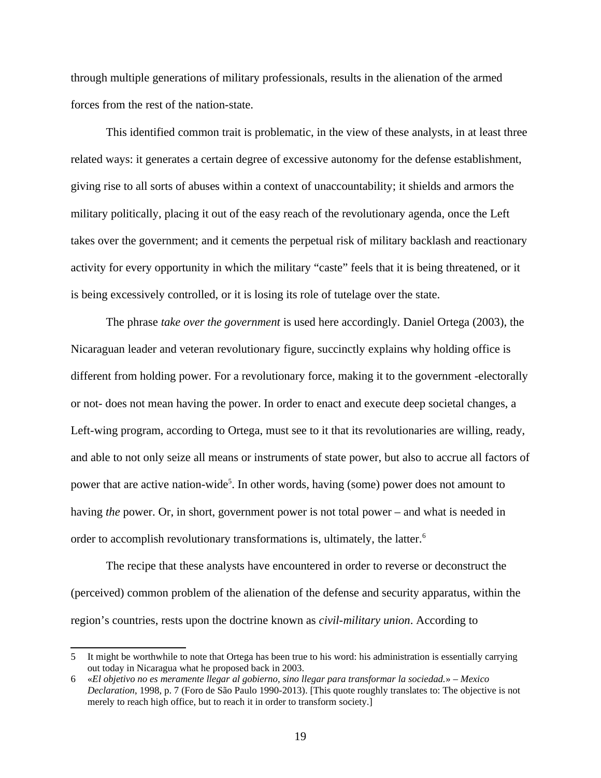through multiple generations of military professionals, results in the alienation of the armed forces from the rest of the nation-state.

This identified common trait is problematic, in the view of these analysts, in at least three related ways: it generates a certain degree of excessive autonomy for the defense establishment, giving rise to all sorts of abuses within a context of unaccountability; it shields and armors the military politically, placing it out of the easy reach of the revolutionary agenda, once the Left takes over the government; and it cements the perpetual risk of military backlash and reactionary activity for every opportunity in which the military "caste" feels that it is being threatened, or it is being excessively controlled, or it is losing its role of tutelage over the state.

The phrase *take over the government* is used here accordingly. Daniel Ortega (2003), the Nicaraguan leader and veteran revolutionary figure, succinctly explains why holding office is different from holding power. For a revolutionary force, making it to the government -electorally or not- does not mean having the power. In order to enact and execute deep societal changes, a Left-wing program, according to Ortega, must see to it that its revolutionaries are willing, ready, and able to not only seize all means or instruments of state power, but also to accrue all factors of power that are active nation-wide<sup>[5](#page-26-0)</sup>. In other words, having (some) power does not amount to having *the* power. Or, in short, government power is not total power – and what is needed in order to accomplish revolutionary transformations is, ultimately, the latter.<sup>[6](#page-26-1)</sup>

The recipe that these analysts have encountered in order to reverse or deconstruct the (perceived) common problem of the alienation of the defense and security apparatus, within the region's countries, rests upon the doctrine known as *civil-military union*. According to

<span id="page-26-0"></span><sup>5</sup> It might be worthwhile to note that Ortega has been true to his word: his administration is essentially carrying out today in Nicaragua what he proposed back in 2003.

<span id="page-26-1"></span><sup>6</sup> «*El objetivo no es meramente llegar al gobierno, sino llegar para transformar la sociedad.*» – *Mexico Declaration*, 1998, p. 7 (Foro de São Paulo 1990-2013). [This quote roughly translates to: The objective is not merely to reach high office, but to reach it in order to transform society.]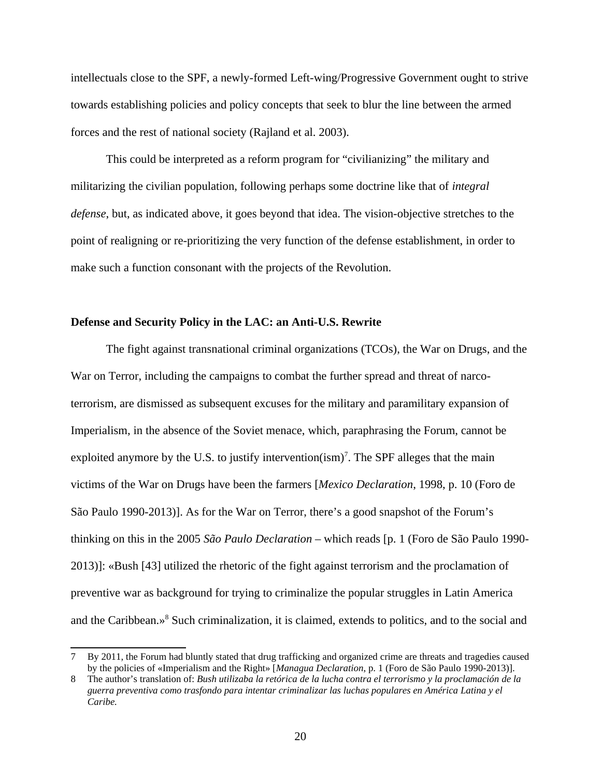intellectuals close to the SPF, a newly-formed Left-wing/Progressive Government ought to strive towards establishing policies and policy concepts that seek to blur the line between the armed forces and the rest of national society (Rajland et al. 2003).

This could be interpreted as a reform program for "civilianizing" the military and militarizing the civilian population, following perhaps some doctrine like that of *integral defense*, but, as indicated above, it goes beyond that idea. The vision-objective stretches to the point of realigning or re-prioritizing the very function of the defense establishment, in order to make such a function consonant with the projects of the Revolution.

#### **Defense and Security Policy in the LAC: an Anti-U.S. Rewrite**

The fight against transnational criminal organizations (TCOs), the War on Drugs, and the War on Terror, including the campaigns to combat the further spread and threat of narcoterrorism, are dismissed as subsequent excuses for the military and paramilitary expansion of Imperialism, in the absence of the Soviet menace, which, paraphrasing the Forum, cannot be exploited anymore by the U.S. to justify intervention $(\text{ism})^7$  $(\text{ism})^7$ . The SPF alleges that the main victims of the War on Drugs have been the farmers [*Mexico Declaration*, 1998, p. 10 (Foro de São Paulo 1990-2013)]. As for the War on Terror, there's a good snapshot of the Forum's thinking on this in the 2005 *São Paulo Declaration* – which reads [p. 1 (Foro de São Paulo 1990- 2013)]: «Bush [43] utilized the rhetoric of the fight against terrorism and the proclamation of preventive war as background for trying to criminalize the popular struggles in Latin America and the Caribbean.»<sup>[8](#page-27-1)</sup> Such criminalization, it is claimed, extends to politics, and to the social and

<span id="page-27-0"></span><sup>7</sup> By 2011, the Forum had bluntly stated that drug trafficking and organized crime are threats and tragedies caused by the policies of «Imperialism and the Right» [*Managua Declaration*, p. 1 (Foro de São Paulo 1990-2013)].

<span id="page-27-1"></span><sup>8</sup> The author's translation of: *Bush utilizaba la retórica de la lucha contra el terrorismo y la proclamación de la guerra preventiva como trasfondo para intentar criminalizar las luchas populares en América Latina y el Caribe.*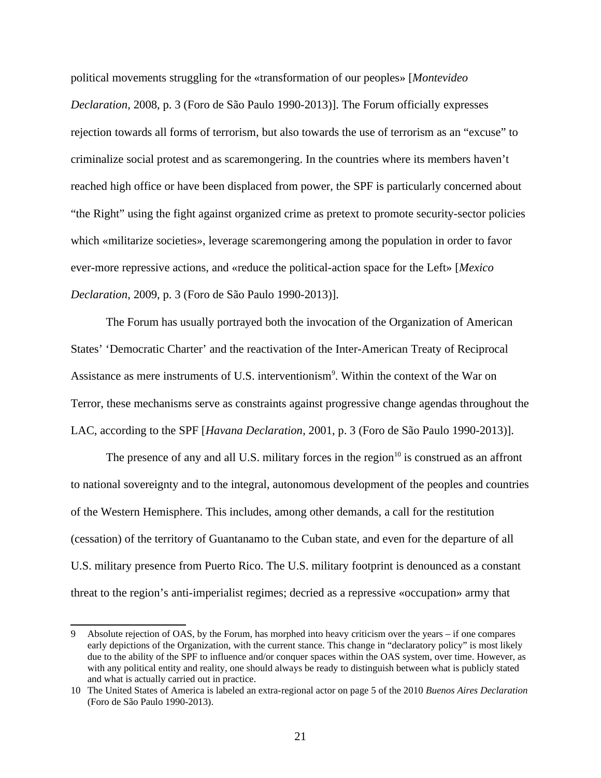political movements struggling for the «transformation of our peoples» [*Montevideo Declaration*, 2008, p. 3 (Foro de São Paulo 1990-2013)]. The Forum officially expresses rejection towards all forms of terrorism, but also towards the use of terrorism as an "excuse" to criminalize social protest and as scaremongering. In the countries where its members haven't reached high office or have been displaced from power, the SPF is particularly concerned about "the Right" using the fight against organized crime as pretext to promote security-sector policies which «militarize societies», leverage scaremongering among the population in order to favor ever-more repressive actions, and «reduce the political-action space for the Left» [*Mexico Declaration*, 2009, p. 3 (Foro de São Paulo 1990-2013)].

The Forum has usually portrayed both the invocation of the Organization of American States' 'Democratic Charter' and the reactivation of the Inter-American Treaty of Reciprocal Assistance as mere instruments of U.S. interventionism<sup>[9](#page-28-0)</sup>. Within the context of the War on Terror, these mechanisms serve as constraints against progressive change agendas throughout the LAC, according to the SPF [*Havana Declaration*, 2001, p. 3 (Foro de São Paulo 1990-2013)].

The presence of any and all U.S. military forces in the region $10$  is construed as an affront to national sovereignty and to the integral, autonomous development of the peoples and countries of the Western Hemisphere. This includes, among other demands, a call for the restitution (cessation) of the territory of Guantanamo to the Cuban state, and even for the departure of all U.S. military presence from Puerto Rico. The U.S. military footprint is denounced as a constant threat to the region's anti-imperialist regimes; decried as a repressive «occupation» army that

<span id="page-28-0"></span><sup>9</sup> Absolute rejection of OAS, by the Forum, has morphed into heavy criticism over the years – if one compares early depictions of the Organization, with the current stance. This change in "declaratory policy" is most likely due to the ability of the SPF to influence and/or conquer spaces within the OAS system, over time. However, as with any political entity and reality, one should always be ready to distinguish between what is publicly stated and what is actually carried out in practice.

<span id="page-28-1"></span><sup>10</sup> The United States of America is labeled an extra-regional actor on page 5 of the 2010 *Buenos Aires Declaration* (Foro de São Paulo 1990-2013).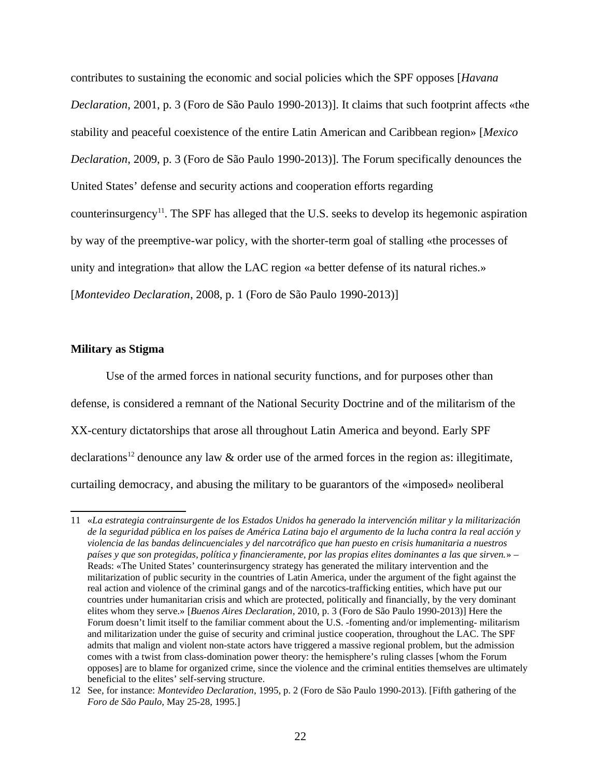contributes to sustaining the economic and social policies which the SPF opposes [*Havana Declaration*, 2001, p. 3 (Foro de São Paulo 1990-2013)]. It claims that such footprint affects «the stability and peaceful coexistence of the entire Latin American and Caribbean region» [*Mexico Declaration*, 2009, p. 3 (Foro de São Paulo 1990-2013)]. The Forum specifically denounces the United States' defense and security actions and cooperation efforts regarding counterinsurgency<sup>[11](#page-29-0)</sup>. The SPF has alleged that the U.S. seeks to develop its hegemonic aspiration by way of the preemptive-war policy, with the shorter-term goal of stalling «the processes of unity and integration» that allow the LAC region «a better defense of its natural riches.» [*Montevideo Declaration*, 2008, p. 1 (Foro de São Paulo 1990-2013)]

#### **Military as Stigma**

Use of the armed forces in national security functions, and for purposes other than defense, is considered a remnant of the National Security Doctrine and of the militarism of the XX-century dictatorships that arose all throughout Latin America and beyond. Early SPF declarations<sup>[12](#page-29-1)</sup> denounce any law  $\&$  order use of the armed forces in the region as: illegitimate, curtailing democracy, and abusing the military to be guarantors of the «imposed» neoliberal

<span id="page-29-0"></span><sup>11</sup> «*La estrategia contrainsurgente de los Estados Unidos ha generado la intervención militar y la militarización de la seguridad pública en los países de América Latina bajo el argumento de la lucha contra la real acción y violencia de las bandas delincuenciales y del narcotráfico que han puesto en crisis humanitaria a nuestros países y que son protegidas, política y financieramente, por las propias elites dominantes a las que sirven.*» – Reads: «The United States' counterinsurgency strategy has generated the military intervention and the militarization of public security in the countries of Latin America, under the argument of the fight against the real action and violence of the criminal gangs and of the narcotics-trafficking entities, which have put our countries under humanitarian crisis and which are protected, politically and financially, by the very dominant elites whom they serve.» [*Buenos Aires Declaration*, 2010, p. 3 (Foro de São Paulo 1990-2013)] Here the Forum doesn't limit itself to the familiar comment about the U.S. -fomenting and/or implementing- militarism and militarization under the guise of security and criminal justice cooperation, throughout the LAC. The SPF admits that malign and violent non-state actors have triggered a massive regional problem, but the admission comes with a twist from class-domination power theory: the hemisphere's ruling classes [whom the Forum opposes] are to blame for organized crime, since the violence and the criminal entities themselves are ultimately beneficial to the elites' self-serving structure.

<span id="page-29-1"></span><sup>12</sup> See, for instance: *Montevideo Declaration*, 1995, p. 2 (Foro de São Paulo 1990-2013). [Fifth gathering of the *Foro de São Paulo*, May 25-28, 1995.]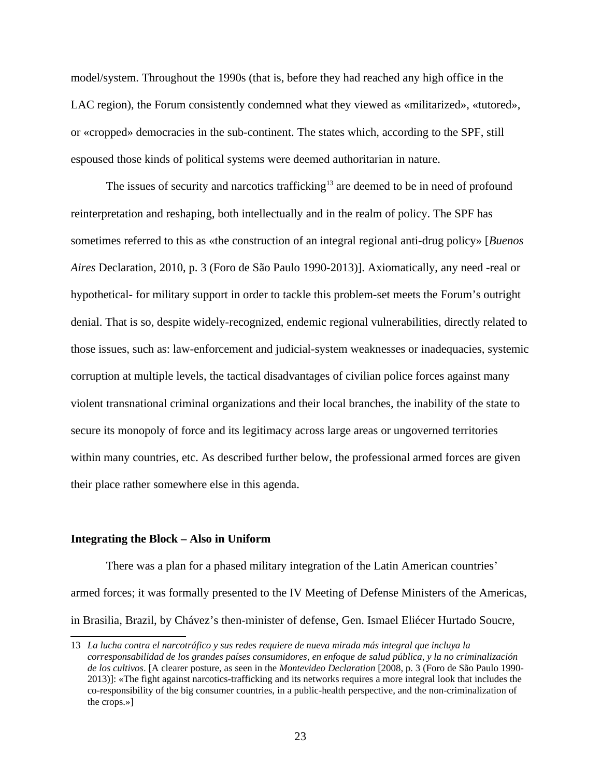model/system. Throughout the 1990s (that is, before they had reached any high office in the LAC region), the Forum consistently condemned what they viewed as «militarized», «tutored», or «cropped» democracies in the sub-continent. The states which, according to the SPF, still espoused those kinds of political systems were deemed authoritarian in nature.

The issues of security and narcotics trafficking $13$  are deemed to be in need of profound reinterpretation and reshaping, both intellectually and in the realm of policy. The SPF has sometimes referred to this as «the construction of an integral regional anti-drug policy» [*Buenos Aires* Declaration, 2010, p. 3 (Foro de São Paulo 1990-2013)]. Axiomatically, any need -real or hypothetical- for military support in order to tackle this problem-set meets the Forum's outright denial. That is so, despite widely-recognized, endemic regional vulnerabilities, directly related to those issues, such as: law-enforcement and judicial-system weaknesses or inadequacies, systemic corruption at multiple levels, the tactical disadvantages of civilian police forces against many violent transnational criminal organizations and their local branches, the inability of the state to secure its monopoly of force and its legitimacy across large areas or ungoverned territories within many countries, etc. As described further below, the professional armed forces are given their place rather somewhere else in this agenda.

#### **Integrating the Block – Also in Uniform**

There was a plan for a phased military integration of the Latin American countries' armed forces; it was formally presented to the IV Meeting of Defense Ministers of the Americas, in Brasilia, Brazil, by Chávez's then-minister of defense, Gen. Ismael Eliécer Hurtado Soucre,

<span id="page-30-0"></span><sup>13</sup> *La lucha contra el narcotráfico y sus redes requiere de nueva mirada más integral que incluya la corresponsabilidad de los grandes países consumidores, en enfoque de salud pública, y la no criminalización de los cultivos*. [A clearer posture, as seen in the *Montevideo Declaration* [2008, p. 3 (Foro de São Paulo 1990- 2013)]: «The fight against narcotics-trafficking and its networks requires a more integral look that includes the co-responsibility of the big consumer countries, in a public-health perspective, and the non-criminalization of the crops.»]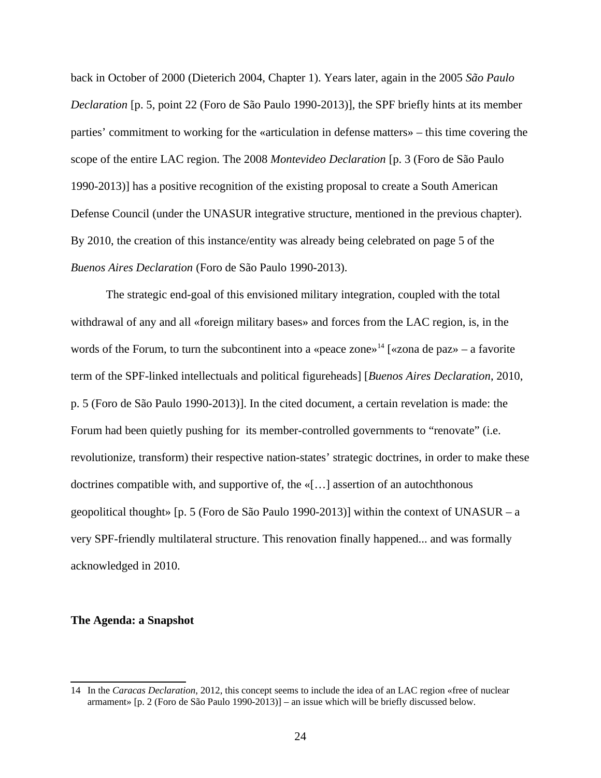back in October of 2000 (Dieterich 2004, Chapter 1). Years later, again in the 2005 *São Paulo Declaration* [p. 5, point 22 (Foro de São Paulo 1990-2013)], the SPF briefly hints at its member parties' commitment to working for the «articulation in defense matters» – this time covering the scope of the entire LAC region. The 2008 *Montevideo Declaration* [p. 3 (Foro de São Paulo 1990-2013)] has a positive recognition of the existing proposal to create a South American Defense Council (under the UNASUR integrative structure, mentioned in the previous chapter). By 2010, the creation of this instance/entity was already being celebrated on page 5 of the *Buenos Aires Declaration* (Foro de São Paulo 1990-2013).

The strategic end-goal of this envisioned military integration, coupled with the total withdrawal of any and all «foreign military bases» and forces from the LAC region, is, in the words of the Forum, to turn the subcontinent into a «peace zone»<sup>[14](#page-31-0)</sup> [«zona de paz» – a favorite term of the SPF-linked intellectuals and political figureheads] [*Buenos Aires Declaration*, 2010, p. 5 (Foro de São Paulo 1990-2013)]. In the cited document, a certain revelation is made: the Forum had been quietly pushing for its member-controlled governments to "renovate" (i.e. revolutionize, transform) their respective nation-states' strategic doctrines, in order to make these doctrines compatible with, and supportive of, the «[…] assertion of an autochthonous geopolitical thought» [p. 5 (Foro de São Paulo 1990-2013)] within the context of UNASUR – a very SPF-friendly multilateral structure. This renovation finally happened... and was formally acknowledged in 2010.

#### **The Agenda: a Snapshot**

<span id="page-31-0"></span><sup>14</sup> In the *Caracas Declaration*, 2012, this concept seems to include the idea of an LAC region «free of nuclear armament» [p. 2 (Foro de São Paulo 1990-2013)] – an issue which will be briefly discussed below.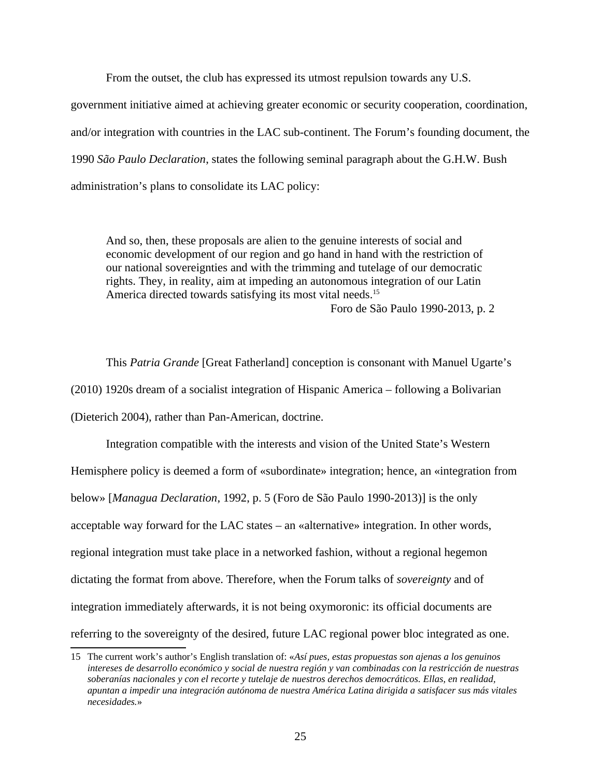From the outset, the club has expressed its utmost repulsion towards any U.S.

government initiative aimed at achieving greater economic or security cooperation, coordination, and/or integration with countries in the LAC sub-continent. The Forum's founding document, the 1990 *São Paulo Declaration*, states the following seminal paragraph about the G.H.W. Bush administration's plans to consolidate its LAC policy:

And so, then, these proposals are alien to the genuine interests of social and economic development of our region and go hand in hand with the restriction of our national sovereignties and with the trimming and tutelage of our democratic rights. They, in reality, aim at impeding an autonomous integration of our Latin America directed towards satisfying its most vital needs.<sup>[15](#page-32-0)</sup> Foro de São Paulo 1990-2013, p. 2

This *Patria Grande* [Great Fatherland] conception is consonant with Manuel Ugarte's (2010) 1920s dream of a socialist integration of Hispanic America – following a Bolivarian (Dieterich 2004), rather than Pan-American, doctrine.

Integration compatible with the interests and vision of the United State's Western Hemisphere policy is deemed a form of «subordinate» integration; hence, an «integration from below» [*Managua Declaration*, 1992, p. 5 (Foro de São Paulo 1990-2013)] is the only acceptable way forward for the LAC states – an «alternative» integration. In other words, regional integration must take place in a networked fashion, without a regional hegemon dictating the format from above. Therefore, when the Forum talks of *sovereignty* and of integration immediately afterwards, it is not being oxymoronic: its official documents are referring to the sovereignty of the desired, future LAC regional power bloc integrated as one.

<span id="page-32-0"></span><sup>15</sup> The current work's author's English translation of: «*Así pues, estas propuestas son ajenas a los genuinos intereses de desarrollo económico y social de nuestra región y van combinadas con la restricción de nuestras soberanías nacionales y con el recorte y tutelaje de nuestros derechos democráticos. Ellas, en realidad, apuntan a impedir una integración autónoma de nuestra América Latina dirigida a satisfacer sus más vitales necesidades.*»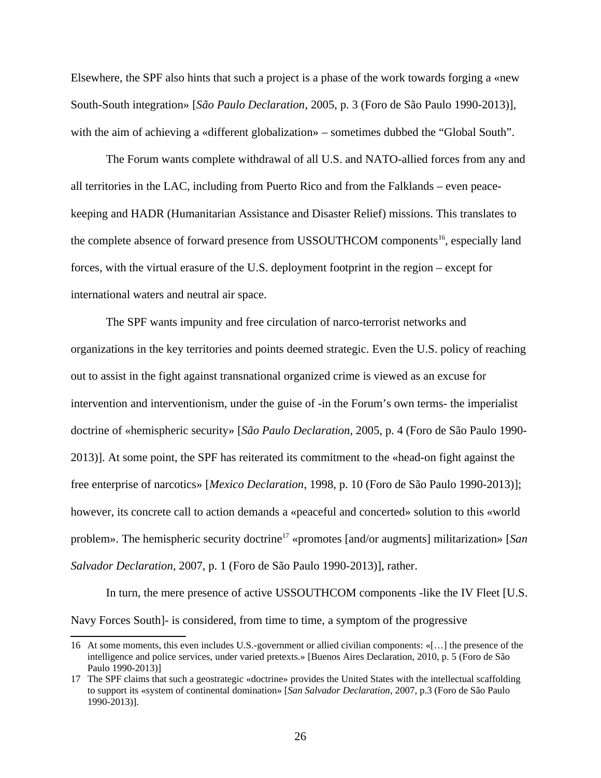Elsewhere, the SPF also hints that such a project is a phase of the work towards forging a «new South-South integration» [*São Paulo Declaration*, 2005, p. 3 (Foro de São Paulo 1990-2013)], with the aim of achieving a «different globalization» – sometimes dubbed the "Global South".

The Forum wants complete withdrawal of all U.S. and NATO-allied forces from any and all territories in the LAC, including from Puerto Rico and from the Falklands – even peacekeeping and HADR (Humanitarian Assistance and Disaster Relief) missions. This translates to the complete absence of forward presence from USSOUTHCOM components<sup>[16](#page-33-0)</sup>, especially land forces, with the virtual erasure of the U.S. deployment footprint in the region – except for international waters and neutral air space.

The SPF wants impunity and free circulation of narco-terrorist networks and organizations in the key territories and points deemed strategic. Even the U.S. policy of reaching out to assist in the fight against transnational organized crime is viewed as an excuse for intervention and interventionism, under the guise of -in the Forum's own terms- the imperialist doctrine of «hemispheric security» [*São Paulo Declaration*, 2005, p. 4 (Foro de São Paulo 1990- 2013)]. At some point, the SPF has reiterated its commitment to the «head-on fight against the free enterprise of narcotics» [*Mexico Declaration*, 1998, p. 10 (Foro de São Paulo 1990-2013)]; however, its concrete call to action demands a «peaceful and concerted» solution to this «world problem». The hemispheric security doctrine<sup>[17](#page-33-1)</sup> «promotes [and/or augments] militarization» [San *Salvador Declaration*, 2007, p. 1 (Foro de São Paulo 1990-2013)], rather.

In turn, the mere presence of active USSOUTHCOM components -like the IV Fleet [U.S. Navy Forces South]- is considered, from time to time, a symptom of the progressive

<span id="page-33-0"></span><sup>16</sup> At some moments, this even includes U.S.-government or allied civilian components: «[…] the presence of the intelligence and police services, under varied pretexts.» [Buenos Aires Declaration, 2010, p. 5 (Foro de São Paulo 1990-2013)]

<span id="page-33-1"></span><sup>17</sup> The SPF claims that such a geostrategic «doctrine» provides the United States with the intellectual scaffolding to support its «system of continental domination» [*San Salvador Declaration*, 2007, p.3 (Foro de São Paulo 1990-2013)].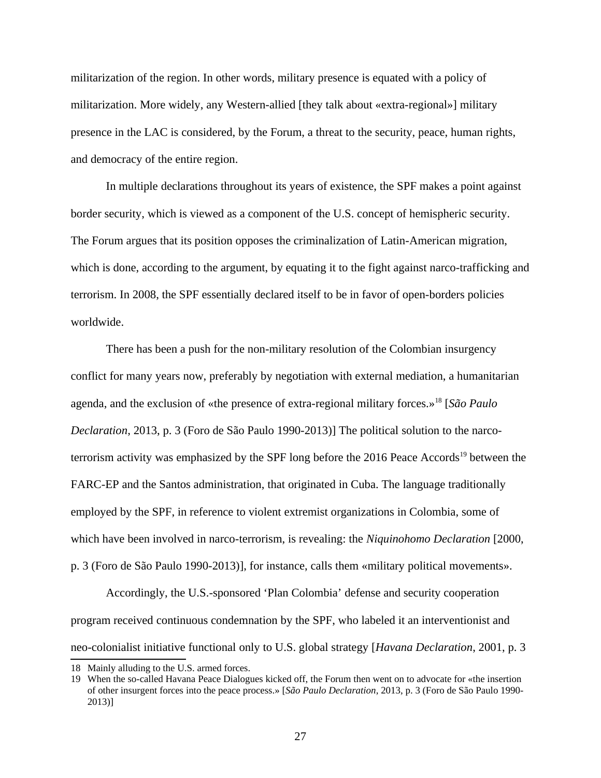militarization of the region. In other words, military presence is equated with a policy of militarization. More widely, any Western-allied [they talk about «extra-regional»] military presence in the LAC is considered, by the Forum, a threat to the security, peace, human rights, and democracy of the entire region.

In multiple declarations throughout its years of existence, the SPF makes a point against border security, which is viewed as a component of the U.S. concept of hemispheric security. The Forum argues that its position opposes the criminalization of Latin-American migration, which is done, according to the argument, by equating it to the fight against narco-trafficking and terrorism. In 2008, the SPF essentially declared itself to be in favor of open-borders policies worldwide.

There has been a push for the non-military resolution of the Colombian insurgency conflict for many years now, preferably by negotiation with external mediation, a humanitarian agenda, and the exclusion of «the presence of extra-regional military forces.»[18](#page-34-0) [*São Paulo Declaration*, 2013, p. 3 (Foro de São Paulo 1990-2013)] The political solution to the narco-terrorism activity was emphasized by the SPF long before the 2016 Peace Accords<sup>[19](#page-34-1)</sup> between the FARC-EP and the Santos administration, that originated in Cuba. The language traditionally employed by the SPF, in reference to violent extremist organizations in Colombia, some of which have been involved in narco-terrorism, is revealing: the *Niquinohomo Declaration* [2000, p. 3 (Foro de São Paulo 1990-2013)], for instance, calls them «military political movements».

Accordingly, the U.S.-sponsored 'Plan Colombia' defense and security cooperation program received continuous condemnation by the SPF, who labeled it an interventionist and neo-colonialist initiative functional only to U.S. global strategy [*Havana Declaration*, 2001, p. 3

<span id="page-34-0"></span><sup>18</sup> Mainly alluding to the U.S. armed forces.

<span id="page-34-1"></span><sup>19</sup> When the so-called Havana Peace Dialogues kicked off, the Forum then went on to advocate for «the insertion of other insurgent forces into the peace process.» [*São Paulo Declaration*, 2013, p. 3 (Foro de São Paulo 1990- 2013)]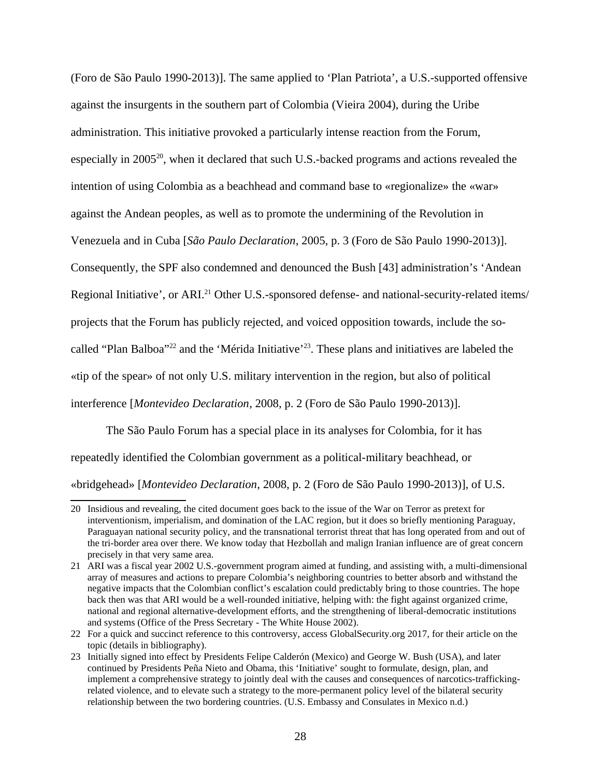(Foro de São Paulo 1990-2013)]. The same applied to 'Plan Patriota', a U.S.-supported offensive against the insurgents in the southern part of Colombia (Vieira 2004), during the Uribe administration. This initiative provoked a particularly intense reaction from the Forum, especially in  $2005^{20}$  $2005^{20}$ , when it declared that such U.S.-backed programs and actions revealed the intention of using Colombia as a beachhead and command base to «regionalize» the «war» against the Andean peoples, as well as to promote the undermining of the Revolution in Venezuela and in Cuba [*São Paulo Declaration*, 2005, p. 3 (Foro de São Paulo 1990-2013)]. Consequently, the SPF also condemned and denounced the Bush [43] administration's 'Andean Regional Initiative', or ARI.<sup>[21](#page-35-1)</sup> Other U.S.-sponsored defense- and national-security-related items/ projects that the Forum has publicly rejected, and voiced opposition towards, include the so-called "Plan Balboa"<sup>[22](#page-35-2)</sup> and the 'Mérida Initiative'<sup>[23](#page-35-3)</sup>. These plans and initiatives are labeled the «tip of the spear» of not only U.S. military intervention in the region, but also of political interference [*Montevideo Declaration*, 2008, p. 2 (Foro de São Paulo 1990-2013)].

The São Paulo Forum has a special place in its analyses for Colombia, for it has repeatedly identified the Colombian government as a political-military beachhead, or «bridgehead» [*Montevideo Declaration*, 2008, p. 2 (Foro de São Paulo 1990-2013)], of U.S.

<span id="page-35-0"></span><sup>20</sup> Insidious and revealing, the cited document goes back to the issue of the War on Terror as pretext for interventionism, imperialism, and domination of the LAC region, but it does so briefly mentioning Paraguay, Paraguayan national security policy, and the transnational terrorist threat that has long operated from and out of the tri-border area over there. We know today that Hezbollah and malign Iranian influence are of great concern precisely in that very same area.

<span id="page-35-1"></span><sup>21</sup> ARI was a fiscal year 2002 U.S.-government program aimed at funding, and assisting with, a multi-dimensional array of measures and actions to prepare Colombia's neighboring countries to better absorb and withstand the negative impacts that the Colombian conflict's escalation could predictably bring to those countries. The hope back then was that ARI would be a well-rounded initiative, helping with: the fight against organized crime, national and regional alternative-development efforts, and the strengthening of liberal-democratic institutions and systems (Office of the Press Secretary - The White House 2002).

<span id="page-35-2"></span><sup>22</sup> For a quick and succinct reference to this controversy, access GlobalSecurity.org 2017, for their article on the topic (details in bibliography).

<span id="page-35-3"></span><sup>23</sup> Initially signed into effect by Presidents Felipe Calderón (Mexico) and George W. Bush (USA), and later continued by Presidents Peña Nieto and Obama, this 'Initiative' sought to formulate, design, plan, and implement a comprehensive strategy to jointly deal with the causes and consequences of narcotics-traffickingrelated violence, and to elevate such a strategy to the more-permanent policy level of the bilateral security relationship between the two bordering countries. (U.S. Embassy and Consulates in Mexico n.d.)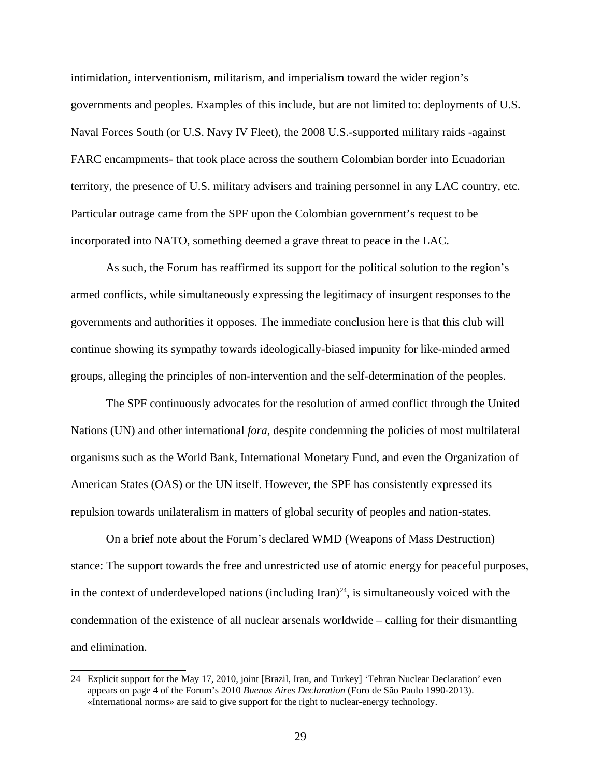intimidation, interventionism, militarism, and imperialism toward the wider region's governments and peoples. Examples of this include, but are not limited to: deployments of U.S. Naval Forces South (or U.S. Navy IV Fleet), the 2008 U.S.-supported military raids -against FARC encampments- that took place across the southern Colombian border into Ecuadorian territory, the presence of U.S. military advisers and training personnel in any LAC country, etc. Particular outrage came from the SPF upon the Colombian government's request to be incorporated into NATO, something deemed a grave threat to peace in the LAC.

As such, the Forum has reaffirmed its support for the political solution to the region's armed conflicts, while simultaneously expressing the legitimacy of insurgent responses to the governments and authorities it opposes. The immediate conclusion here is that this club will continue showing its sympathy towards ideologically-biased impunity for like-minded armed groups, alleging the principles of non-intervention and the self-determination of the peoples.

The SPF continuously advocates for the resolution of armed conflict through the United Nations (UN) and other international *fora*, despite condemning the policies of most multilateral organisms such as the World Bank, International Monetary Fund, and even the Organization of American States (OAS) or the UN itself. However, the SPF has consistently expressed its repulsion towards unilateralism in matters of global security of peoples and nation-states.

On a brief note about the Forum's declared WMD (Weapons of Mass Destruction) stance: The support towards the free and unrestricted use of atomic energy for peaceful purposes, in the context of underdeveloped nations (including Iran)<sup>[24](#page-36-0)</sup>, is simultaneously voiced with the condemnation of the existence of all nuclear arsenals worldwide – calling for their dismantling and elimination.

<span id="page-36-0"></span><sup>24</sup> Explicit support for the May 17, 2010, joint [Brazil, Iran, and Turkey] 'Tehran Nuclear Declaration' even appears on page 4 of the Forum's 2010 *Buenos Aires Declaration* (Foro de São Paulo 1990-2013). «International norms» are said to give support for the right to nuclear-energy technology.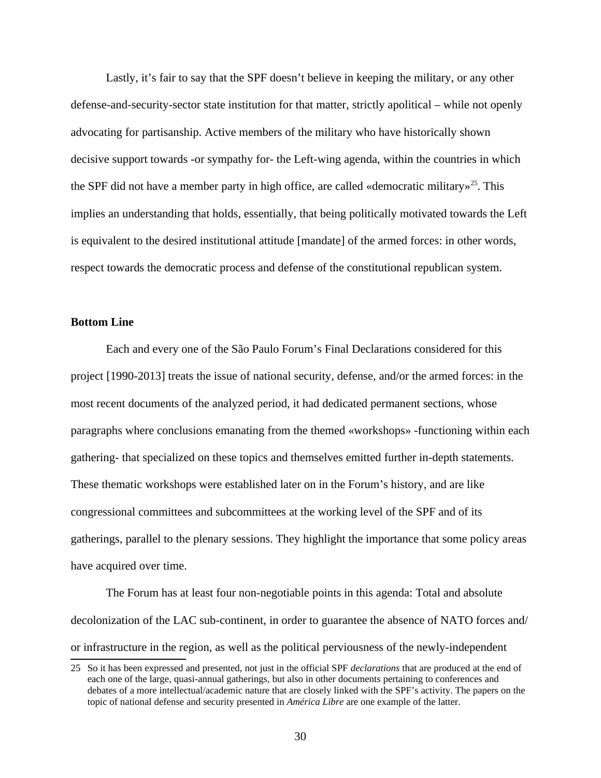Lastly, it's fair to say that the SPF doesn't believe in keeping the military, or any other defense-and-security-sector state institution for that matter, strictly apolitical – while not openly advocating for partisanship. Active members of the military who have historically shown decisive support towards -or sympathy for- the Left-wing agenda, within the countries in which the SPF did not have a member party in high office, are called «democratic military»<sup>[25](#page-37-0)</sup>. This implies an understanding that holds, essentially, that being politically motivated towards the Left is equivalent to the desired institutional attitude [mandate] of the armed forces: in other words, respect towards the democratic process and defense of the constitutional republican system.

# **Bottom Line**

Each and every one of the São Paulo Forum's Final Declarations considered for this project [1990-2013] treats the issue of national security, defense, and/or the armed forces: in the most recent documents of the analyzed period, it had dedicated permanent sections, whose paragraphs where conclusions emanating from the themed «workshops» -functioning within each gathering- that specialized on these topics and themselves emitted further in-depth statements. These thematic workshops were established later on in the Forum's history, and are like congressional committees and subcommittees at the working level of the SPF and of its gatherings, parallel to the plenary sessions. They highlight the importance that some policy areas have acquired over time.

The Forum has at least four non-negotiable points in this agenda: Total and absolute decolonization of the LAC sub-continent, in order to guarantee the absence of NATO forces and/ or infrastructure in the region, as well as the political perviousness of the newly-independent

<span id="page-37-0"></span><sup>25</sup> So it has been expressed and presented, not just in the official SPF *declarations* that are produced at the end of each one of the large, quasi-annual gatherings, but also in other documents pertaining to conferences and debates of a more intellectual/academic nature that are closely linked with the SPF's activity. The papers on the topic of national defense and security presented in *América Libre* are one example of the latter.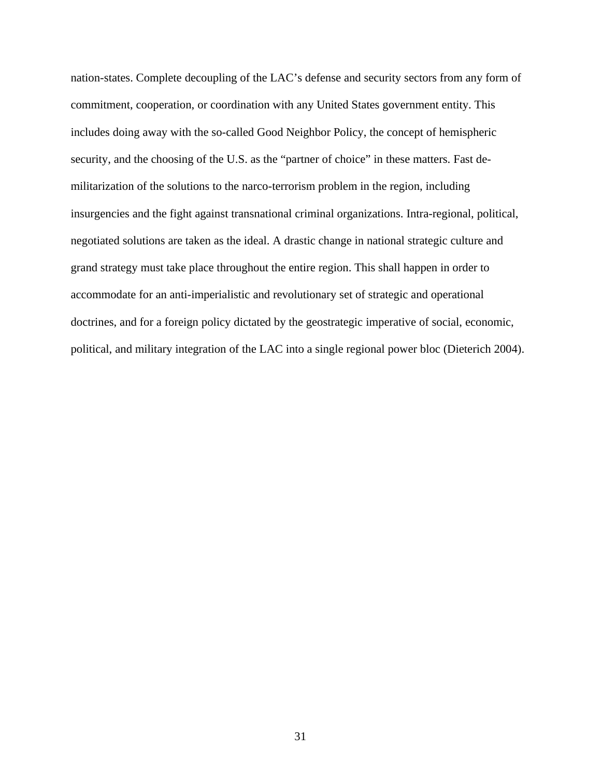nation-states. Complete decoupling of the LAC's defense and security sectors from any form of commitment, cooperation, or coordination with any United States government entity. This includes doing away with the so-called Good Neighbor Policy, the concept of hemispheric security, and the choosing of the U.S. as the "partner of choice" in these matters. Fast demilitarization of the solutions to the narco-terrorism problem in the region, including insurgencies and the fight against transnational criminal organizations. Intra-regional, political, negotiated solutions are taken as the ideal. A drastic change in national strategic culture and grand strategy must take place throughout the entire region. This shall happen in order to accommodate for an anti-imperialistic and revolutionary set of strategic and operational doctrines, and for a foreign policy dictated by the geostrategic imperative of social, economic, political, and military integration of the LAC into a single regional power bloc (Dieterich 2004).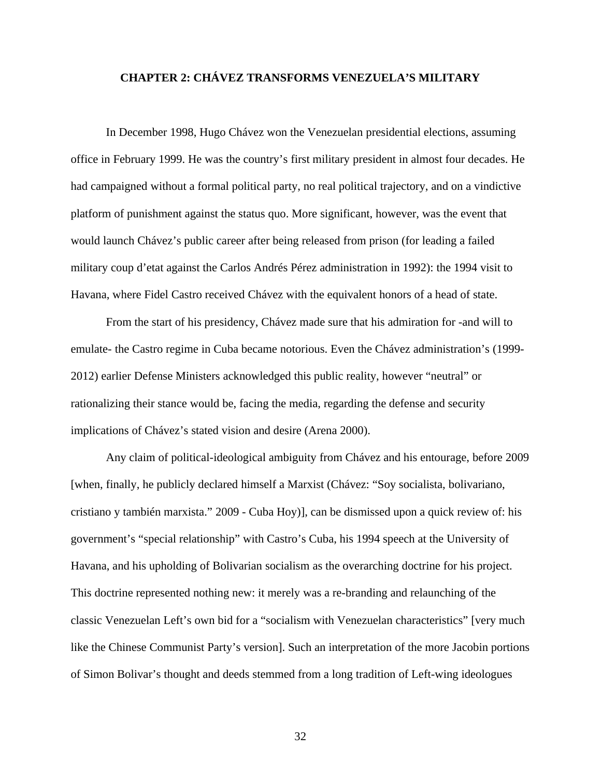# **CHAPTER 2: CHÁVEZ TRANSFORMS VENEZUELA'S MILITARY**

In December 1998, Hugo Chávez won the Venezuelan presidential elections, assuming office in February 1999. He was the country's first military president in almost four decades. He had campaigned without a formal political party, no real political trajectory, and on a vindictive platform of punishment against the status quo. More significant, however, was the event that would launch Chávez's public career after being released from prison (for leading a failed military coup d'etat against the Carlos Andrés Pérez administration in 1992): the 1994 visit to Havana, where Fidel Castro received Chávez with the equivalent honors of a head of state.

From the start of his presidency, Chávez made sure that his admiration for -and will to emulate- the Castro regime in Cuba became notorious. Even the Chávez administration's (1999- 2012) earlier Defense Ministers acknowledged this public reality, however "neutral" or rationalizing their stance would be, facing the media, regarding the defense and security implications of Chávez's stated vision and desire (Arena 2000).

Any claim of political-ideological ambiguity from Chávez and his entourage, before 2009 [when, finally, he publicly declared himself a Marxist (Chávez: "Soy socialista, bolivariano, cristiano y también marxista." 2009 - Cuba Hoy)], can be dismissed upon a quick review of: his government's "special relationship" with Castro's Cuba, his 1994 speech at the University of Havana, and his upholding of Bolivarian socialism as the overarching doctrine for his project. This doctrine represented nothing new: it merely was a re-branding and relaunching of the classic Venezuelan Left's own bid for a "socialism with Venezuelan characteristics" [very much like the Chinese Communist Party's version]. Such an interpretation of the more Jacobin portions of Simon Bolivar's thought and deeds stemmed from a long tradition of Left-wing ideologues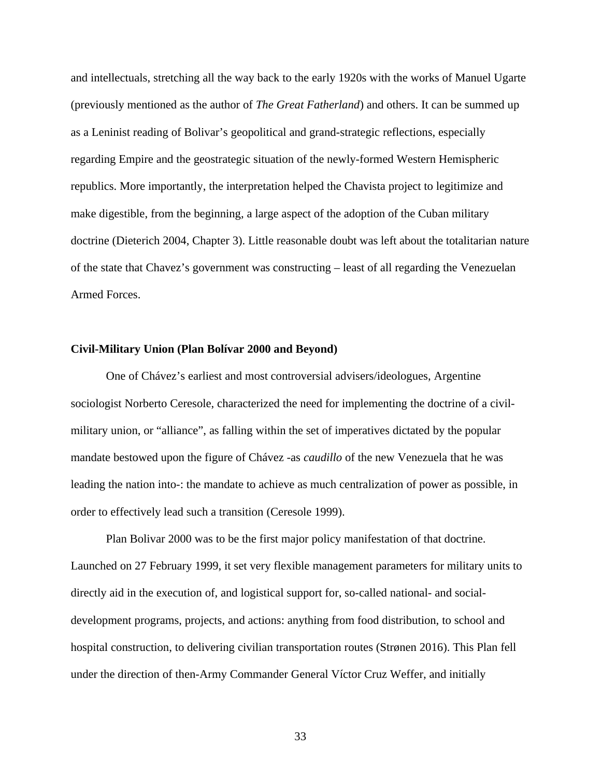and intellectuals, stretching all the way back to the early 1920s with the works of Manuel Ugarte (previously mentioned as the author of *The Great Fatherland*) and others. It can be summed up as a Leninist reading of Bolivar's geopolitical and grand-strategic reflections, especially regarding Empire and the geostrategic situation of the newly-formed Western Hemispheric republics. More importantly, the interpretation helped the Chavista project to legitimize and make digestible, from the beginning, a large aspect of the adoption of the Cuban military doctrine (Dieterich 2004, Chapter 3). Little reasonable doubt was left about the totalitarian nature of the state that Chavez's government was constructing – least of all regarding the Venezuelan Armed Forces.

## **Civil-Military Union (Plan Bolívar 2000 and Beyond)**

One of Chávez's earliest and most controversial advisers/ideologues, Argentine sociologist Norberto Ceresole, characterized the need for implementing the doctrine of a civilmilitary union, or "alliance", as falling within the set of imperatives dictated by the popular mandate bestowed upon the figure of Chávez -as *caudillo* of the new Venezuela that he was leading the nation into-: the mandate to achieve as much centralization of power as possible, in order to effectively lead such a transition (Ceresole 1999).

Plan Bolivar 2000 was to be the first major policy manifestation of that doctrine. Launched on 27 February 1999, it set very flexible management parameters for military units to directly aid in the execution of, and logistical support for, so-called national- and socialdevelopment programs, projects, and actions: anything from food distribution, to school and hospital construction, to delivering civilian transportation routes (Strønen 2016). This Plan fell under the direction of then-Army Commander General Víctor Cruz Weffer, and initially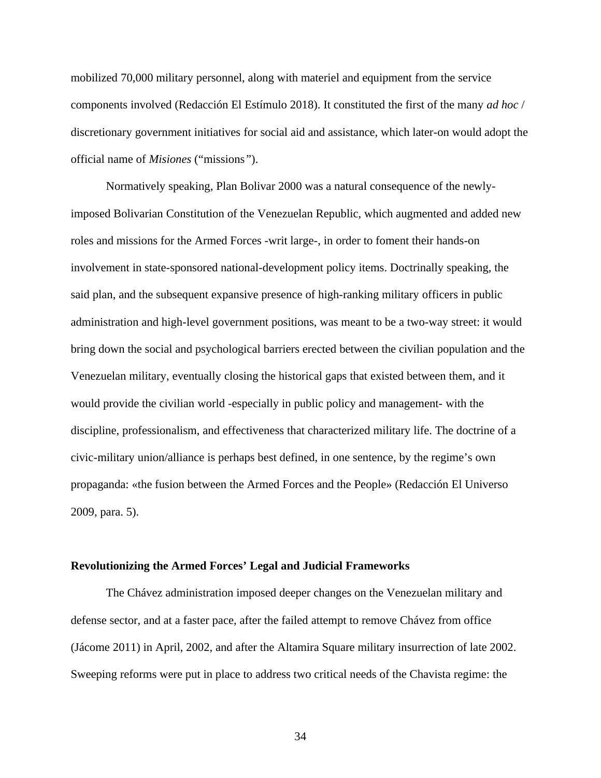mobilized 70,000 military personnel, along with materiel and equipment from the service components involved (Redacción El Estímulo 2018). It constituted the first of the many *ad hoc* / discretionary government initiatives for social aid and assistance, which later-on would adopt the official name of *Misiones* ("missions*"*).

Normatively speaking, Plan Bolivar 2000 was a natural consequence of the newlyimposed Bolivarian Constitution of the Venezuelan Republic, which augmented and added new roles and missions for the Armed Forces -writ large-, in order to foment their hands-on involvement in state-sponsored national-development policy items. Doctrinally speaking, the said plan, and the subsequent expansive presence of high-ranking military officers in public administration and high-level government positions, was meant to be a two-way street: it would bring down the social and psychological barriers erected between the civilian population and the Venezuelan military, eventually closing the historical gaps that existed between them, and it would provide the civilian world -especially in public policy and management- with the discipline, professionalism, and effectiveness that characterized military life. The doctrine of a civic-military union/alliance is perhaps best defined, in one sentence, by the regime's own propaganda: «the fusion between the Armed Forces and the People» (Redacción El Universo 2009, para. 5).

#### **Revolutionizing the Armed Forces' Legal and Judicial Frameworks**

The Chávez administration imposed deeper changes on the Venezuelan military and defense sector, and at a faster pace, after the failed attempt to remove Chávez from office (Jácome 2011) in April, 2002, and after the Altamira Square military insurrection of late 2002. Sweeping reforms were put in place to address two critical needs of the Chavista regime: the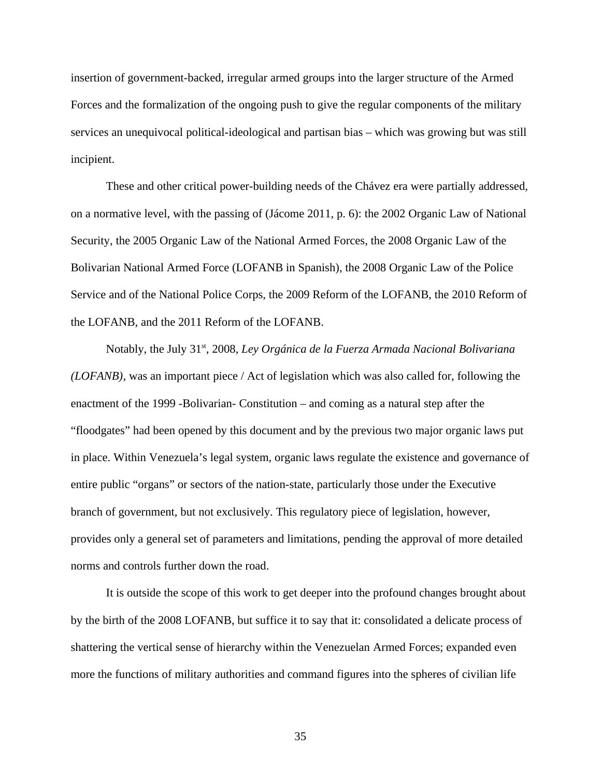insertion of government-backed, irregular armed groups into the larger structure of the Armed Forces and the formalization of the ongoing push to give the regular components of the military services an unequivocal political-ideological and partisan bias – which was growing but was still incipient.

These and other critical power-building needs of the Chávez era were partially addressed, on a normative level, with the passing of (Jácome 2011, p. 6): the 2002 Organic Law of National Security, the 2005 Organic Law of the National Armed Forces, the 2008 Organic Law of the Bolivarian National Armed Force (LOFANB in Spanish), the 2008 Organic Law of the Police Service and of the National Police Corps, the 2009 Reform of the LOFANB, the 2010 Reform of the LOFANB, and the 2011 Reform of the LOFANB.

Notably, the July 31<sup>st</sup>, 2008, Ley Orgánica de la Fuerza Armada Nacional Bolivariana *(LOFANB)*, was an important piece / Act of legislation which was also called for, following the enactment of the 1999 -Bolivarian- Constitution – and coming as a natural step after the "floodgates" had been opened by this document and by the previous two major organic laws put in place. Within Venezuela's legal system, organic laws regulate the existence and governance of entire public "organs" or sectors of the nation-state, particularly those under the Executive branch of government, but not exclusively. This regulatory piece of legislation, however, provides only a general set of parameters and limitations, pending the approval of more detailed norms and controls further down the road.

It is outside the scope of this work to get deeper into the profound changes brought about by the birth of the 2008 LOFANB, but suffice it to say that it: consolidated a delicate process of shattering the vertical sense of hierarchy within the Venezuelan Armed Forces; expanded even more the functions of military authorities and command figures into the spheres of civilian life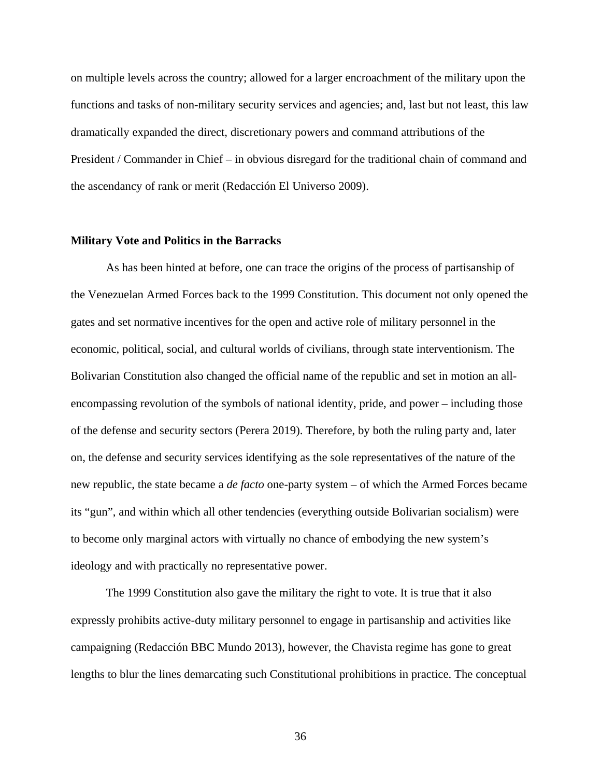on multiple levels across the country; allowed for a larger encroachment of the military upon the functions and tasks of non-military security services and agencies; and, last but not least, this law dramatically expanded the direct, discretionary powers and command attributions of the President / Commander in Chief – in obvious disregard for the traditional chain of command and the ascendancy of rank or merit (Redacción El Universo 2009).

## **Military Vote and Politics in the Barracks**

As has been hinted at before, one can trace the origins of the process of partisanship of the Venezuelan Armed Forces back to the 1999 Constitution. This document not only opened the gates and set normative incentives for the open and active role of military personnel in the economic, political, social, and cultural worlds of civilians, through state interventionism. The Bolivarian Constitution also changed the official name of the republic and set in motion an allencompassing revolution of the symbols of national identity, pride, and power – including those of the defense and security sectors (Perera 2019). Therefore, by both the ruling party and, later on, the defense and security services identifying as the sole representatives of the nature of the new republic, the state became a *de facto* one-party system – of which the Armed Forces became its "gun", and within which all other tendencies (everything outside Bolivarian socialism) were to become only marginal actors with virtually no chance of embodying the new system's ideology and with practically no representative power.

The 1999 Constitution also gave the military the right to vote. It is true that it also expressly prohibits active-duty military personnel to engage in partisanship and activities like campaigning (Redacción BBC Mundo 2013), however, the Chavista regime has gone to great lengths to blur the lines demarcating such Constitutional prohibitions in practice. The conceptual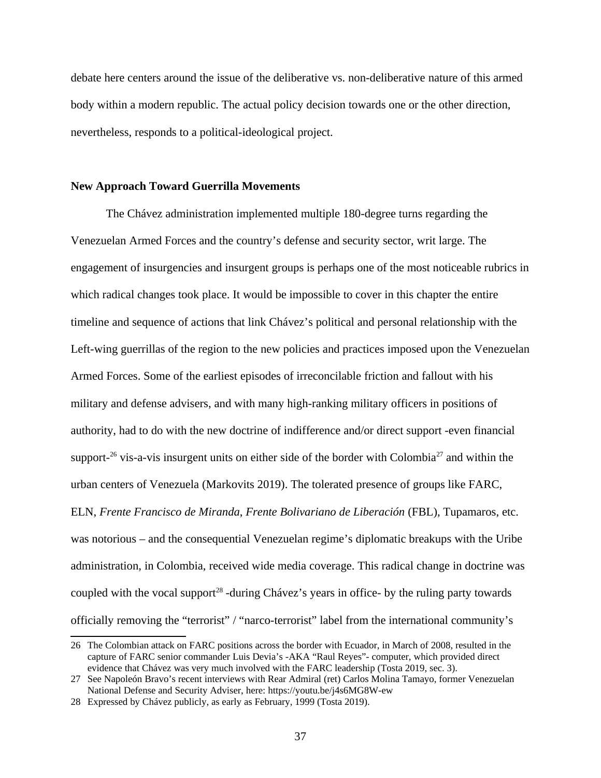debate here centers around the issue of the deliberative vs. non-deliberative nature of this armed body within a modern republic. The actual policy decision towards one or the other direction, nevertheless, responds to a political-ideological project.

#### **New Approach Toward Guerrilla Movements**

The Chávez administration implemented multiple 180-degree turns regarding the Venezuelan Armed Forces and the country's defense and security sector, writ large. The engagement of insurgencies and insurgent groups is perhaps one of the most noticeable rubrics in which radical changes took place. It would be impossible to cover in this chapter the entire timeline and sequence of actions that link Chávez's political and personal relationship with the Left-wing guerrillas of the region to the new policies and practices imposed upon the Venezuelan Armed Forces. Some of the earliest episodes of irreconcilable friction and fallout with his military and defense advisers, and with many high-ranking military officers in positions of authority, had to do with the new doctrine of indifference and/or direct support -even financial support- $^{26}$  $^{26}$  $^{26}$  vis-a-vis insurgent units on either side of the border with Colombia<sup>[27](#page-44-1)</sup> and within the urban centers of Venezuela (Markovits 2019). The tolerated presence of groups like FARC, ELN, *Frente Francisco de Miranda*, *Frente Bolivariano de Liberación* (FBL), Tupamaros, etc. was notorious – and the consequential Venezuelan regime's diplomatic breakups with the Uribe administration, in Colombia, received wide media coverage. This radical change in doctrine was coupled with the vocal support<sup>[28](#page-44-2)</sup> -during Chávez's years in office- by the ruling party towards officially removing the "terrorist" / "narco-terrorist" label from the international community's

<span id="page-44-0"></span><sup>26</sup> The Colombian attack on FARC positions across the border with Ecuador, in March of 2008, resulted in the capture of FARC senior commander Luis Devia's -AKA "Raul Reyes"- computer, which provided direct evidence that Chávez was very much involved with the FARC leadership (Tosta 2019, sec. 3).

<span id="page-44-1"></span><sup>27</sup> See Napoleón Bravo's recent interviews with Rear Admiral (ret) Carlos Molina Tamayo, former Venezuelan National Defense and Security Adviser, here: https://youtu.be/j4s6MG8W-ew

<span id="page-44-2"></span><sup>28</sup> Expressed by Chávez publicly, as early as February, 1999 (Tosta 2019).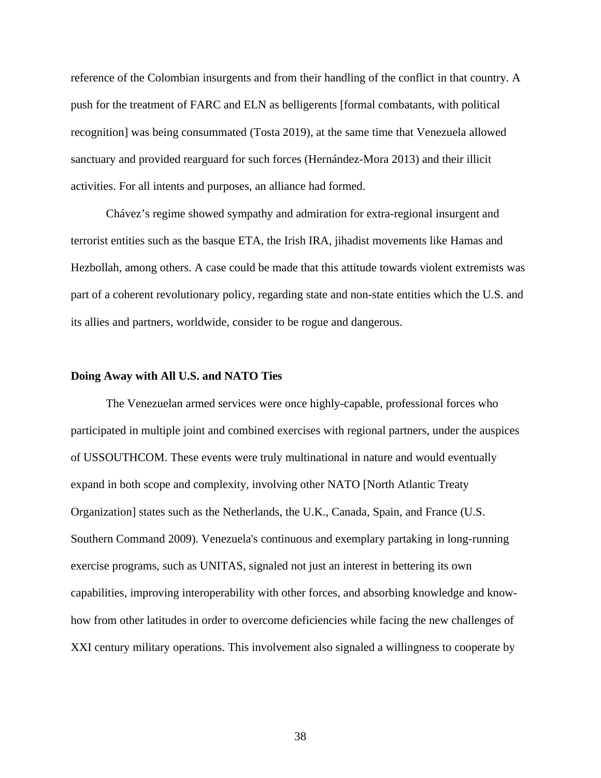reference of the Colombian insurgents and from their handling of the conflict in that country. A push for the treatment of FARC and ELN as belligerents [formal combatants, with political recognition] was being consummated (Tosta 2019), at the same time that Venezuela allowed sanctuary and provided rearguard for such forces (Hernández-Mora 2013) and their illicit activities. For all intents and purposes, an alliance had formed.

Chávez's regime showed sympathy and admiration for extra-regional insurgent and terrorist entities such as the basque ETA, the Irish IRA, jihadist movements like Hamas and Hezbollah, among others. A case could be made that this attitude towards violent extremists was part of a coherent revolutionary policy, regarding state and non-state entities which the U.S. and its allies and partners, worldwide, consider to be rogue and dangerous.

## **Doing Away with All U.S. and NATO Ties**

The Venezuelan armed services were once highly-capable, professional forces who participated in multiple joint and combined exercises with regional partners, under the auspices of USSOUTHCOM. These events were truly multinational in nature and would eventually expand in both scope and complexity, involving other NATO [North Atlantic Treaty Organization] states such as the Netherlands, the U.K., Canada, Spain, and France (U.S. Southern Command 2009). Venezuela's continuous and exemplary partaking in long-running exercise programs, such as UNITAS, signaled not just an interest in bettering its own capabilities, improving interoperability with other forces, and absorbing knowledge and knowhow from other latitudes in order to overcome deficiencies while facing the new challenges of XXI century military operations. This involvement also signaled a willingness to cooperate by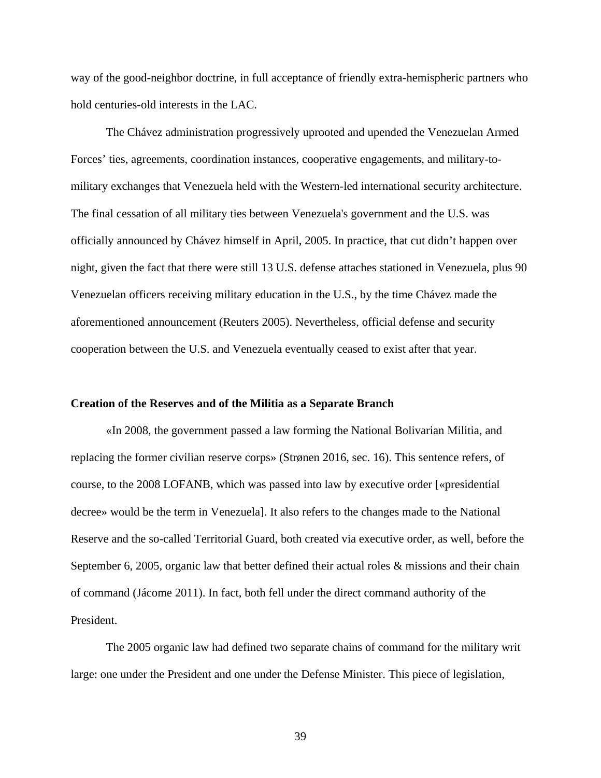way of the good-neighbor doctrine, in full acceptance of friendly extra-hemispheric partners who hold centuries-old interests in the LAC.

The Chávez administration progressively uprooted and upended the Venezuelan Armed Forces' ties, agreements, coordination instances, cooperative engagements, and military-tomilitary exchanges that Venezuela held with the Western-led international security architecture. The final cessation of all military ties between Venezuela's government and the U.S. was officially announced by Chávez himself in April, 2005. In practice, that cut didn't happen over night, given the fact that there were still 13 U.S. defense attaches stationed in Venezuela, plus 90 Venezuelan officers receiving military education in the U.S., by the time Chávez made the aforementioned announcement (Reuters 2005). Nevertheless, official defense and security cooperation between the U.S. and Venezuela eventually ceased to exist after that year.

#### **Creation of the Reserves and of the Militia as a Separate Branch**

«In 2008, the government passed a law forming the National Bolivarian Militia, and replacing the former civilian reserve corps» (Strønen 2016, sec. 16). This sentence refers, of course, to the 2008 LOFANB, which was passed into law by executive order [«presidential decree» would be the term in Venezuela]. It also refers to the changes made to the National Reserve and the so-called Territorial Guard, both created via executive order, as well, before the September 6, 2005, organic law that better defined their actual roles & missions and their chain of command (Jácome 2011). In fact, both fell under the direct command authority of the President.

The 2005 organic law had defined two separate chains of command for the military writ large: one under the President and one under the Defense Minister. This piece of legislation,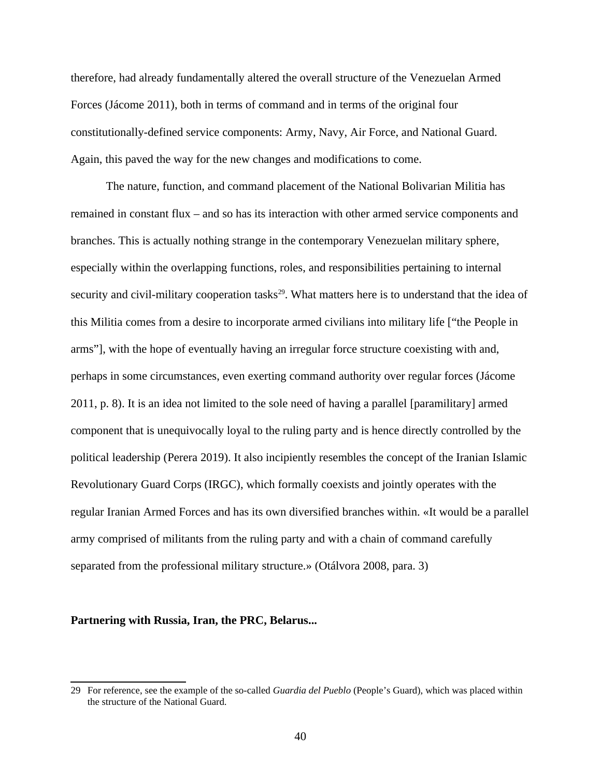therefore, had already fundamentally altered the overall structure of the Venezuelan Armed Forces (Jácome 2011), both in terms of command and in terms of the original four constitutionally-defined service components: Army, Navy, Air Force, and National Guard. Again, this paved the way for the new changes and modifications to come.

The nature, function, and command placement of the National Bolivarian Militia has remained in constant flux – and so has its interaction with other armed service components and branches. This is actually nothing strange in the contemporary Venezuelan military sphere, especially within the overlapping functions, roles, and responsibilities pertaining to internal security and civil-military cooperation tasks<sup>[29](#page-47-0)</sup>. What matters here is to understand that the idea of this Militia comes from a desire to incorporate armed civilians into military life ["the People in arms"], with the hope of eventually having an irregular force structure coexisting with and, perhaps in some circumstances, even exerting command authority over regular forces (Jácome 2011, p. 8). It is an idea not limited to the sole need of having a parallel [paramilitary] armed component that is unequivocally loyal to the ruling party and is hence directly controlled by the political leadership (Perera 2019). It also incipiently resembles the concept of the Iranian Islamic Revolutionary Guard Corps (IRGC), which formally coexists and jointly operates with the regular Iranian Armed Forces and has its own diversified branches within. «It would be a parallel army comprised of militants from the ruling party and with a chain of command carefully separated from the professional military structure.» (Otálvora 2008, para. 3)

### **Partnering with Russia, Iran, the PRC, Belarus...**

<span id="page-47-0"></span><sup>29</sup> For reference, see the example of the so-called *Guardia del Pueblo* (People's Guard), which was placed within the structure of the National Guard.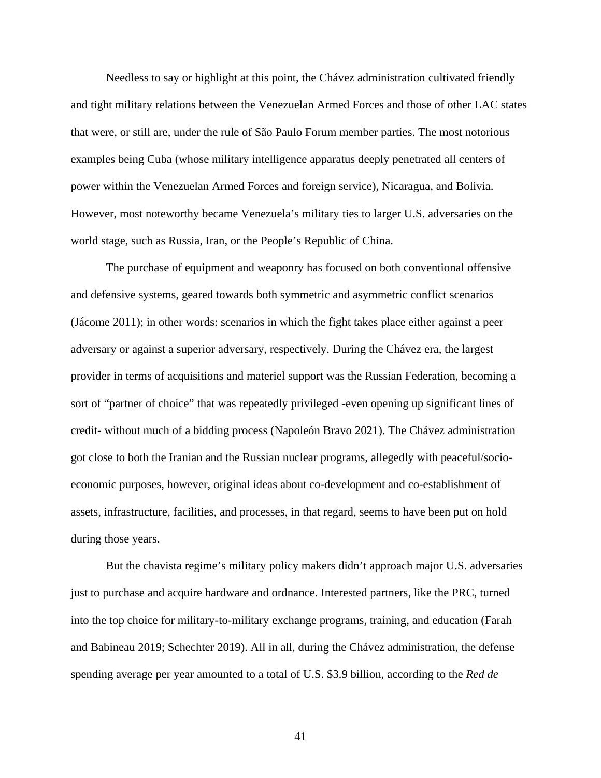Needless to say or highlight at this point, the Chávez administration cultivated friendly and tight military relations between the Venezuelan Armed Forces and those of other LAC states that were, or still are, under the rule of São Paulo Forum member parties. The most notorious examples being Cuba (whose military intelligence apparatus deeply penetrated all centers of power within the Venezuelan Armed Forces and foreign service), Nicaragua, and Bolivia. However, most noteworthy became Venezuela's military ties to larger U.S. adversaries on the world stage, such as Russia, Iran, or the People's Republic of China.

The purchase of equipment and weaponry has focused on both conventional offensive and defensive systems, geared towards both symmetric and asymmetric conflict scenarios (Jácome 2011); in other words: scenarios in which the fight takes place either against a peer adversary or against a superior adversary, respectively. During the Chávez era, the largest provider in terms of acquisitions and materiel support was the Russian Federation, becoming a sort of "partner of choice" that was repeatedly privileged -even opening up significant lines of credit- without much of a bidding process (Napoleón Bravo 2021). The Chávez administration got close to both the Iranian and the Russian nuclear programs, allegedly with peaceful/socioeconomic purposes, however, original ideas about co-development and co-establishment of assets, infrastructure, facilities, and processes, in that regard, seems to have been put on hold during those years.

But the chavista regime's military policy makers didn't approach major U.S. adversaries just to purchase and acquire hardware and ordnance. Interested partners, like the PRC, turned into the top choice for military-to-military exchange programs, training, and education (Farah and Babineau 2019; Schechter 2019). All in all, during the Chávez administration, the defense spending average per year amounted to a total of U.S. \$3.9 billion, according to the *Red de*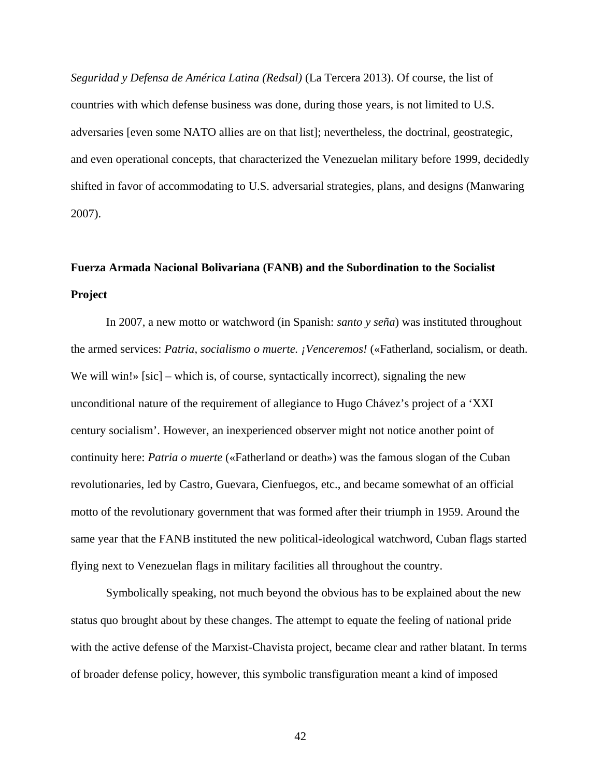*Seguridad y Defensa de América Latina (Redsal)* (La Tercera 2013). Of course, the list of countries with which defense business was done, during those years, is not limited to U.S. adversaries [even some NATO allies are on that list]; nevertheless, the doctrinal, geostrategic, and even operational concepts, that characterized the Venezuelan military before 1999, decidedly shifted in favor of accommodating to U.S. adversarial strategies, plans, and designs (Manwaring 2007).

# **Fuerza Armada Nacional Bolivariana (FANB) and the Subordination to the Socialist Project**

In 2007, a new motto or watchword (in Spanish: *santo y seña*) was instituted throughout the armed services: *Patria, socialismo o muerte. ¡Venceremos!* («Fatherland, socialism, or death. We will win!» [sic] – which is, of course, syntactically incorrect), signaling the new unconditional nature of the requirement of allegiance to Hugo Chávez's project of a 'XXI century socialism'. However, an inexperienced observer might not notice another point of continuity here: *Patria o muerte* («Fatherland or death») was the famous slogan of the Cuban revolutionaries, led by Castro, Guevara, Cienfuegos, etc., and became somewhat of an official motto of the revolutionary government that was formed after their triumph in 1959. Around the same year that the FANB instituted the new political-ideological watchword, Cuban flags started flying next to Venezuelan flags in military facilities all throughout the country.

Symbolically speaking, not much beyond the obvious has to be explained about the new status quo brought about by these changes. The attempt to equate the feeling of national pride with the active defense of the Marxist-Chavista project, became clear and rather blatant. In terms of broader defense policy, however, this symbolic transfiguration meant a kind of imposed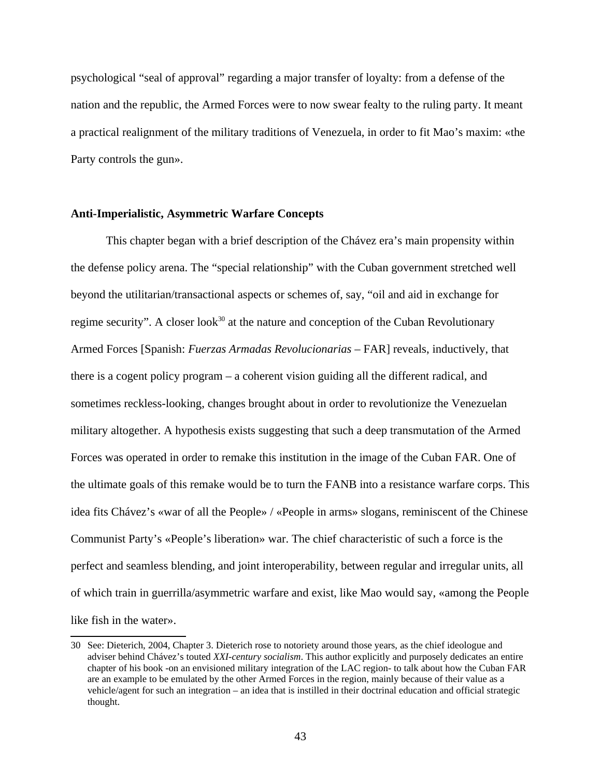psychological "seal of approval" regarding a major transfer of loyalty: from a defense of the nation and the republic, the Armed Forces were to now swear fealty to the ruling party. It meant a practical realignment of the military traditions of Venezuela, in order to fit Mao's maxim: «the Party controls the gun».

# **Anti-Imperialistic, Asymmetric Warfare Concepts**

This chapter began with a brief description of the Chávez era's main propensity within the defense policy arena. The "special relationship" with the Cuban government stretched well beyond the utilitarian/transactional aspects or schemes of, say, "oil and aid in exchange for regime security". A closer look $30$  at the nature and conception of the Cuban Revolutionary Armed Forces [Spanish: *Fuerzas Armadas Revolucionarias* – FAR] reveals, inductively, that there is a cogent policy program – a coherent vision guiding all the different radical, and sometimes reckless-looking, changes brought about in order to revolutionize the Venezuelan military altogether. A hypothesis exists suggesting that such a deep transmutation of the Armed Forces was operated in order to remake this institution in the image of the Cuban FAR. One of the ultimate goals of this remake would be to turn the FANB into a resistance warfare corps. This idea fits Chávez's «war of all the People» / «People in arms» slogans, reminiscent of the Chinese Communist Party's «People's liberation» war. The chief characteristic of such a force is the perfect and seamless blending, and joint interoperability, between regular and irregular units, all of which train in guerrilla/asymmetric warfare and exist, like Mao would say, «among the People like fish in the water».

<span id="page-50-0"></span><sup>30</sup> See: Dieterich, 2004, Chapter 3. Dieterich rose to notoriety around those years, as the chief ideologue and adviser behind Chávez's touted *XXI-century socialism*. This author explicitly and purposely dedicates an entire chapter of his book -on an envisioned military integration of the LAC region- to talk about how the Cuban FAR are an example to be emulated by the other Armed Forces in the region, mainly because of their value as a vehicle/agent for such an integration – an idea that is instilled in their doctrinal education and official strategic thought.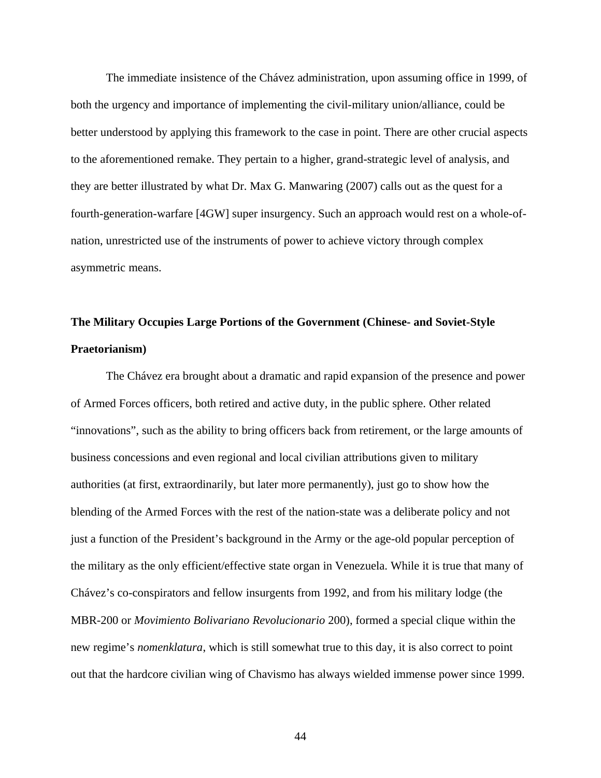The immediate insistence of the Chávez administration, upon assuming office in 1999, of both the urgency and importance of implementing the civil-military union/alliance, could be better understood by applying this framework to the case in point. There are other crucial aspects to the aforementioned remake. They pertain to a higher, grand-strategic level of analysis, and they are better illustrated by what Dr. Max G. Manwaring (2007) calls out as the quest for a fourth-generation-warfare [4GW] super insurgency. Such an approach would rest on a whole-ofnation, unrestricted use of the instruments of power to achieve victory through complex asymmetric means.

# **The Military Occupies Large Portions of the Government (Chinese- and Soviet-Style Praetorianism)**

The Chávez era brought about a dramatic and rapid expansion of the presence and power of Armed Forces officers, both retired and active duty, in the public sphere. Other related "innovations", such as the ability to bring officers back from retirement, or the large amounts of business concessions and even regional and local civilian attributions given to military authorities (at first, extraordinarily, but later more permanently), just go to show how the blending of the Armed Forces with the rest of the nation-state was a deliberate policy and not just a function of the President's background in the Army or the age-old popular perception of the military as the only efficient/effective state organ in Venezuela. While it is true that many of Chávez's co-conspirators and fellow insurgents from 1992, and from his military lodge (the MBR-200 or *Movimiento Bolivariano Revolucionario* 200), formed a special clique within the new regime's *nomenklatura*, which is still somewhat true to this day, it is also correct to point out that the hardcore civilian wing of Chavismo has always wielded immense power since 1999.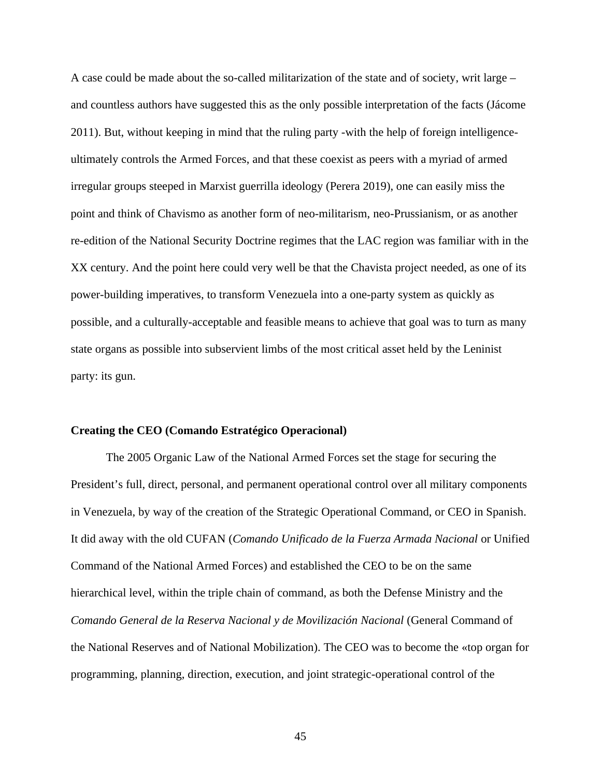A case could be made about the so-called militarization of the state and of society, writ large – and countless authors have suggested this as the only possible interpretation of the facts (Jácome 2011). But, without keeping in mind that the ruling party -with the help of foreign intelligenceultimately controls the Armed Forces, and that these coexist as peers with a myriad of armed irregular groups steeped in Marxist guerrilla ideology (Perera 2019), one can easily miss the point and think of Chavismo as another form of neo-militarism, neo-Prussianism, or as another re-edition of the National Security Doctrine regimes that the LAC region was familiar with in the XX century. And the point here could very well be that the Chavista project needed, as one of its power-building imperatives, to transform Venezuela into a one-party system as quickly as possible, and a culturally-acceptable and feasible means to achieve that goal was to turn as many state organs as possible into subservient limbs of the most critical asset held by the Leninist party: its gun.

#### **Creating the CEO (Comando Estratégico Operacional)**

The 2005 Organic Law of the National Armed Forces set the stage for securing the President's full, direct, personal, and permanent operational control over all military components in Venezuela, by way of the creation of the Strategic Operational Command, or CEO in Spanish. It did away with the old CUFAN (*Comando Unificado de la Fuerza Armada Nacional* or Unified Command of the National Armed Forces) and established the CEO to be on the same hierarchical level, within the triple chain of command, as both the Defense Ministry and the *Comando General de la Reserva Nacional y de Movilización Nacional* (General Command of the National Reserves and of National Mobilization). The CEO was to become the «top organ for programming, planning, direction, execution, and joint strategic-operational control of the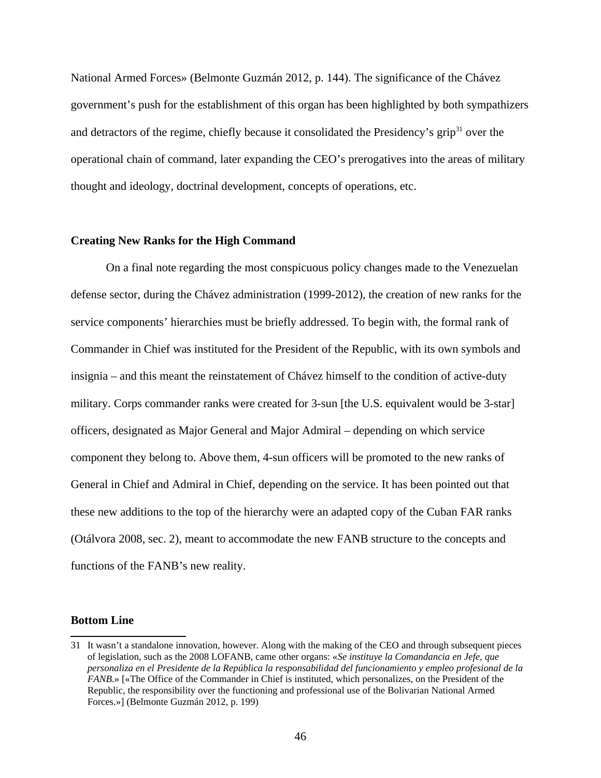National Armed Forces» (Belmonte Guzmán 2012, p. 144). The significance of the Chávez government's push for the establishment of this organ has been highlighted by both sympathizers and detractors of the regime, chiefly because it consolidated the Presidency's grip $31$  over the operational chain of command, later expanding the CEO's prerogatives into the areas of military thought and ideology, doctrinal development, concepts of operations, etc.

## **Creating New Ranks for the High Command**

On a final note regarding the most conspicuous policy changes made to the Venezuelan defense sector, during the Chávez administration (1999-2012), the creation of new ranks for the service components' hierarchies must be briefly addressed. To begin with, the formal rank of Commander in Chief was instituted for the President of the Republic, with its own symbols and insignia – and this meant the reinstatement of Chávez himself to the condition of active-duty military. Corps commander ranks were created for 3-sun [the U.S. equivalent would be 3-star] officers, designated as Major General and Major Admiral – depending on which service component they belong to. Above them, 4-sun officers will be promoted to the new ranks of General in Chief and Admiral in Chief, depending on the service. It has been pointed out that these new additions to the top of the hierarchy were an adapted copy of the Cuban FAR ranks (Otálvora 2008, sec. 2), meant to accommodate the new FANB structure to the concepts and functions of the FANB's new reality.

#### **Bottom Line**

<span id="page-53-0"></span><sup>31</sup> It wasn't a standalone innovation, however. Along with the making of the CEO and through subsequent pieces of legislation, such as the 2008 LOFANB, came other organs: «*Se instituye la Comandancia en Jefe, que personaliza en el Presidente de la República la responsabilidad del funcionamiento y empleo profesional de la FANB.*» [«The Office of the Commander in Chief is instituted, which personalizes, on the President of the Republic, the responsibility over the functioning and professional use of the Bolivarian National Armed Forces.»] (Belmonte Guzmán 2012, p. 199)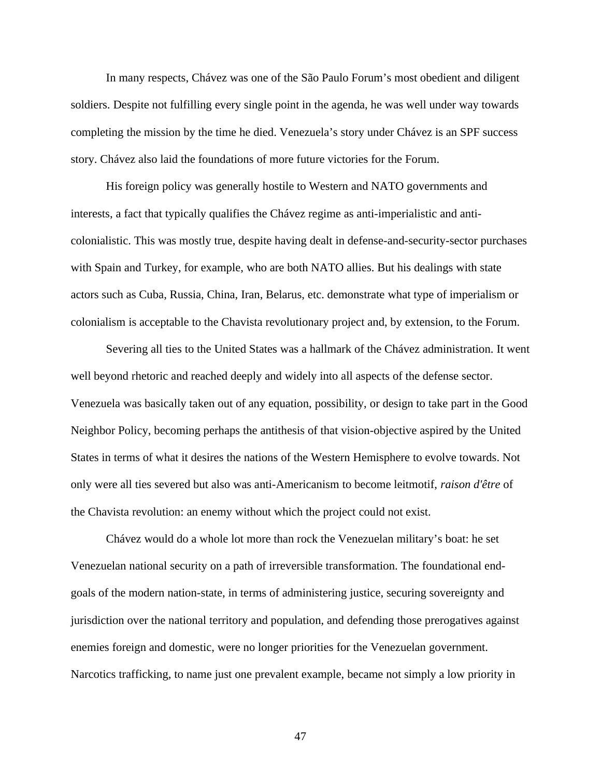In many respects, Chávez was one of the São Paulo Forum's most obedient and diligent soldiers. Despite not fulfilling every single point in the agenda, he was well under way towards completing the mission by the time he died. Venezuela's story under Chávez is an SPF success story. Chávez also laid the foundations of more future victories for the Forum.

His foreign policy was generally hostile to Western and NATO governments and interests, a fact that typically qualifies the Chávez regime as anti-imperialistic and anticolonialistic. This was mostly true, despite having dealt in defense-and-security-sector purchases with Spain and Turkey, for example, who are both NATO allies. But his dealings with state actors such as Cuba, Russia, China, Iran, Belarus, etc. demonstrate what type of imperialism or colonialism is acceptable to the Chavista revolutionary project and, by extension, to the Forum.

Severing all ties to the United States was a hallmark of the Chávez administration. It went well beyond rhetoric and reached deeply and widely into all aspects of the defense sector. Venezuela was basically taken out of any equation, possibility, or design to take part in the Good Neighbor Policy, becoming perhaps the antithesis of that vision-objective aspired by the United States in terms of what it desires the nations of the Western Hemisphere to evolve towards. Not only were all ties severed but also was anti-Americanism to become leitmotif, *raison d'être* of the Chavista revolution: an enemy without which the project could not exist.

Chávez would do a whole lot more than rock the Venezuelan military's boat: he set Venezuelan national security on a path of irreversible transformation. The foundational endgoals of the modern nation-state, in terms of administering justice, securing sovereignty and jurisdiction over the national territory and population, and defending those prerogatives against enemies foreign and domestic, were no longer priorities for the Venezuelan government. Narcotics trafficking, to name just one prevalent example, became not simply a low priority in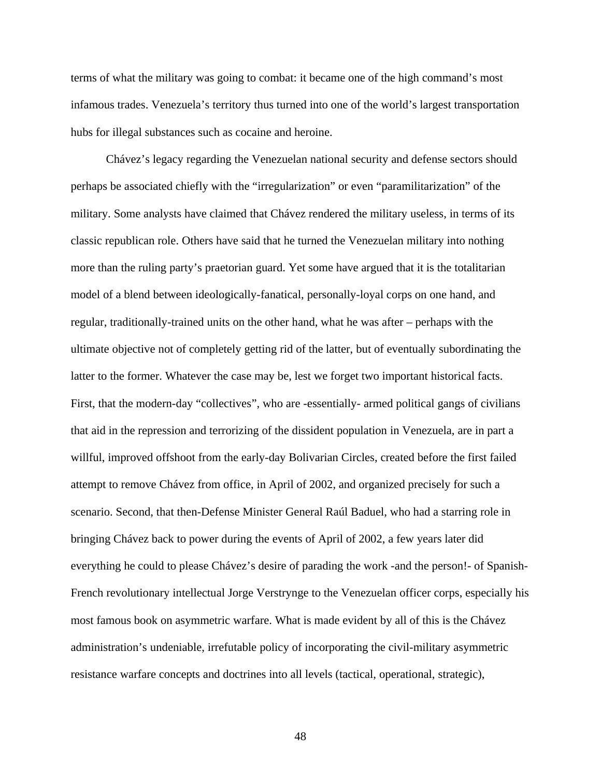terms of what the military was going to combat: it became one of the high command's most infamous trades. Venezuela's territory thus turned into one of the world's largest transportation hubs for illegal substances such as cocaine and heroine.

Chávez's legacy regarding the Venezuelan national security and defense sectors should perhaps be associated chiefly with the "irregularization" or even "paramilitarization" of the military. Some analysts have claimed that Chávez rendered the military useless, in terms of its classic republican role. Others have said that he turned the Venezuelan military into nothing more than the ruling party's praetorian guard. Yet some have argued that it is the totalitarian model of a blend between ideologically-fanatical, personally-loyal corps on one hand, and regular, traditionally-trained units on the other hand, what he was after – perhaps with the ultimate objective not of completely getting rid of the latter, but of eventually subordinating the latter to the former. Whatever the case may be, lest we forget two important historical facts. First, that the modern-day "collectives", who are -essentially- armed political gangs of civilians that aid in the repression and terrorizing of the dissident population in Venezuela, are in part a willful, improved offshoot from the early-day Bolivarian Circles, created before the first failed attempt to remove Chávez from office, in April of 2002, and organized precisely for such a scenario. Second, that then-Defense Minister General Raúl Baduel, who had a starring role in bringing Chávez back to power during the events of April of 2002, a few years later did everything he could to please Chávez's desire of parading the work -and the person!- of Spanish-French revolutionary intellectual Jorge Verstrynge to the Venezuelan officer corps, especially his most famous book on asymmetric warfare. What is made evident by all of this is the Chávez administration's undeniable, irrefutable policy of incorporating the civil-military asymmetric resistance warfare concepts and doctrines into all levels (tactical, operational, strategic),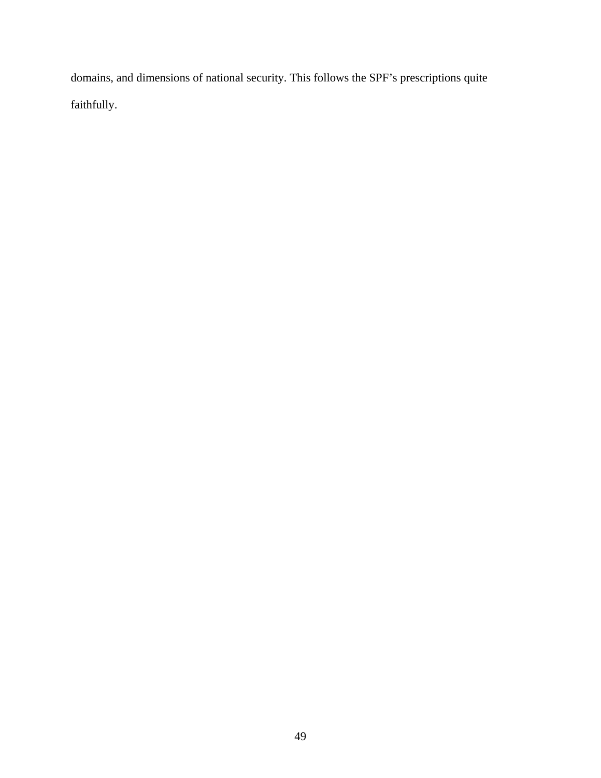domains, and dimensions of national security. This follows the SPF's prescriptions quite faithfully.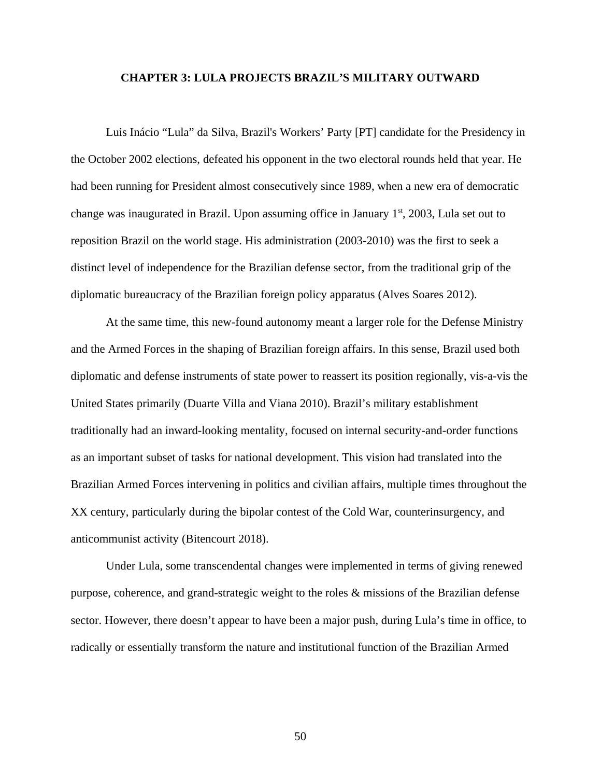## **CHAPTER 3: LULA PROJECTS BRAZIL'S MILITARY OUTWARD**

Luis Inácio "Lula" da Silva, Brazil's Workers' Party [PT] candidate for the Presidency in the October 2002 elections, defeated his opponent in the two electoral rounds held that year. He had been running for President almost consecutively since 1989, when a new era of democratic change was inaugurated in Brazil. Upon assuming office in January  $1<sup>st</sup>$ , 2003, Lula set out to reposition Brazil on the world stage. His administration (2003-2010) was the first to seek a distinct level of independence for the Brazilian defense sector, from the traditional grip of the diplomatic bureaucracy of the Brazilian foreign policy apparatus (Alves Soares 2012).

At the same time, this new-found autonomy meant a larger role for the Defense Ministry and the Armed Forces in the shaping of Brazilian foreign affairs. In this sense, Brazil used both diplomatic and defense instruments of state power to reassert its position regionally, vis-a-vis the United States primarily (Duarte Villa and Viana 2010). Brazil's military establishment traditionally had an inward-looking mentality, focused on internal security-and-order functions as an important subset of tasks for national development. This vision had translated into the Brazilian Armed Forces intervening in politics and civilian affairs, multiple times throughout the XX century, particularly during the bipolar contest of the Cold War, counterinsurgency, and anticommunist activity (Bitencourt 2018).

Under Lula, some transcendental changes were implemented in terms of giving renewed purpose, coherence, and grand-strategic weight to the roles & missions of the Brazilian defense sector. However, there doesn't appear to have been a major push, during Lula's time in office, to radically or essentially transform the nature and institutional function of the Brazilian Armed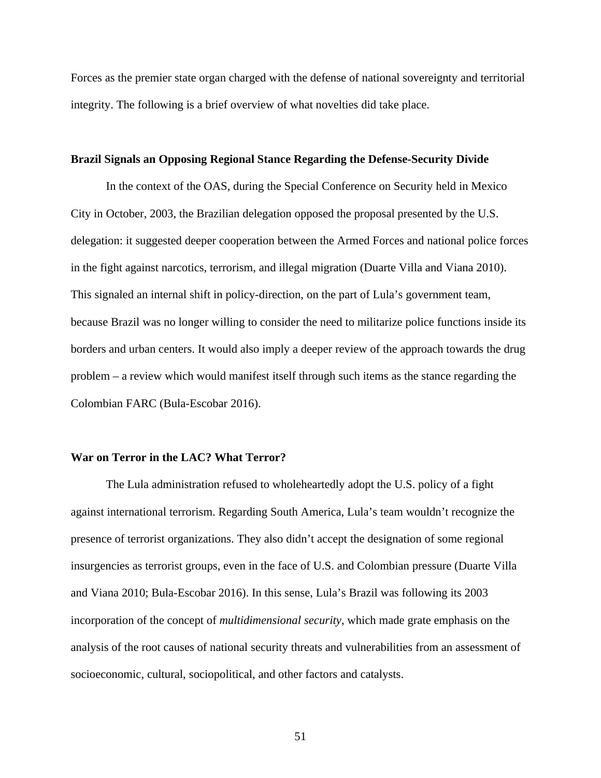Forces as the premier state organ charged with the defense of national sovereignty and territorial integrity. The following is a brief overview of what novelties did take place.

## **Brazil Signals an Opposing Regional Stance Regarding the Defense-Security Divide**

In the context of the OAS, during the Special Conference on Security held in Mexico City in October, 2003, the Brazilian delegation opposed the proposal presented by the U.S. delegation: it suggested deeper cooperation between the Armed Forces and national police forces in the fight against narcotics, terrorism, and illegal migration (Duarte Villa and Viana 2010). This signaled an internal shift in policy-direction, on the part of Lula's government team, because Brazil was no longer willing to consider the need to militarize police functions inside its borders and urban centers. It would also imply a deeper review of the approach towards the drug problem – a review which would manifest itself through such items as the stance regarding the Colombian FARC (Bula-Escobar 2016).

## **War on Terror in the LAC? What Terror?**

The Lula administration refused to wholeheartedly adopt the U.S. policy of a fight against international terrorism. Regarding South America, Lula's team wouldn't recognize the presence of terrorist organizations. They also didn't accept the designation of some regional insurgencies as terrorist groups, even in the face of U.S. and Colombian pressure (Duarte Villa and Viana 2010; Bula-Escobar 2016). In this sense, Lula's Brazil was following its 2003 incorporation of the concept of *multidimensional security*, which made grate emphasis on the analysis of the root causes of national security threats and vulnerabilities from an assessment of socioeconomic, cultural, sociopolitical, and other factors and catalysts.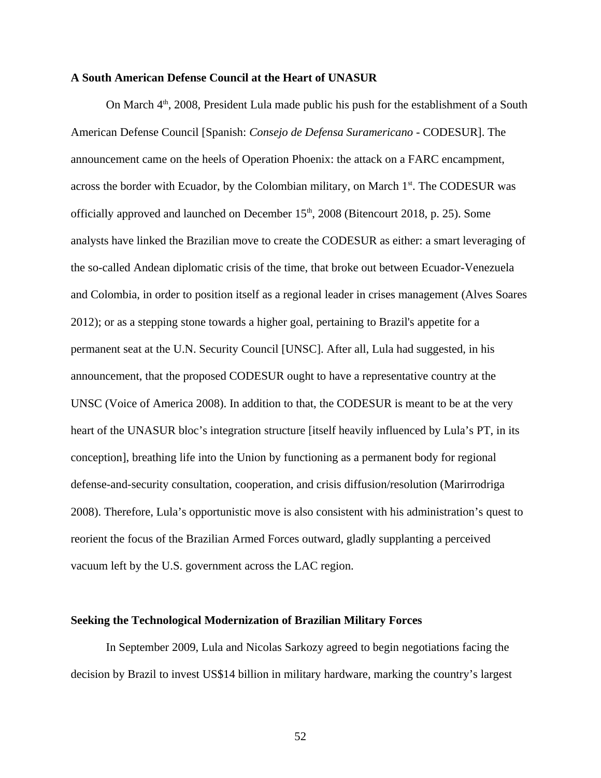## **A South American Defense Council at the Heart of UNASUR**

On March  $4<sup>th</sup>$ , 2008, President Lula made public his push for the establishment of a South American Defense Council [Spanish: *Consejo de Defensa Suramericano* - CODESUR]. The announcement came on the heels of Operation Phoenix: the attack on a FARC encampment, across the border with Ecuador, by the Colombian military, on March  $1<sup>st</sup>$ . The CODESUR was officially approved and launched on December  $15<sup>th</sup>$ , 2008 (Bitencourt 2018, p. 25). Some analysts have linked the Brazilian move to create the CODESUR as either: a smart leveraging of the so-called Andean diplomatic crisis of the time, that broke out between Ecuador-Venezuela and Colombia, in order to position itself as a regional leader in crises management (Alves Soares 2012); or as a stepping stone towards a higher goal, pertaining to Brazil's appetite for a permanent seat at the U.N. Security Council [UNSC]. After all, Lula had suggested, in his announcement, that the proposed CODESUR ought to have a representative country at the UNSC (Voice of America 2008). In addition to that, the CODESUR is meant to be at the very heart of the UNASUR bloc's integration structure [itself heavily influenced by Lula's PT, in its conception], breathing life into the Union by functioning as a permanent body for regional defense-and-security consultation, cooperation, and crisis diffusion/resolution (Marirrodriga 2008). Therefore, Lula's opportunistic move is also consistent with his administration's quest to reorient the focus of the Brazilian Armed Forces outward, gladly supplanting a perceived vacuum left by the U.S. government across the LAC region.

#### **Seeking the Technological Modernization of Brazilian Military Forces**

In September 2009, Lula and Nicolas Sarkozy agreed to begin negotiations facing the decision by Brazil to invest US\$14 billion in military hardware, marking the country's largest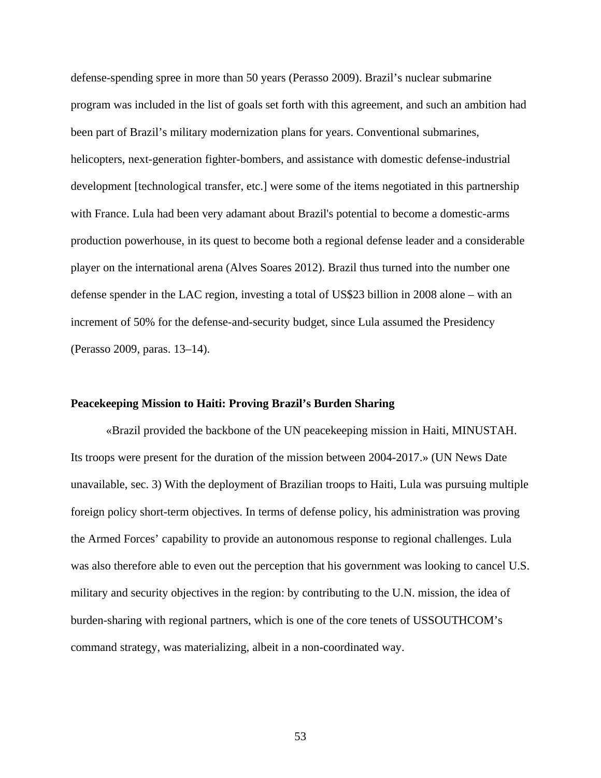defense-spending spree in more than 50 years (Perasso 2009). Brazil's nuclear submarine program was included in the list of goals set forth with this agreement, and such an ambition had been part of Brazil's military modernization plans for years. Conventional submarines, helicopters, next-generation fighter-bombers, and assistance with domestic defense-industrial development [technological transfer, etc.] were some of the items negotiated in this partnership with France. Lula had been very adamant about Brazil's potential to become a domestic-arms production powerhouse, in its quest to become both a regional defense leader and a considerable player on the international arena (Alves Soares 2012). Brazil thus turned into the number one defense spender in the LAC region, investing a total of US\$23 billion in 2008 alone – with an increment of 50% for the defense-and-security budget, since Lula assumed the Presidency (Perasso 2009, paras. 13–14).

## **Peacekeeping Mission to Haiti: Proving Brazil's Burden Sharing**

«Brazil provided the backbone of the UN peacekeeping mission in Haiti, MINUSTAH. Its troops were present for the duration of the mission between 2004-2017.» (UN News Date unavailable, sec. 3) With the deployment of Brazilian troops to Haiti, Lula was pursuing multiple foreign policy short-term objectives. In terms of defense policy, his administration was proving the Armed Forces' capability to provide an autonomous response to regional challenges. Lula was also therefore able to even out the perception that his government was looking to cancel U.S. military and security objectives in the region: by contributing to the U.N. mission, the idea of burden-sharing with regional partners, which is one of the core tenets of USSOUTHCOM's command strategy, was materializing, albeit in a non-coordinated way.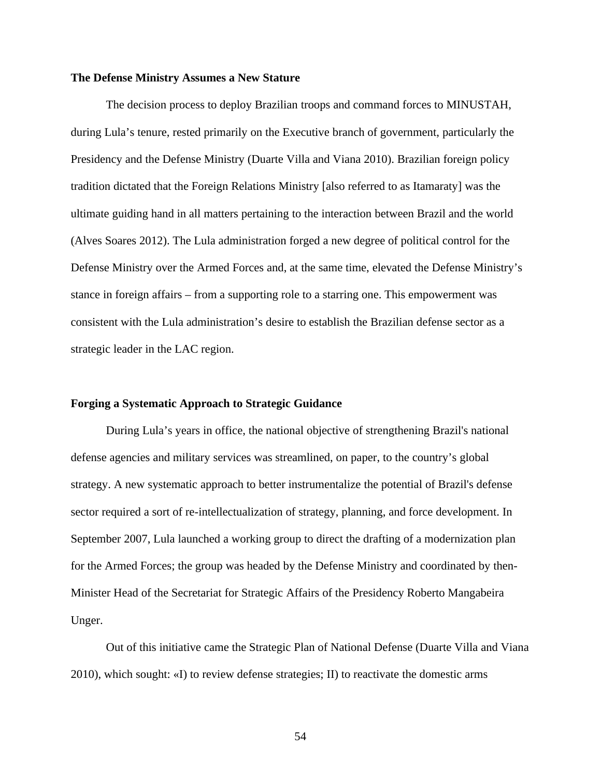#### **The Defense Ministry Assumes a New Stature**

The decision process to deploy Brazilian troops and command forces to MINUSTAH, during Lula's tenure, rested primarily on the Executive branch of government, particularly the Presidency and the Defense Ministry (Duarte Villa and Viana 2010). Brazilian foreign policy tradition dictated that the Foreign Relations Ministry [also referred to as Itamaraty] was the ultimate guiding hand in all matters pertaining to the interaction between Brazil and the world (Alves Soares 2012). The Lula administration forged a new degree of political control for the Defense Ministry over the Armed Forces and, at the same time, elevated the Defense Ministry's stance in foreign affairs – from a supporting role to a starring one. This empowerment was consistent with the Lula administration's desire to establish the Brazilian defense sector as a strategic leader in the LAC region.

## **Forging a Systematic Approach to Strategic Guidance**

During Lula's years in office, the national objective of strengthening Brazil's national defense agencies and military services was streamlined, on paper, to the country's global strategy. A new systematic approach to better instrumentalize the potential of Brazil's defense sector required a sort of re-intellectualization of strategy, planning, and force development. In September 2007, Lula launched a working group to direct the drafting of a modernization plan for the Armed Forces; the group was headed by the Defense Ministry and coordinated by then-Minister Head of the Secretariat for Strategic Affairs of the Presidency Roberto Mangabeira Unger.

Out of this initiative came the Strategic Plan of National Defense (Duarte Villa and Viana 2010), which sought: «I) to review defense strategies; II) to reactivate the domestic arms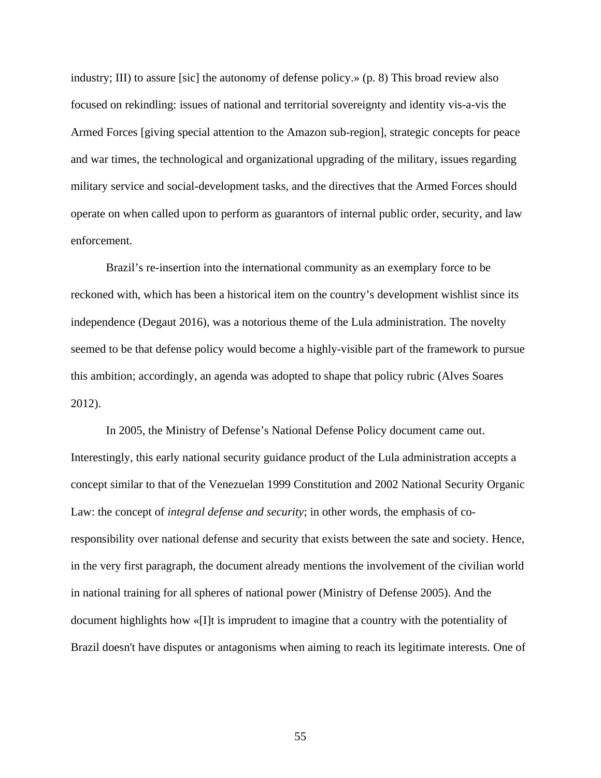industry; III) to assure [sic] the autonomy of defense policy.» (p. 8) This broad review also focused on rekindling: issues of national and territorial sovereignty and identity vis-a-vis the Armed Forces [giving special attention to the Amazon sub-region], strategic concepts for peace and war times, the technological and organizational upgrading of the military, issues regarding military service and social-development tasks, and the directives that the Armed Forces should operate on when called upon to perform as guarantors of internal public order, security, and law enforcement.

Brazil's re-insertion into the international community as an exemplary force to be reckoned with, which has been a historical item on the country's development wishlist since its independence (Degaut 2016), was a notorious theme of the Lula administration. The novelty seemed to be that defense policy would become a highly-visible part of the framework to pursue this ambition; accordingly, an agenda was adopted to shape that policy rubric (Alves Soares 2012).

In 2005, the Ministry of Defense's National Defense Policy document came out. Interestingly, this early national security guidance product of the Lula administration accepts a concept similar to that of the Venezuelan 1999 Constitution and 2002 National Security Organic Law: the concept of *integral defense and security*; in other words, the emphasis of coresponsibility over national defense and security that exists between the sate and society. Hence, in the very first paragraph, the document already mentions the involvement of the civilian world in national training for all spheres of national power (Ministry of Defense 2005). And the document highlights how «[I]t is imprudent to imagine that a country with the potentiality of Brazil doesn't have disputes or antagonisms when aiming to reach its legitimate interests. One of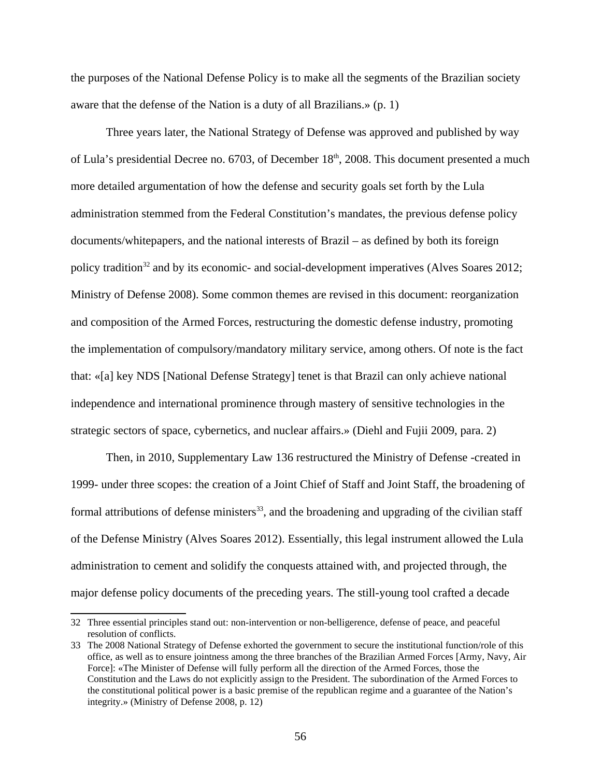the purposes of the National Defense Policy is to make all the segments of the Brazilian society aware that the defense of the Nation is a duty of all Brazilians.» (p. 1)

Three years later, the National Strategy of Defense was approved and published by way of Lula's presidential Decree no. 6703, of December  $18<sup>th</sup>$ , 2008. This document presented a much more detailed argumentation of how the defense and security goals set forth by the Lula administration stemmed from the Federal Constitution's mandates, the previous defense policy documents/whitepapers, and the national interests of Brazil – as defined by both its foreign policy tradition<sup>[32](#page-63-0)</sup> and by its economic- and social-development imperatives (Alves Soares 2012; Ministry of Defense 2008). Some common themes are revised in this document: reorganization and composition of the Armed Forces, restructuring the domestic defense industry, promoting the implementation of compulsory/mandatory military service, among others. Of note is the fact that: «[a] key NDS [National Defense Strategy] tenet is that Brazil can only achieve national independence and international prominence through mastery of sensitive technologies in the strategic sectors of space, cybernetics, and nuclear affairs.» (Diehl and Fujii 2009, para. 2)

Then, in 2010, Supplementary Law 136 restructured the Ministry of Defense -created in 1999- under three scopes: the creation of a Joint Chief of Staff and Joint Staff, the broadening of formal attributions of defense ministers<sup>[33](#page-63-1)</sup>, and the broadening and upgrading of the civilian staff of the Defense Ministry (Alves Soares 2012). Essentially, this legal instrument allowed the Lula administration to cement and solidify the conquests attained with, and projected through, the major defense policy documents of the preceding years. The still-young tool crafted a decade

<span id="page-63-0"></span><sup>32</sup> Three essential principles stand out: non-intervention or non-belligerence, defense of peace, and peaceful resolution of conflicts.

<span id="page-63-1"></span><sup>33</sup> The 2008 National Strategy of Defense exhorted the government to secure the institutional function/role of this office, as well as to ensure jointness among the three branches of the Brazilian Armed Forces [Army, Navy, Air Force]: «The Minister of Defense will fully perform all the direction of the Armed Forces, those the Constitution and the Laws do not explicitly assign to the President. The subordination of the Armed Forces to the constitutional political power is a basic premise of the republican regime and a guarantee of the Nation's integrity.» (Ministry of Defense 2008, p. 12)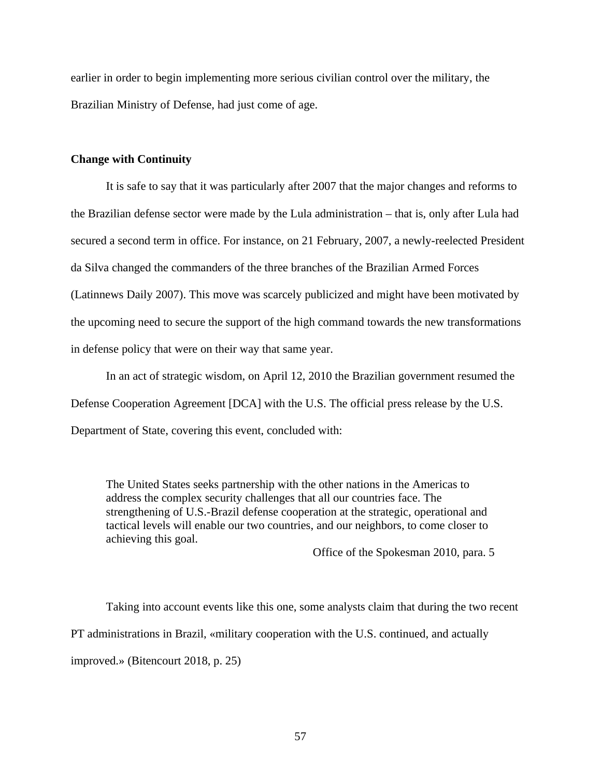earlier in order to begin implementing more serious civilian control over the military, the Brazilian Ministry of Defense, had just come of age.

## **Change with Continuity**

It is safe to say that it was particularly after 2007 that the major changes and reforms to the Brazilian defense sector were made by the Lula administration – that is, only after Lula had secured a second term in office. For instance, on 21 February, 2007, a newly-reelected President da Silva changed the commanders of the three branches of the Brazilian Armed Forces (Latinnews Daily 2007). This move was scarcely publicized and might have been motivated by the upcoming need to secure the support of the high command towards the new transformations in defense policy that were on their way that same year.

In an act of strategic wisdom, on April 12, 2010 the Brazilian government resumed the Defense Cooperation Agreement [DCA] with the U.S. The official press release by the U.S. Department of State, covering this event, concluded with:

The United States seeks partnership with the other nations in the Americas to address the complex security challenges that all our countries face. The strengthening of U.S.-Brazil defense cooperation at the strategic, operational and tactical levels will enable our two countries, and our neighbors, to come closer to achieving this goal.

Office of the Spokesman 2010, para. 5

Taking into account events like this one, some analysts claim that during the two recent PT administrations in Brazil, «military cooperation with the U.S. continued, and actually improved.» (Bitencourt 2018, p. 25)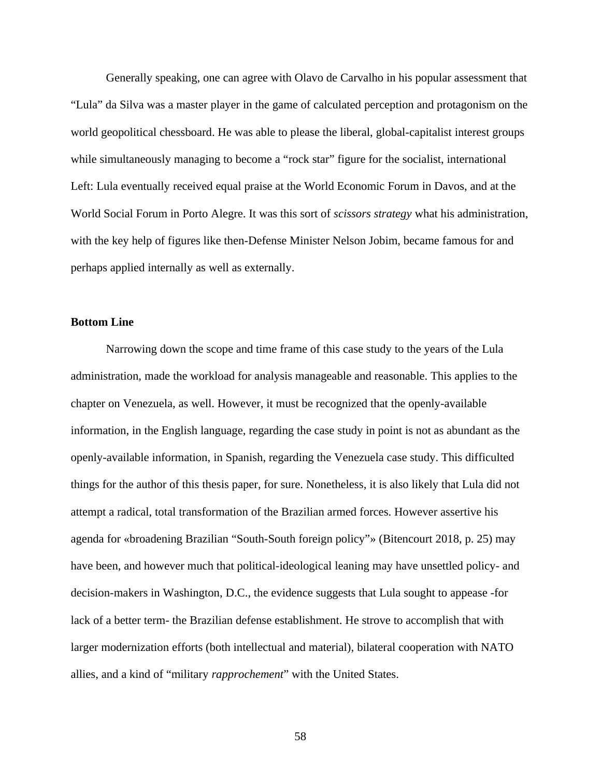Generally speaking, one can agree with Olavo de Carvalho in his popular assessment that "Lula" da Silva was a master player in the game of calculated perception and protagonism on the world geopolitical chessboard. He was able to please the liberal, global-capitalist interest groups while simultaneously managing to become a "rock star" figure for the socialist, international Left: Lula eventually received equal praise at the World Economic Forum in Davos, and at the World Social Forum in Porto Alegre. It was this sort of *scissors strategy* what his administration, with the key help of figures like then-Defense Minister Nelson Jobim, became famous for and perhaps applied internally as well as externally.

# **Bottom Line**

Narrowing down the scope and time frame of this case study to the years of the Lula administration, made the workload for analysis manageable and reasonable. This applies to the chapter on Venezuela, as well. However, it must be recognized that the openly-available information, in the English language, regarding the case study in point is not as abundant as the openly-available information, in Spanish, regarding the Venezuela case study. This difficulted things for the author of this thesis paper, for sure. Nonetheless, it is also likely that Lula did not attempt a radical, total transformation of the Brazilian armed forces. However assertive his agenda for «broadening Brazilian "South-South foreign policy"» (Bitencourt 2018, p. 25) may have been, and however much that political-ideological leaning may have unsettled policy- and decision-makers in Washington, D.C., the evidence suggests that Lula sought to appease -for lack of a better term- the Brazilian defense establishment. He strove to accomplish that with larger modernization efforts (both intellectual and material), bilateral cooperation with NATO allies, and a kind of "military *rapprochement*" with the United States.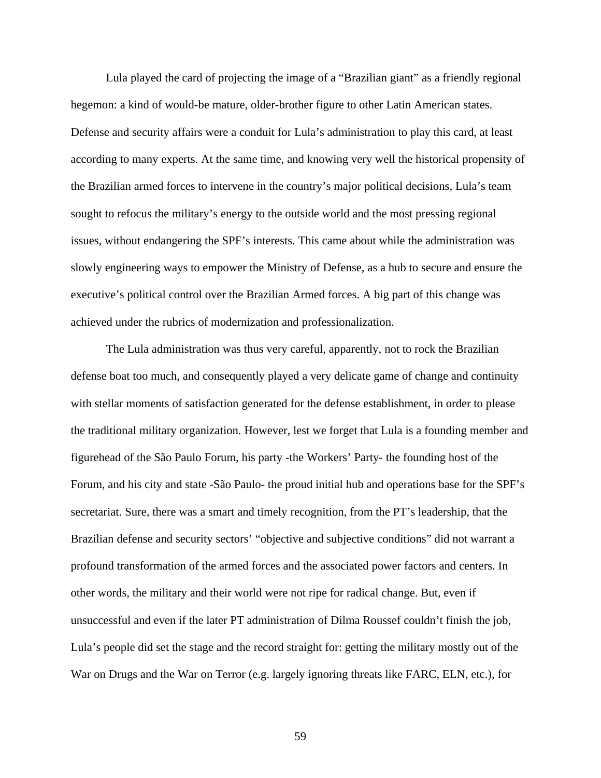Lula played the card of projecting the image of a "Brazilian giant" as a friendly regional hegemon: a kind of would-be mature, older-brother figure to other Latin American states. Defense and security affairs were a conduit for Lula's administration to play this card, at least according to many experts. At the same time, and knowing very well the historical propensity of the Brazilian armed forces to intervene in the country's major political decisions, Lula's team sought to refocus the military's energy to the outside world and the most pressing regional issues, without endangering the SPF's interests. This came about while the administration was slowly engineering ways to empower the Ministry of Defense, as a hub to secure and ensure the executive's political control over the Brazilian Armed forces. A big part of this change was achieved under the rubrics of modernization and professionalization.

The Lula administration was thus very careful, apparently, not to rock the Brazilian defense boat too much, and consequently played a very delicate game of change and continuity with stellar moments of satisfaction generated for the defense establishment, in order to please the traditional military organization. However, lest we forget that Lula is a founding member and figurehead of the São Paulo Forum, his party -the Workers' Party- the founding host of the Forum, and his city and state -São Paulo- the proud initial hub and operations base for the SPF's secretariat. Sure, there was a smart and timely recognition, from the PT's leadership, that the Brazilian defense and security sectors' "objective and subjective conditions" did not warrant a profound transformation of the armed forces and the associated power factors and centers. In other words, the military and their world were not ripe for radical change. But, even if unsuccessful and even if the later PT administration of Dilma Roussef couldn't finish the job, Lula's people did set the stage and the record straight for: getting the military mostly out of the War on Drugs and the War on Terror (e.g. largely ignoring threats like FARC, ELN, etc.), for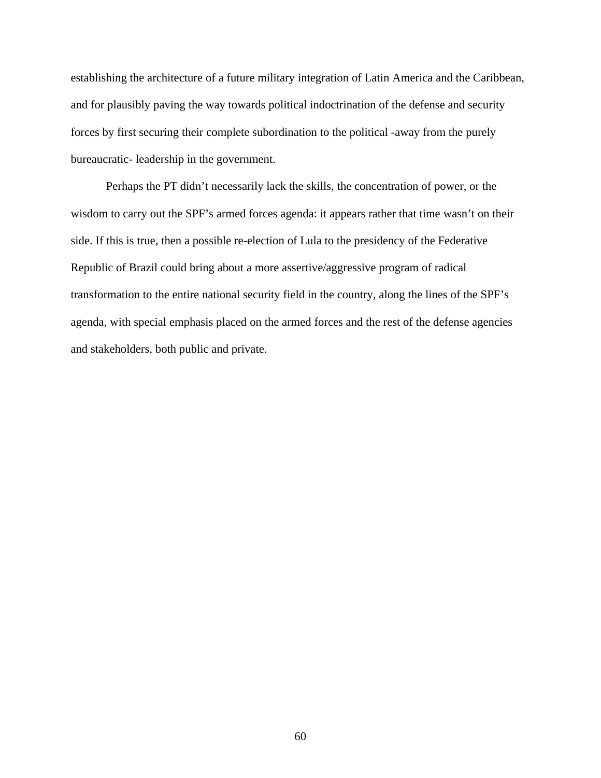establishing the architecture of a future military integration of Latin America and the Caribbean, and for plausibly paving the way towards political indoctrination of the defense and security forces by first securing their complete subordination to the political -away from the purely bureaucratic- leadership in the government.

Perhaps the PT didn't necessarily lack the skills, the concentration of power, or the wisdom to carry out the SPF's armed forces agenda: it appears rather that time wasn't on their side. If this is true, then a possible re-election of Lula to the presidency of the Federative Republic of Brazil could bring about a more assertive/aggressive program of radical transformation to the entire national security field in the country, along the lines of the SPF's agenda, with special emphasis placed on the armed forces and the rest of the defense agencies and stakeholders, both public and private.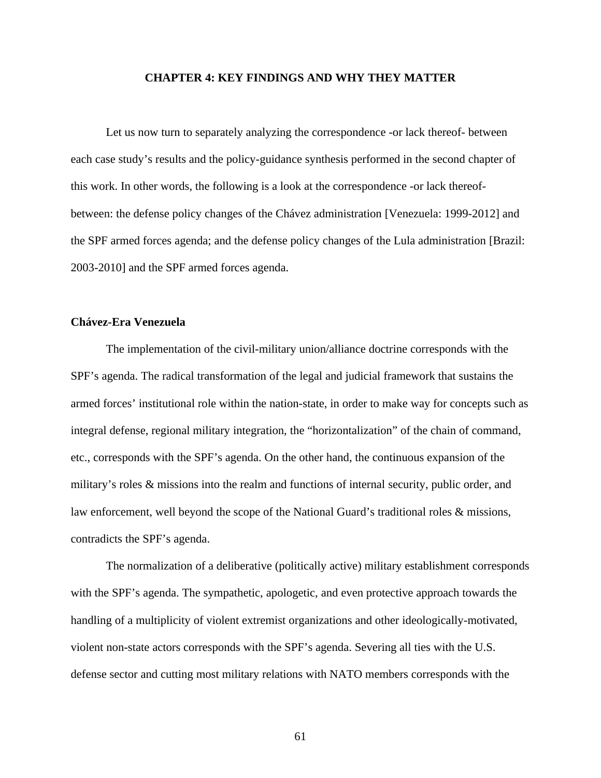## **CHAPTER 4: KEY FINDINGS AND WHY THEY MATTER**

Let us now turn to separately analyzing the correspondence -or lack thereof- between each case study's results and the policy-guidance synthesis performed in the second chapter of this work. In other words, the following is a look at the correspondence -or lack thereofbetween: the defense policy changes of the Chávez administration [Venezuela: 1999-2012] and the SPF armed forces agenda; and the defense policy changes of the Lula administration [Brazil: 2003-2010] and the SPF armed forces agenda.

# **Chávez-Era Venezuela**

The implementation of the civil-military union/alliance doctrine corresponds with the SPF's agenda. The radical transformation of the legal and judicial framework that sustains the armed forces' institutional role within the nation-state, in order to make way for concepts such as integral defense, regional military integration, the "horizontalization" of the chain of command, etc., corresponds with the SPF's agenda. On the other hand, the continuous expansion of the military's roles & missions into the realm and functions of internal security, public order, and law enforcement, well beyond the scope of the National Guard's traditional roles & missions, contradicts the SPF's agenda.

The normalization of a deliberative (politically active) military establishment corresponds with the SPF's agenda. The sympathetic, apologetic, and even protective approach towards the handling of a multiplicity of violent extremist organizations and other ideologically-motivated, violent non-state actors corresponds with the SPF's agenda. Severing all ties with the U.S. defense sector and cutting most military relations with NATO members corresponds with the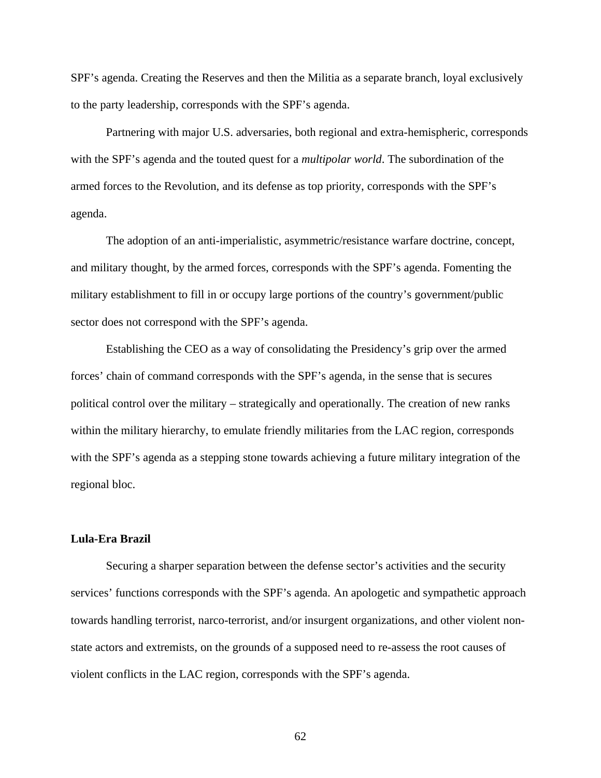SPF's agenda. Creating the Reserves and then the Militia as a separate branch, loyal exclusively to the party leadership, corresponds with the SPF's agenda.

Partnering with major U.S. adversaries, both regional and extra-hemispheric, corresponds with the SPF's agenda and the touted quest for a *multipolar world*. The subordination of the armed forces to the Revolution, and its defense as top priority, corresponds with the SPF's agenda.

The adoption of an anti-imperialistic, asymmetric/resistance warfare doctrine, concept, and military thought, by the armed forces, corresponds with the SPF's agenda. Fomenting the military establishment to fill in or occupy large portions of the country's government/public sector does not correspond with the SPF's agenda.

Establishing the CEO as a way of consolidating the Presidency's grip over the armed forces' chain of command corresponds with the SPF's agenda, in the sense that is secures political control over the military – strategically and operationally. The creation of new ranks within the military hierarchy, to emulate friendly militaries from the LAC region, corresponds with the SPF's agenda as a stepping stone towards achieving a future military integration of the regional bloc.

#### **Lula-Era Brazil**

Securing a sharper separation between the defense sector's activities and the security services' functions corresponds with the SPF's agenda. An apologetic and sympathetic approach towards handling terrorist, narco-terrorist, and/or insurgent organizations, and other violent nonstate actors and extremists, on the grounds of a supposed need to re-assess the root causes of violent conflicts in the LAC region, corresponds with the SPF's agenda.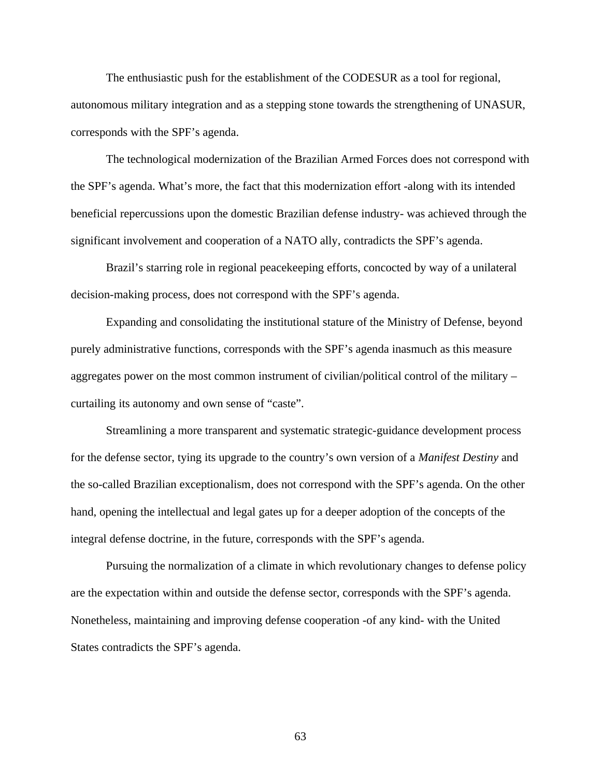The enthusiastic push for the establishment of the CODESUR as a tool for regional, autonomous military integration and as a stepping stone towards the strengthening of UNASUR, corresponds with the SPF's agenda.

The technological modernization of the Brazilian Armed Forces does not correspond with the SPF's agenda. What's more, the fact that this modernization effort -along with its intended beneficial repercussions upon the domestic Brazilian defense industry- was achieved through the significant involvement and cooperation of a NATO ally, contradicts the SPF's agenda.

Brazil's starring role in regional peacekeeping efforts, concocted by way of a unilateral decision-making process, does not correspond with the SPF's agenda.

Expanding and consolidating the institutional stature of the Ministry of Defense, beyond purely administrative functions, corresponds with the SPF's agenda inasmuch as this measure aggregates power on the most common instrument of civilian/political control of the military – curtailing its autonomy and own sense of "caste".

Streamlining a more transparent and systematic strategic-guidance development process for the defense sector, tying its upgrade to the country's own version of a *Manifest Destiny* and the so-called Brazilian exceptionalism, does not correspond with the SPF's agenda. On the other hand, opening the intellectual and legal gates up for a deeper adoption of the concepts of the integral defense doctrine, in the future, corresponds with the SPF's agenda.

Pursuing the normalization of a climate in which revolutionary changes to defense policy are the expectation within and outside the defense sector, corresponds with the SPF's agenda. Nonetheless, maintaining and improving defense cooperation -of any kind- with the United States contradicts the SPF's agenda.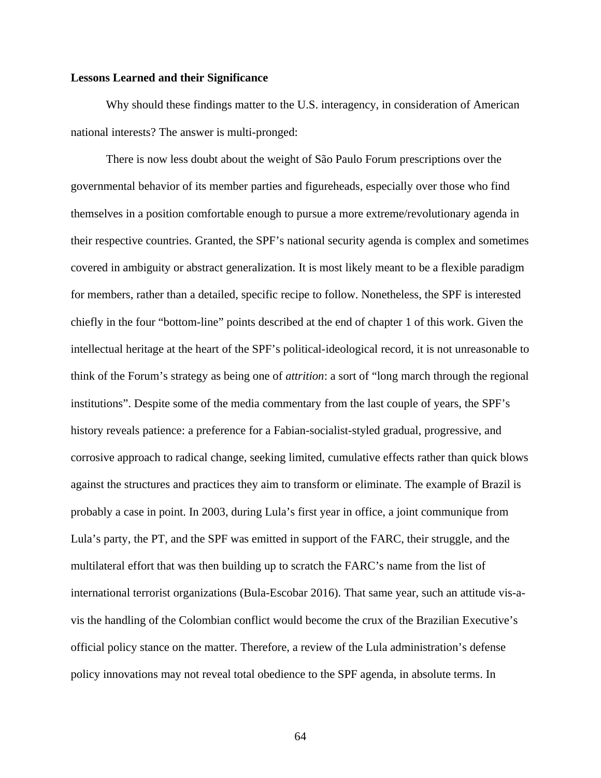#### **Lessons Learned and their Significance**

Why should these findings matter to the U.S. interagency, in consideration of American national interests? The answer is multi-pronged:

There is now less doubt about the weight of São Paulo Forum prescriptions over the governmental behavior of its member parties and figureheads, especially over those who find themselves in a position comfortable enough to pursue a more extreme/revolutionary agenda in their respective countries. Granted, the SPF's national security agenda is complex and sometimes covered in ambiguity or abstract generalization. It is most likely meant to be a flexible paradigm for members, rather than a detailed, specific recipe to follow. Nonetheless, the SPF is interested chiefly in the four "bottom-line" points described at the end of chapter 1 of this work. Given the intellectual heritage at the heart of the SPF's political-ideological record, it is not unreasonable to think of the Forum's strategy as being one of *attrition*: a sort of "long march through the regional institutions". Despite some of the media commentary from the last couple of years, the SPF's history reveals patience: a preference for a Fabian-socialist-styled gradual, progressive, and corrosive approach to radical change, seeking limited, cumulative effects rather than quick blows against the structures and practices they aim to transform or eliminate. The example of Brazil is probably a case in point. In 2003, during Lula's first year in office, a joint communique from Lula's party, the PT, and the SPF was emitted in support of the FARC, their struggle, and the multilateral effort that was then building up to scratch the FARC's name from the list of international terrorist organizations (Bula-Escobar 2016). That same year, such an attitude vis-avis the handling of the Colombian conflict would become the crux of the Brazilian Executive's official policy stance on the matter. Therefore, a review of the Lula administration's defense policy innovations may not reveal total obedience to the SPF agenda, in absolute terms. In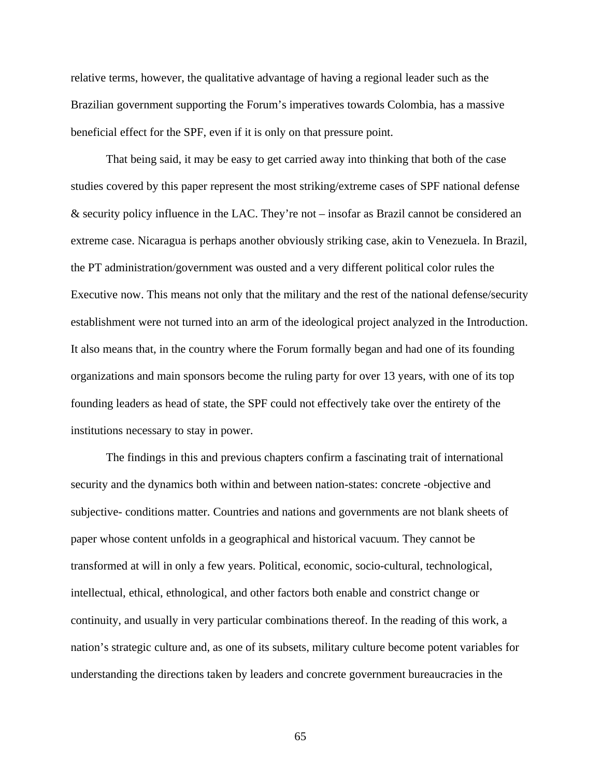relative terms, however, the qualitative advantage of having a regional leader such as the Brazilian government supporting the Forum's imperatives towards Colombia, has a massive beneficial effect for the SPF, even if it is only on that pressure point.

That being said, it may be easy to get carried away into thinking that both of the case studies covered by this paper represent the most striking/extreme cases of SPF national defense & security policy influence in the LAC. They're not – insofar as Brazil cannot be considered an extreme case. Nicaragua is perhaps another obviously striking case, akin to Venezuela. In Brazil, the PT administration/government was ousted and a very different political color rules the Executive now. This means not only that the military and the rest of the national defense/security establishment were not turned into an arm of the ideological project analyzed in the Introduction. It also means that, in the country where the Forum formally began and had one of its founding organizations and main sponsors become the ruling party for over 13 years, with one of its top founding leaders as head of state, the SPF could not effectively take over the entirety of the institutions necessary to stay in power.

The findings in this and previous chapters confirm a fascinating trait of international security and the dynamics both within and between nation-states: concrete -objective and subjective- conditions matter. Countries and nations and governments are not blank sheets of paper whose content unfolds in a geographical and historical vacuum. They cannot be transformed at will in only a few years. Political, economic, socio-cultural, technological, intellectual, ethical, ethnological, and other factors both enable and constrict change or continuity, and usually in very particular combinations thereof. In the reading of this work, a nation's strategic culture and, as one of its subsets, military culture become potent variables for understanding the directions taken by leaders and concrete government bureaucracies in the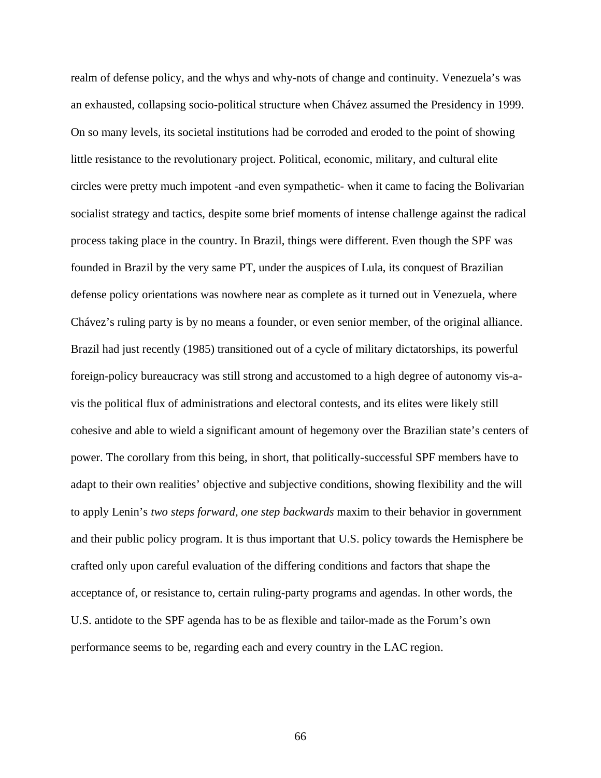realm of defense policy, and the whys and why-nots of change and continuity. Venezuela's was an exhausted, collapsing socio-political structure when Chávez assumed the Presidency in 1999. On so many levels, its societal institutions had be corroded and eroded to the point of showing little resistance to the revolutionary project. Political, economic, military, and cultural elite circles were pretty much impotent -and even sympathetic- when it came to facing the Bolivarian socialist strategy and tactics, despite some brief moments of intense challenge against the radical process taking place in the country. In Brazil, things were different. Even though the SPF was founded in Brazil by the very same PT, under the auspices of Lula, its conquest of Brazilian defense policy orientations was nowhere near as complete as it turned out in Venezuela, where Chávez's ruling party is by no means a founder, or even senior member, of the original alliance. Brazil had just recently (1985) transitioned out of a cycle of military dictatorships, its powerful foreign-policy bureaucracy was still strong and accustomed to a high degree of autonomy vis-avis the political flux of administrations and electoral contests, and its elites were likely still cohesive and able to wield a significant amount of hegemony over the Brazilian state's centers of power. The corollary from this being, in short, that politically-successful SPF members have to adapt to their own realities' objective and subjective conditions, showing flexibility and the will to apply Lenin's *two steps forward, one step backwards* maxim to their behavior in government and their public policy program. It is thus important that U.S. policy towards the Hemisphere be crafted only upon careful evaluation of the differing conditions and factors that shape the acceptance of, or resistance to, certain ruling-party programs and agendas. In other words, the U.S. antidote to the SPF agenda has to be as flexible and tailor-made as the Forum's own performance seems to be, regarding each and every country in the LAC region.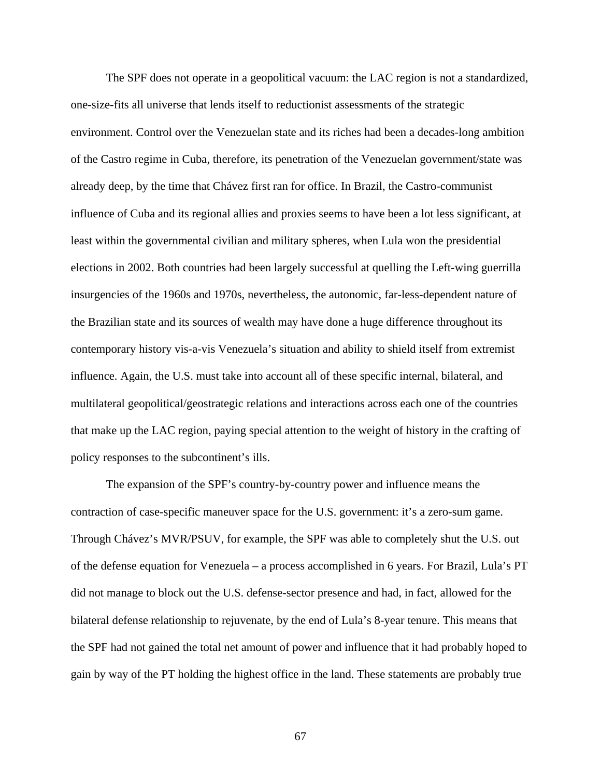The SPF does not operate in a geopolitical vacuum: the LAC region is not a standardized, one-size-fits all universe that lends itself to reductionist assessments of the strategic environment. Control over the Venezuelan state and its riches had been a decades-long ambition of the Castro regime in Cuba, therefore, its penetration of the Venezuelan government/state was already deep, by the time that Chávez first ran for office. In Brazil, the Castro-communist influence of Cuba and its regional allies and proxies seems to have been a lot less significant, at least within the governmental civilian and military spheres, when Lula won the presidential elections in 2002. Both countries had been largely successful at quelling the Left-wing guerrilla insurgencies of the 1960s and 1970s, nevertheless, the autonomic, far-less-dependent nature of the Brazilian state and its sources of wealth may have done a huge difference throughout its contemporary history vis-a-vis Venezuela's situation and ability to shield itself from extremist influence. Again, the U.S. must take into account all of these specific internal, bilateral, and multilateral geopolitical/geostrategic relations and interactions across each one of the countries that make up the LAC region, paying special attention to the weight of history in the crafting of policy responses to the subcontinent's ills.

The expansion of the SPF's country-by-country power and influence means the contraction of case-specific maneuver space for the U.S. government: it's a zero-sum game. Through Chávez's MVR/PSUV, for example, the SPF was able to completely shut the U.S. out of the defense equation for Venezuela – a process accomplished in 6 years. For Brazil, Lula's PT did not manage to block out the U.S. defense-sector presence and had, in fact, allowed for the bilateral defense relationship to rejuvenate, by the end of Lula's 8-year tenure. This means that the SPF had not gained the total net amount of power and influence that it had probably hoped to gain by way of the PT holding the highest office in the land. These statements are probably true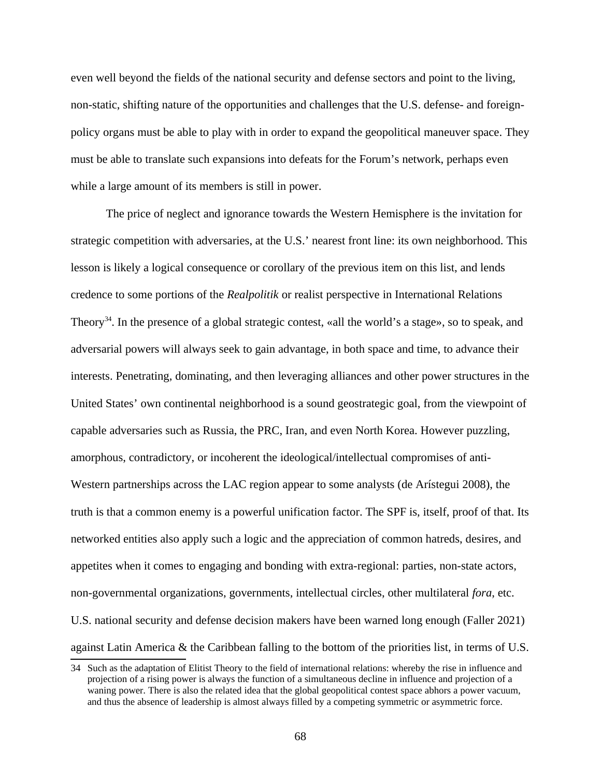even well beyond the fields of the national security and defense sectors and point to the living, non-static, shifting nature of the opportunities and challenges that the U.S. defense- and foreignpolicy organs must be able to play with in order to expand the geopolitical maneuver space. They must be able to translate such expansions into defeats for the Forum's network, perhaps even while a large amount of its members is still in power.

The price of neglect and ignorance towards the Western Hemisphere is the invitation for strategic competition with adversaries, at the U.S.' nearest front line: its own neighborhood. This lesson is likely a logical consequence or corollary of the previous item on this list, and lends credence to some portions of the *Realpolitik* or realist perspective in International Relations Theory<sup>[34](#page-75-0)</sup>. In the presence of a global strategic contest, «all the world's a stage», so to speak, and adversarial powers will always seek to gain advantage, in both space and time, to advance their interests. Penetrating, dominating, and then leveraging alliances and other power structures in the United States' own continental neighborhood is a sound geostrategic goal, from the viewpoint of capable adversaries such as Russia, the PRC, Iran, and even North Korea. However puzzling, amorphous, contradictory, or incoherent the ideological/intellectual compromises of anti-Western partnerships across the LAC region appear to some analysts (de Arístegui 2008), the truth is that a common enemy is a powerful unification factor. The SPF is, itself, proof of that. Its networked entities also apply such a logic and the appreciation of common hatreds, desires, and appetites when it comes to engaging and bonding with extra-regional: parties, non-state actors, non-governmental organizations, governments, intellectual circles, other multilateral *fora*, etc. U.S. national security and defense decision makers have been warned long enough (Faller 2021) against Latin America & the Caribbean falling to the bottom of the priorities list, in terms of U.S.

<span id="page-75-0"></span><sup>34</sup> Such as the adaptation of Elitist Theory to the field of international relations: whereby the rise in influence and projection of a rising power is always the function of a simultaneous decline in influence and projection of a waning power. There is also the related idea that the global geopolitical contest space abhors a power vacuum, and thus the absence of leadership is almost always filled by a competing symmetric or asymmetric force.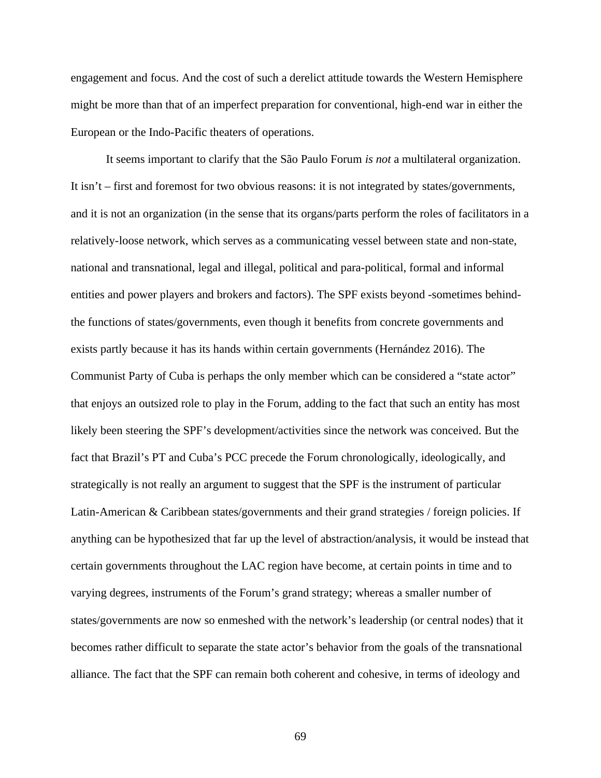engagement and focus. And the cost of such a derelict attitude towards the Western Hemisphere might be more than that of an imperfect preparation for conventional, high-end war in either the European or the Indo-Pacific theaters of operations.

It seems important to clarify that the São Paulo Forum *is not* a multilateral organization. It isn't – first and foremost for two obvious reasons: it is not integrated by states/governments, and it is not an organization (in the sense that its organs/parts perform the roles of facilitators in a relatively-loose network, which serves as a communicating vessel between state and non-state, national and transnational, legal and illegal, political and para-political, formal and informal entities and power players and brokers and factors). The SPF exists beyond -sometimes behindthe functions of states/governments, even though it benefits from concrete governments and exists partly because it has its hands within certain governments (Hernández 2016). The Communist Party of Cuba is perhaps the only member which can be considered a "state actor" that enjoys an outsized role to play in the Forum, adding to the fact that such an entity has most likely been steering the SPF's development/activities since the network was conceived. But the fact that Brazil's PT and Cuba's PCC precede the Forum chronologically, ideologically, and strategically is not really an argument to suggest that the SPF is the instrument of particular Latin-American & Caribbean states/governments and their grand strategies / foreign policies. If anything can be hypothesized that far up the level of abstraction/analysis, it would be instead that certain governments throughout the LAC region have become, at certain points in time and to varying degrees, instruments of the Forum's grand strategy; whereas a smaller number of states/governments are now so enmeshed with the network's leadership (or central nodes) that it becomes rather difficult to separate the state actor's behavior from the goals of the transnational alliance. The fact that the SPF can remain both coherent and cohesive, in terms of ideology and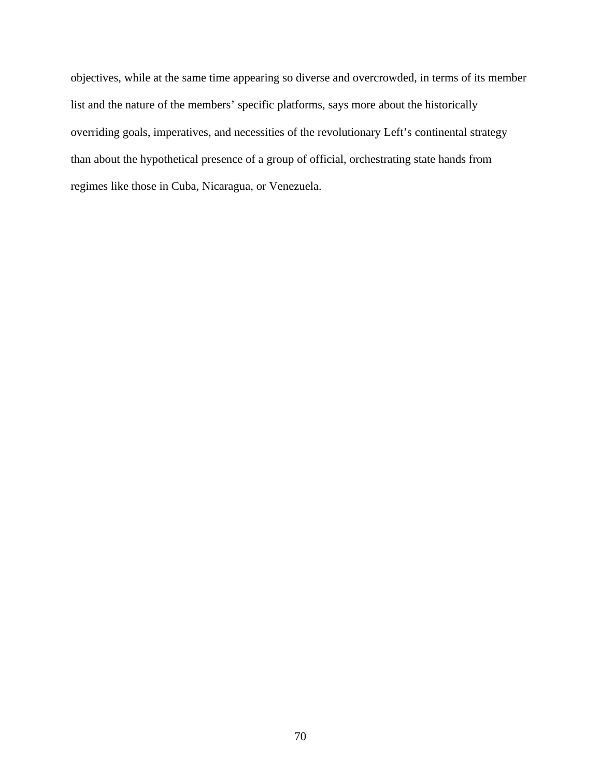objectives, while at the same time appearing so diverse and overcrowded, in terms of its member list and the nature of the members' specific platforms, says more about the historically overriding goals, imperatives, and necessities of the revolutionary Left's continental strategy than about the hypothetical presence of a group of official, orchestrating state hands from regimes like those in Cuba, Nicaragua, or Venezuela.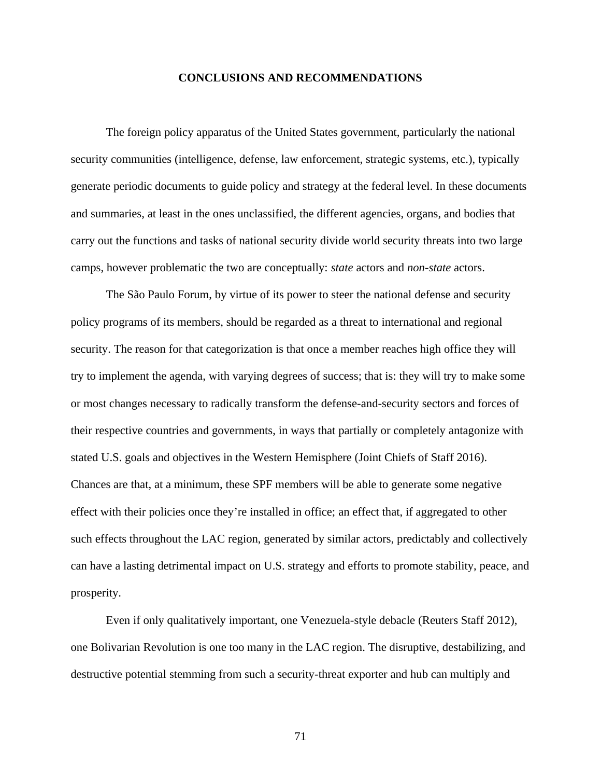#### **CONCLUSIONS AND RECOMMENDATIONS**

The foreign policy apparatus of the United States government, particularly the national security communities (intelligence, defense, law enforcement, strategic systems, etc.), typically generate periodic documents to guide policy and strategy at the federal level. In these documents and summaries, at least in the ones unclassified, the different agencies, organs, and bodies that carry out the functions and tasks of national security divide world security threats into two large camps, however problematic the two are conceptually: *state* actors and *non-state* actors.

The São Paulo Forum, by virtue of its power to steer the national defense and security policy programs of its members, should be regarded as a threat to international and regional security. The reason for that categorization is that once a member reaches high office they will try to implement the agenda, with varying degrees of success; that is: they will try to make some or most changes necessary to radically transform the defense-and-security sectors and forces of their respective countries and governments, in ways that partially or completely antagonize with stated U.S. goals and objectives in the Western Hemisphere (Joint Chiefs of Staff 2016). Chances are that, at a minimum, these SPF members will be able to generate some negative effect with their policies once they're installed in office; an effect that, if aggregated to other such effects throughout the LAC region, generated by similar actors, predictably and collectively can have a lasting detrimental impact on U.S. strategy and efforts to promote stability, peace, and prosperity.

Even if only qualitatively important, one Venezuela-style debacle (Reuters Staff 2012), one Bolivarian Revolution is one too many in the LAC region. The disruptive, destabilizing, and destructive potential stemming from such a security-threat exporter and hub can multiply and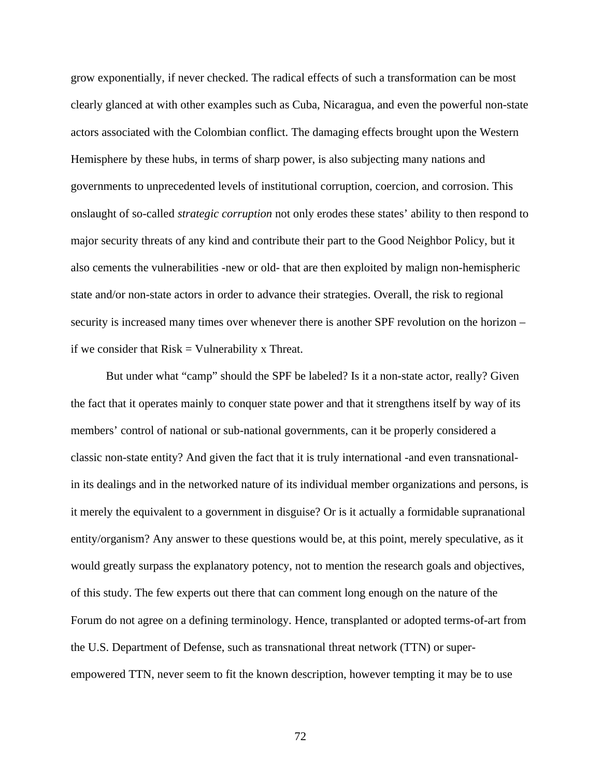grow exponentially, if never checked. The radical effects of such a transformation can be most clearly glanced at with other examples such as Cuba, Nicaragua, and even the powerful non-state actors associated with the Colombian conflict. The damaging effects brought upon the Western Hemisphere by these hubs, in terms of sharp power, is also subjecting many nations and governments to unprecedented levels of institutional corruption, coercion, and corrosion. This onslaught of so-called *strategic corruption* not only erodes these states' ability to then respond to major security threats of any kind and contribute their part to the Good Neighbor Policy, but it also cements the vulnerabilities -new or old- that are then exploited by malign non-hemispheric state and/or non-state actors in order to advance their strategies. Overall, the risk to regional security is increased many times over whenever there is another SPF revolution on the horizon – if we consider that  $Risk = Valnerability \times Thread$ .

But under what "camp" should the SPF be labeled? Is it a non-state actor, really? Given the fact that it operates mainly to conquer state power and that it strengthens itself by way of its members' control of national or sub-national governments, can it be properly considered a classic non-state entity? And given the fact that it is truly international -and even transnationalin its dealings and in the networked nature of its individual member organizations and persons, is it merely the equivalent to a government in disguise? Or is it actually a formidable supranational entity/organism? Any answer to these questions would be, at this point, merely speculative, as it would greatly surpass the explanatory potency, not to mention the research goals and objectives, of this study. The few experts out there that can comment long enough on the nature of the Forum do not agree on a defining terminology. Hence, transplanted or adopted terms-of-art from the U.S. Department of Defense, such as transnational threat network (TTN) or superempowered TTN, never seem to fit the known description, however tempting it may be to use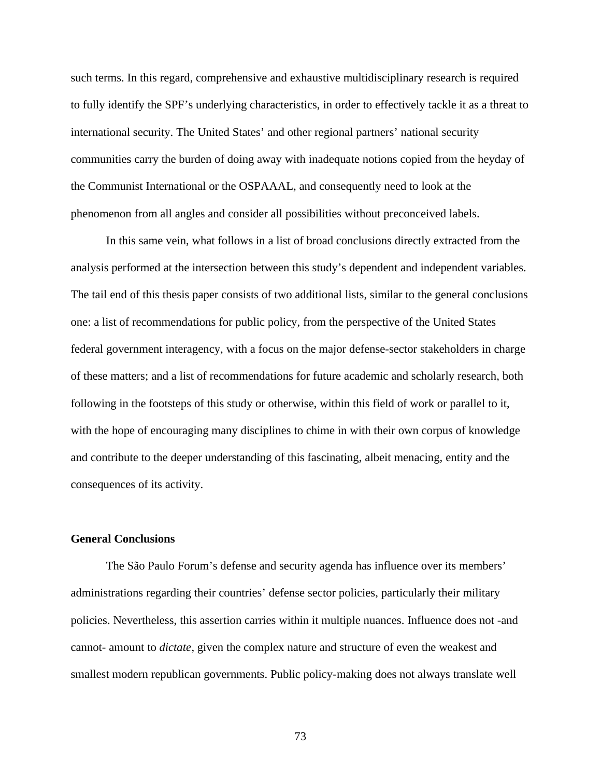such terms. In this regard, comprehensive and exhaustive multidisciplinary research is required to fully identify the SPF's underlying characteristics, in order to effectively tackle it as a threat to international security. The United States' and other regional partners' national security communities carry the burden of doing away with inadequate notions copied from the heyday of the Communist International or the OSPAAAL, and consequently need to look at the phenomenon from all angles and consider all possibilities without preconceived labels.

In this same vein, what follows in a list of broad conclusions directly extracted from the analysis performed at the intersection between this study's dependent and independent variables. The tail end of this thesis paper consists of two additional lists, similar to the general conclusions one: a list of recommendations for public policy, from the perspective of the United States federal government interagency, with a focus on the major defense-sector stakeholders in charge of these matters; and a list of recommendations for future academic and scholarly research, both following in the footsteps of this study or otherwise, within this field of work or parallel to it, with the hope of encouraging many disciplines to chime in with their own corpus of knowledge and contribute to the deeper understanding of this fascinating, albeit menacing, entity and the consequences of its activity.

### **General Conclusions**

The São Paulo Forum's defense and security agenda has influence over its members' administrations regarding their countries' defense sector policies, particularly their military policies. Nevertheless, this assertion carries within it multiple nuances. Influence does not -and cannot- amount to *dictate*, given the complex nature and structure of even the weakest and smallest modern republican governments. Public policy-making does not always translate well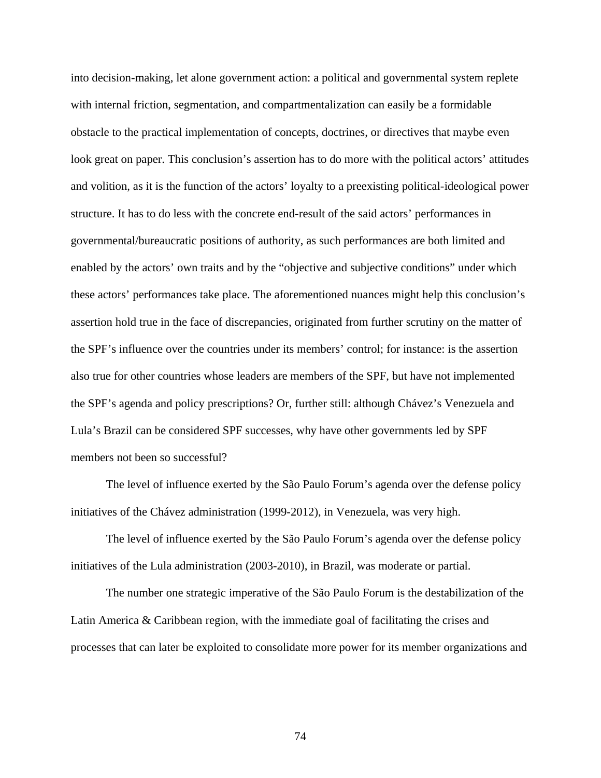into decision-making, let alone government action: a political and governmental system replete with internal friction, segmentation, and compartmentalization can easily be a formidable obstacle to the practical implementation of concepts, doctrines, or directives that maybe even look great on paper. This conclusion's assertion has to do more with the political actors' attitudes and volition, as it is the function of the actors' loyalty to a preexisting political-ideological power structure. It has to do less with the concrete end-result of the said actors' performances in governmental/bureaucratic positions of authority, as such performances are both limited and enabled by the actors' own traits and by the "objective and subjective conditions" under which these actors' performances take place. The aforementioned nuances might help this conclusion's assertion hold true in the face of discrepancies, originated from further scrutiny on the matter of the SPF's influence over the countries under its members' control; for instance: is the assertion also true for other countries whose leaders are members of the SPF, but have not implemented the SPF's agenda and policy prescriptions? Or, further still: although Chávez's Venezuela and Lula's Brazil can be considered SPF successes, why have other governments led by SPF members not been so successful?

The level of influence exerted by the São Paulo Forum's agenda over the defense policy initiatives of the Chávez administration (1999-2012), in Venezuela, was very high.

The level of influence exerted by the São Paulo Forum's agenda over the defense policy initiatives of the Lula administration (2003-2010), in Brazil, was moderate or partial.

The number one strategic imperative of the São Paulo Forum is the destabilization of the Latin America & Caribbean region, with the immediate goal of facilitating the crises and processes that can later be exploited to consolidate more power for its member organizations and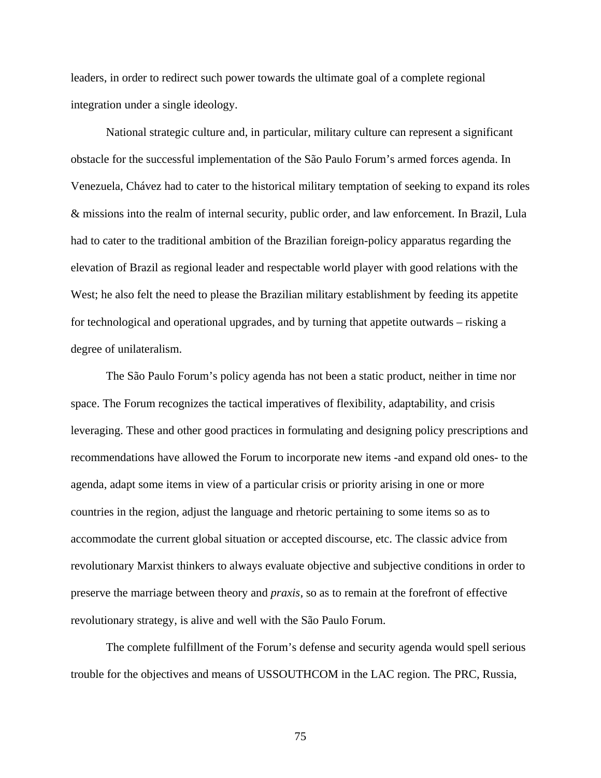leaders, in order to redirect such power towards the ultimate goal of a complete regional integration under a single ideology.

National strategic culture and, in particular, military culture can represent a significant obstacle for the successful implementation of the São Paulo Forum's armed forces agenda. In Venezuela, Chávez had to cater to the historical military temptation of seeking to expand its roles & missions into the realm of internal security, public order, and law enforcement. In Brazil, Lula had to cater to the traditional ambition of the Brazilian foreign-policy apparatus regarding the elevation of Brazil as regional leader and respectable world player with good relations with the West; he also felt the need to please the Brazilian military establishment by feeding its appetite for technological and operational upgrades, and by turning that appetite outwards – risking a degree of unilateralism.

The São Paulo Forum's policy agenda has not been a static product, neither in time nor space. The Forum recognizes the tactical imperatives of flexibility, adaptability, and crisis leveraging. These and other good practices in formulating and designing policy prescriptions and recommendations have allowed the Forum to incorporate new items -and expand old ones- to the agenda, adapt some items in view of a particular crisis or priority arising in one or more countries in the region, adjust the language and rhetoric pertaining to some items so as to accommodate the current global situation or accepted discourse, etc. The classic advice from revolutionary Marxist thinkers to always evaluate objective and subjective conditions in order to preserve the marriage between theory and *praxis*, so as to remain at the forefront of effective revolutionary strategy, is alive and well with the São Paulo Forum.

The complete fulfillment of the Forum's defense and security agenda would spell serious trouble for the objectives and means of USSOUTHCOM in the LAC region. The PRC, Russia,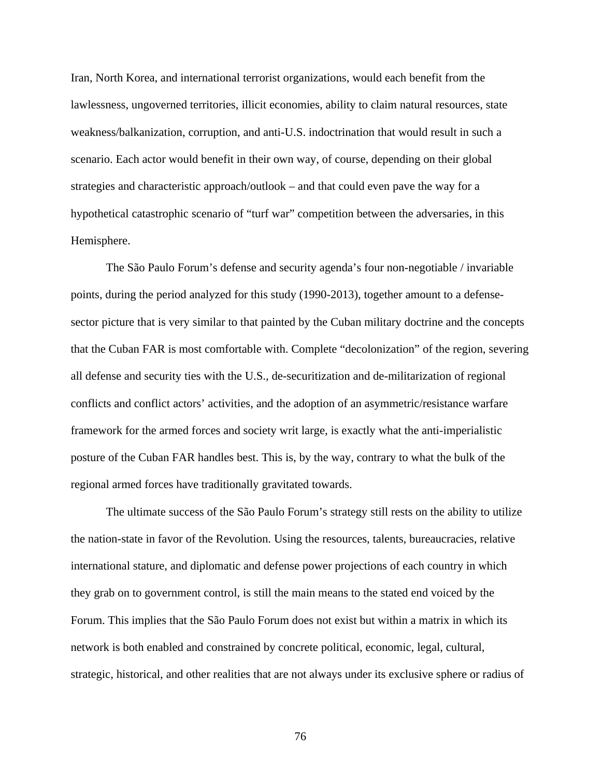Iran, North Korea, and international terrorist organizations, would each benefit from the lawlessness, ungoverned territories, illicit economies, ability to claim natural resources, state weakness/balkanization, corruption, and anti-U.S. indoctrination that would result in such a scenario. Each actor would benefit in their own way, of course, depending on their global strategies and characteristic approach/outlook – and that could even pave the way for a hypothetical catastrophic scenario of "turf war" competition between the adversaries, in this Hemisphere.

The São Paulo Forum's defense and security agenda's four non-negotiable / invariable points, during the period analyzed for this study (1990-2013), together amount to a defensesector picture that is very similar to that painted by the Cuban military doctrine and the concepts that the Cuban FAR is most comfortable with. Complete "decolonization" of the region, severing all defense and security ties with the U.S., de-securitization and de-militarization of regional conflicts and conflict actors' activities, and the adoption of an asymmetric/resistance warfare framework for the armed forces and society writ large, is exactly what the anti-imperialistic posture of the Cuban FAR handles best. This is, by the way, contrary to what the bulk of the regional armed forces have traditionally gravitated towards.

The ultimate success of the São Paulo Forum's strategy still rests on the ability to utilize the nation-state in favor of the Revolution. Using the resources, talents, bureaucracies, relative international stature, and diplomatic and defense power projections of each country in which they grab on to government control, is still the main means to the stated end voiced by the Forum. This implies that the São Paulo Forum does not exist but within a matrix in which its network is both enabled and constrained by concrete political, economic, legal, cultural, strategic, historical, and other realities that are not always under its exclusive sphere or radius of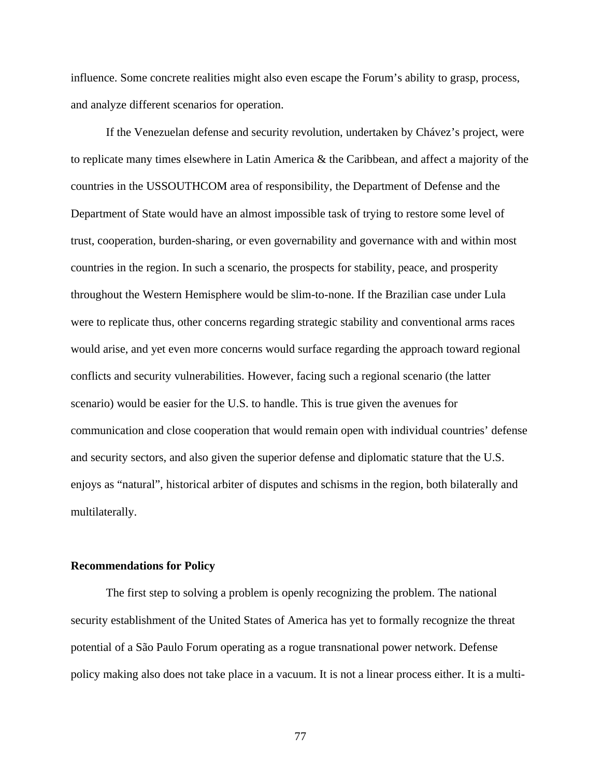influence. Some concrete realities might also even escape the Forum's ability to grasp, process, and analyze different scenarios for operation.

If the Venezuelan defense and security revolution, undertaken by Chávez's project, were to replicate many times elsewhere in Latin America & the Caribbean, and affect a majority of the countries in the USSOUTHCOM area of responsibility, the Department of Defense and the Department of State would have an almost impossible task of trying to restore some level of trust, cooperation, burden-sharing, or even governability and governance with and within most countries in the region. In such a scenario, the prospects for stability, peace, and prosperity throughout the Western Hemisphere would be slim-to-none. If the Brazilian case under Lula were to replicate thus, other concerns regarding strategic stability and conventional arms races would arise, and yet even more concerns would surface regarding the approach toward regional conflicts and security vulnerabilities. However, facing such a regional scenario (the latter scenario) would be easier for the U.S. to handle. This is true given the avenues for communication and close cooperation that would remain open with individual countries' defense and security sectors, and also given the superior defense and diplomatic stature that the U.S. enjoys as "natural", historical arbiter of disputes and schisms in the region, both bilaterally and multilaterally.

#### **Recommendations for Policy**

The first step to solving a problem is openly recognizing the problem. The national security establishment of the United States of America has yet to formally recognize the threat potential of a São Paulo Forum operating as a rogue transnational power network. Defense policy making also does not take place in a vacuum. It is not a linear process either. It is a multi-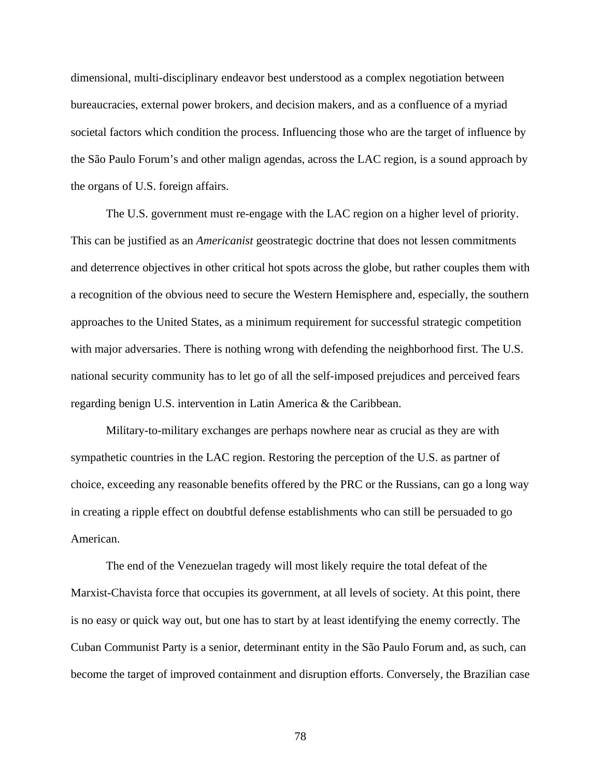dimensional, multi-disciplinary endeavor best understood as a complex negotiation between bureaucracies, external power brokers, and decision makers, and as a confluence of a myriad societal factors which condition the process. Influencing those who are the target of influence by the São Paulo Forum's and other malign agendas, across the LAC region, is a sound approach by the organs of U.S. foreign affairs.

The U.S. government must re-engage with the LAC region on a higher level of priority. This can be justified as an *Americanist* geostrategic doctrine that does not lessen commitments and deterrence objectives in other critical hot spots across the globe, but rather couples them with a recognition of the obvious need to secure the Western Hemisphere and, especially, the southern approaches to the United States, as a minimum requirement for successful strategic competition with major adversaries. There is nothing wrong with defending the neighborhood first. The U.S. national security community has to let go of all the self-imposed prejudices and perceived fears regarding benign U.S. intervention in Latin America & the Caribbean.

Military-to-military exchanges are perhaps nowhere near as crucial as they are with sympathetic countries in the LAC region. Restoring the perception of the U.S. as partner of choice, exceeding any reasonable benefits offered by the PRC or the Russians, can go a long way in creating a ripple effect on doubtful defense establishments who can still be persuaded to go American.

The end of the Venezuelan tragedy will most likely require the total defeat of the Marxist-Chavista force that occupies its government, at all levels of society. At this point, there is no easy or quick way out, but one has to start by at least identifying the enemy correctly. The Cuban Communist Party is a senior, determinant entity in the São Paulo Forum and, as such, can become the target of improved containment and disruption efforts. Conversely, the Brazilian case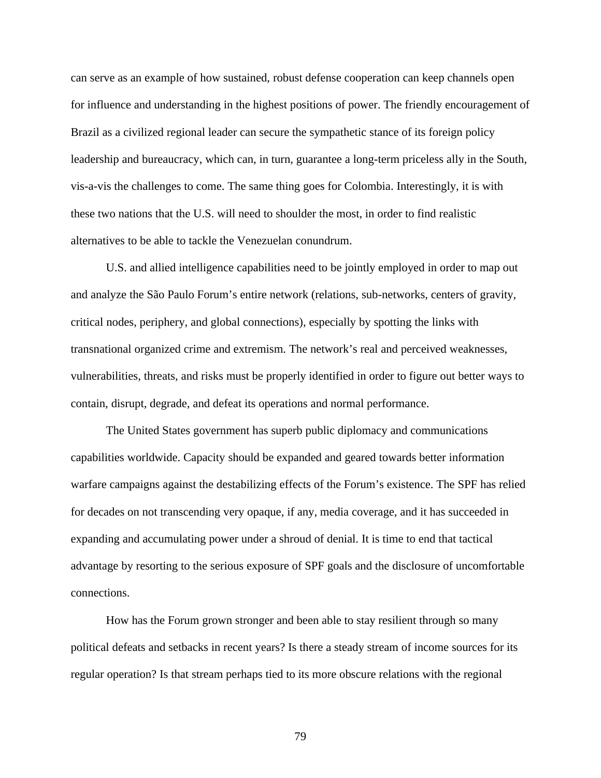can serve as an example of how sustained, robust defense cooperation can keep channels open for influence and understanding in the highest positions of power. The friendly encouragement of Brazil as a civilized regional leader can secure the sympathetic stance of its foreign policy leadership and bureaucracy, which can, in turn, guarantee a long-term priceless ally in the South, vis-a-vis the challenges to come. The same thing goes for Colombia. Interestingly, it is with these two nations that the U.S. will need to shoulder the most, in order to find realistic alternatives to be able to tackle the Venezuelan conundrum.

U.S. and allied intelligence capabilities need to be jointly employed in order to map out and analyze the São Paulo Forum's entire network (relations, sub-networks, centers of gravity, critical nodes, periphery, and global connections), especially by spotting the links with transnational organized crime and extremism. The network's real and perceived weaknesses, vulnerabilities, threats, and risks must be properly identified in order to figure out better ways to contain, disrupt, degrade, and defeat its operations and normal performance.

The United States government has superb public diplomacy and communications capabilities worldwide. Capacity should be expanded and geared towards better information warfare campaigns against the destabilizing effects of the Forum's existence. The SPF has relied for decades on not transcending very opaque, if any, media coverage, and it has succeeded in expanding and accumulating power under a shroud of denial. It is time to end that tactical advantage by resorting to the serious exposure of SPF goals and the disclosure of uncomfortable connections.

How has the Forum grown stronger and been able to stay resilient through so many political defeats and setbacks in recent years? Is there a steady stream of income sources for its regular operation? Is that stream perhaps tied to its more obscure relations with the regional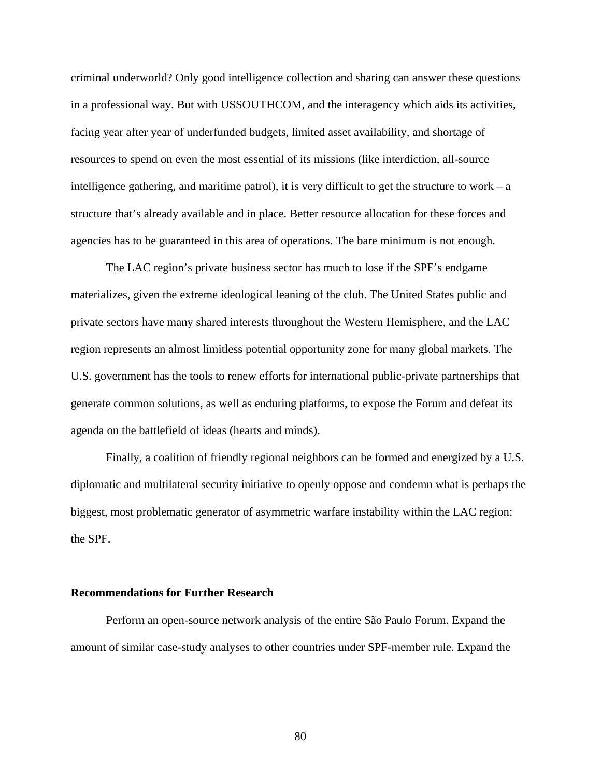criminal underworld? Only good intelligence collection and sharing can answer these questions in a professional way. But with USSOUTHCOM, and the interagency which aids its activities, facing year after year of underfunded budgets, limited asset availability, and shortage of resources to spend on even the most essential of its missions (like interdiction, all-source intelligence gathering, and maritime patrol), it is very difficult to get the structure to work  $-$  a structure that's already available and in place. Better resource allocation for these forces and agencies has to be guaranteed in this area of operations. The bare minimum is not enough.

The LAC region's private business sector has much to lose if the SPF's endgame materializes, given the extreme ideological leaning of the club. The United States public and private sectors have many shared interests throughout the Western Hemisphere, and the LAC region represents an almost limitless potential opportunity zone for many global markets. The U.S. government has the tools to renew efforts for international public-private partnerships that generate common solutions, as well as enduring platforms, to expose the Forum and defeat its agenda on the battlefield of ideas (hearts and minds).

Finally, a coalition of friendly regional neighbors can be formed and energized by a U.S. diplomatic and multilateral security initiative to openly oppose and condemn what is perhaps the biggest, most problematic generator of asymmetric warfare instability within the LAC region: the SPF.

## **Recommendations for Further Research**

Perform an open-source network analysis of the entire São Paulo Forum. Expand the amount of similar case-study analyses to other countries under SPF-member rule. Expand the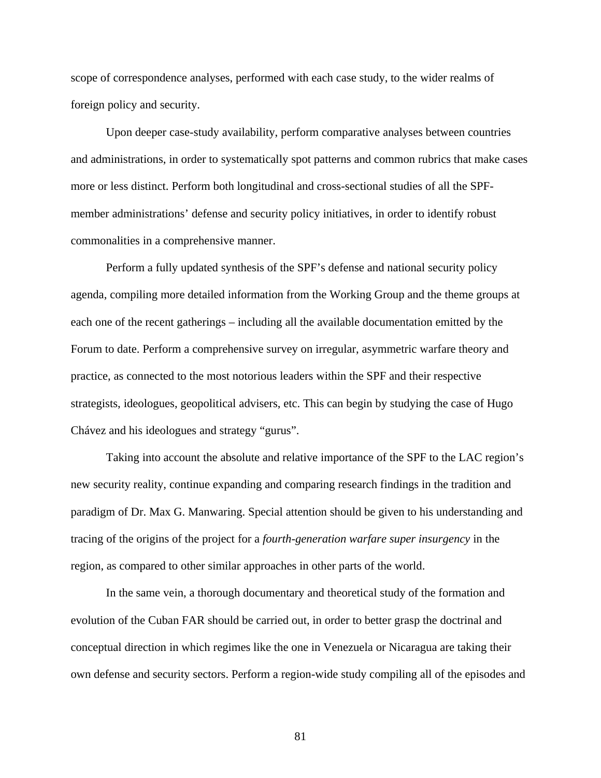scope of correspondence analyses, performed with each case study, to the wider realms of foreign policy and security.

Upon deeper case-study availability, perform comparative analyses between countries and administrations, in order to systematically spot patterns and common rubrics that make cases more or less distinct. Perform both longitudinal and cross-sectional studies of all the SPFmember administrations' defense and security policy initiatives, in order to identify robust commonalities in a comprehensive manner.

Perform a fully updated synthesis of the SPF's defense and national security policy agenda, compiling more detailed information from the Working Group and the theme groups at each one of the recent gatherings – including all the available documentation emitted by the Forum to date. Perform a comprehensive survey on irregular, asymmetric warfare theory and practice, as connected to the most notorious leaders within the SPF and their respective strategists, ideologues, geopolitical advisers, etc. This can begin by studying the case of Hugo Chávez and his ideologues and strategy "gurus".

Taking into account the absolute and relative importance of the SPF to the LAC region's new security reality, continue expanding and comparing research findings in the tradition and paradigm of Dr. Max G. Manwaring. Special attention should be given to his understanding and tracing of the origins of the project for a *fourth-generation warfare super insurgency* in the region, as compared to other similar approaches in other parts of the world.

In the same vein, a thorough documentary and theoretical study of the formation and evolution of the Cuban FAR should be carried out, in order to better grasp the doctrinal and conceptual direction in which regimes like the one in Venezuela or Nicaragua are taking their own defense and security sectors. Perform a region-wide study compiling all of the episodes and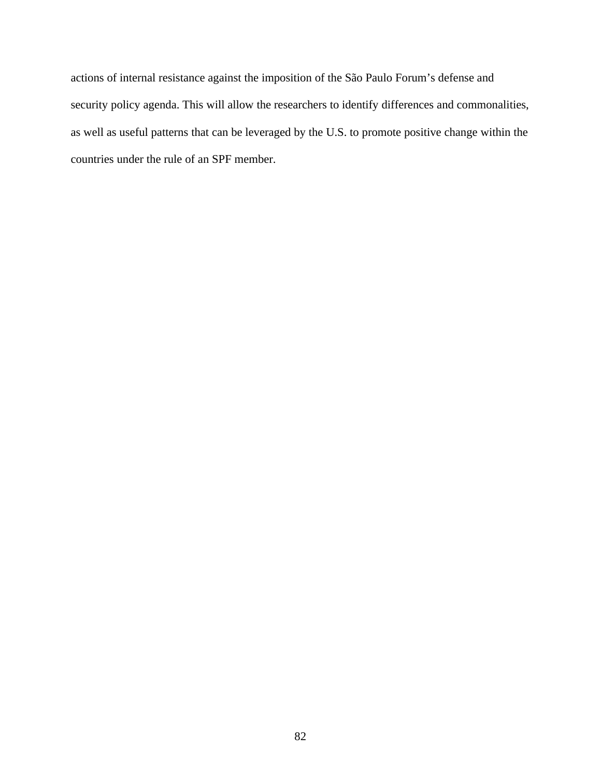actions of internal resistance against the imposition of the São Paulo Forum's defense and security policy agenda. This will allow the researchers to identify differences and commonalities, as well as useful patterns that can be leveraged by the U.S. to promote positive change within the countries under the rule of an SPF member.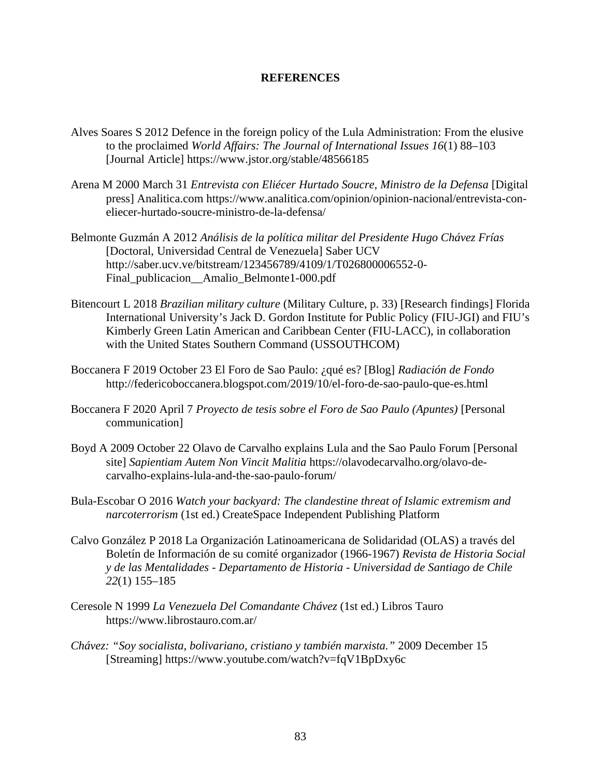# **REFERENCES**

- Alves Soares S 2012 Defence in the foreign policy of the Lula Administration: From the elusive to the proclaimed *World Affairs: The Journal of International Issues 16*(1) 88–103 [Journal Article] https://www.jstor.org/stable/48566185
- Arena M 2000 March 31 *Entrevista con Eliécer Hurtado Soucre, Ministro de la Defensa* [Digital press] Analitica.com https://www.analitica.com/opinion/opinion-nacional/entrevista-coneliecer-hurtado-soucre-ministro-de-la-defensa/
- Belmonte Guzmán A 2012 *Análisis de la política militar del Presidente Hugo Chávez Frías* [Doctoral, Universidad Central de Venezuela] Saber UCV http://saber.ucv.ve/bitstream/123456789/4109/1/T026800006552-0- Final publicacion Amalio Belmonte1-000.pdf
- Bitencourt L 2018 *Brazilian military culture* (Military Culture, p. 33) [Research findings] Florida International University's Jack D. Gordon Institute for Public Policy (FIU-JGI) and FIU's Kimberly Green Latin American and Caribbean Center (FIU-LACC), in collaboration with the United States Southern Command (USSOUTHCOM)
- Boccanera F 2019 October 23 El Foro de Sao Paulo: ¿qué es? [Blog] *Radiación de Fondo* http://federicoboccanera.blogspot.com/2019/10/el-foro-de-sao-paulo-que-es.html
- Boccanera F 2020 April 7 *Proyecto de tesis sobre el Foro de Sao Paulo (Apuntes)* [Personal communication]
- Boyd A 2009 October 22 Olavo de Carvalho explains Lula and the Sao Paulo Forum [Personal site] *Sapientiam Autem Non Vincit Malitia* https://olavodecarvalho.org/olavo-decarvalho-explains-lula-and-the-sao-paulo-forum/
- Bula-Escobar O 2016 *Watch your backyard: The clandestine threat of Islamic extremism and narcoterrorism* (1st ed.) CreateSpace Independent Publishing Platform
- Calvo González P 2018 La Organización Latinoamericana de Solidaridad (OLAS) a través del Boletín de Información de su comité organizador (1966-1967) *Revista de Historia Social y de las Mentalidades - Departamento de Historia - Universidad de Santiago de Chile 22*(1) 155–185
- Ceresole N 1999 *La Venezuela Del Comandante Chávez* (1st ed.) Libros Tauro https://www.librostauro.com.ar/
- *Chávez: "Soy socialista, bolivariano, cristiano y también marxista."* 2009 December 15 [Streaming] https://www.youtube.com/watch?v=fqV1BpDxy6c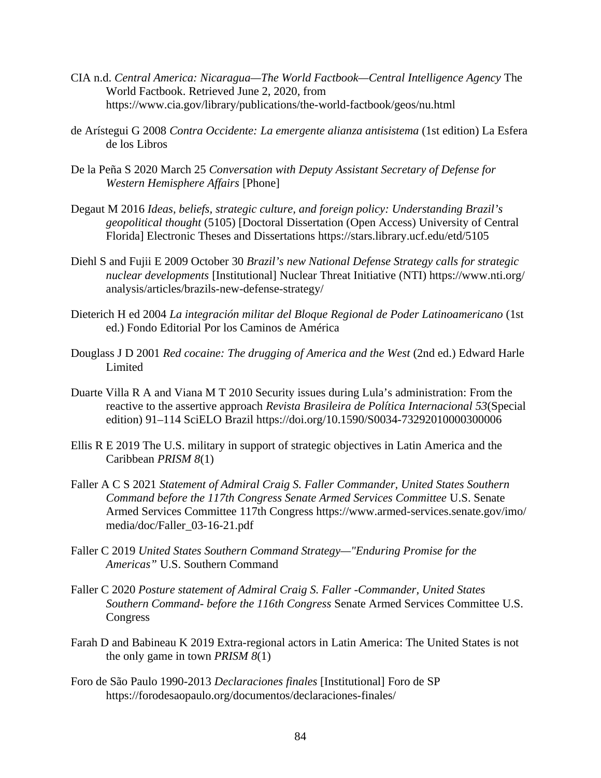- CIA n.d. *Central America: Nicaragua—The World Factbook—Central Intelligence Agency* The World Factbook. Retrieved June 2, 2020, from https://www.cia.gov/library/publications/the-world-factbook/geos/nu.html
- de Arístegui G 2008 *Contra Occidente: La emergente alianza antisistema* (1st edition) La Esfera de los Libros
- De la Peña S 2020 March 25 *Conversation with Deputy Assistant Secretary of Defense for Western Hemisphere Affairs* [Phone]
- Degaut M 2016 *Ideas, beliefs, strategic culture, and foreign policy: Understanding Brazil's geopolitical thought* (5105) [Doctoral Dissertation (Open Access) University of Central Florida] Electronic Theses and Dissertations https://stars.library.ucf.edu/etd/5105
- Diehl S and Fujii E 2009 October 30 *Brazil's new National Defense Strategy calls for strategic nuclear developments* [Institutional] Nuclear Threat Initiative (NTI) https://www.nti.org/ analysis/articles/brazils-new-defense-strategy/
- Dieterich H ed 2004 *La integración militar del Bloque Regional de Poder Latinoamericano* (1st ed.) Fondo Editorial Por los Caminos de América
- Douglass J D 2001 *Red cocaine: The drugging of America and the West* (2nd ed.) Edward Harle Limited
- Duarte Villa R A and Viana M T 2010 Security issues during Lula's administration: From the reactive to the assertive approach *Revista Brasileira de Política Internacional 53*(Special edition) 91–114 SciELO Brazil https://doi.org/10.1590/S0034-73292010000300006
- Ellis R E 2019 The U.S. military in support of strategic objectives in Latin America and the Caribbean *PRISM 8*(1)
- Faller A C S 2021 *Statement of Admiral Craig S. Faller Commander, United States Southern Command before the 117th Congress Senate Armed Services Committee* U.S. Senate Armed Services Committee 117th Congress https://www.armed-services.senate.gov/imo/ media/doc/Faller\_03-16-21.pdf
- Faller C 2019 *United States Southern Command Strategy—"Enduring Promise for the Americas"* U.S. Southern Command
- Faller C 2020 *Posture statement of Admiral Craig S. Faller -Commander, United States Southern Command- before the 116th Congress* Senate Armed Services Committee U.S. **Congress**
- Farah D and Babineau K 2019 Extra-regional actors in Latin America: The United States is not the only game in town *PRISM 8*(1)
- Foro de São Paulo 1990-2013 *Declaraciones finales* [Institutional] Foro de SP https://forodesaopaulo.org/documentos/declaraciones-finales/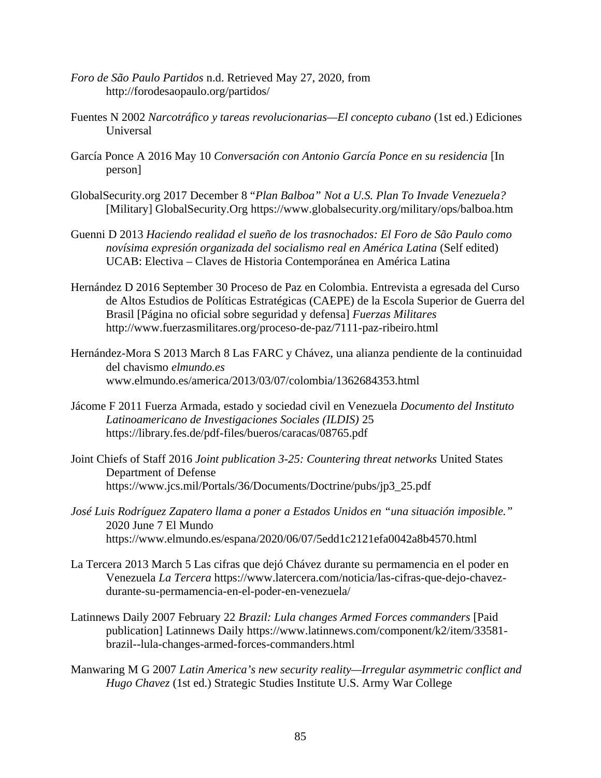- *Foro de São Paulo Partidos* n.d. Retrieved May 27, 2020, from http://forodesaopaulo.org/partidos/
- Fuentes N 2002 *Narcotráfico y tareas revolucionarias—El concepto cubano* (1st ed.) Ediciones Universal
- García Ponce A 2016 May 10 *Conversación con Antonio García Ponce en su residencia* [In person]
- GlobalSecurity.org 2017 December 8 "*Plan Balboa" Not a U.S. Plan To Invade Venezuela?* [Military] GlobalSecurity.Org https://www.globalsecurity.org/military/ops/balboa.htm
- Guenni D 2013 *Haciendo realidad el sueño de los trasnochados: El Foro de São Paulo como novísima expresión organizada del socialismo real en América Latina* (Self edited) UCAB: Electiva – Claves de Historia Contemporánea en América Latina
- Hernández D 2016 September 30 Proceso de Paz en Colombia. Entrevista a egresada del Curso de Altos Estudios de Políticas Estratégicas (CAEPE) de la Escola Superior de Guerra del Brasil [Página no oficial sobre seguridad y defensa] *Fuerzas Militares* http://www.fuerzasmilitares.org/proceso-de-paz/7111-paz-ribeiro.html
- Hernández-Mora S 2013 March 8 Las FARC y Chávez, una alianza pendiente de la continuidad del chavismo *elmundo.es* www.elmundo.es/america/2013/03/07/colombia/1362684353.html
- Jácome F 2011 Fuerza Armada, estado y sociedad civil en Venezuela *Documento del Instituto Latinoamericano de Investigaciones Sociales (ILDIS)* 25 https://library.fes.de/pdf-files/bueros/caracas/08765.pdf
- Joint Chiefs of Staff 2016 *Joint publication 3-25: Countering threat networks* United States Department of Defense https://www.jcs.mil/Portals/36/Documents/Doctrine/pubs/jp3\_25.pdf
- *José Luis Rodríguez Zapatero llama a poner a Estados Unidos en "una situación imposible."* 2020 June 7 El Mundo https://www.elmundo.es/espana/2020/06/07/5edd1c2121efa0042a8b4570.html
- La Tercera 2013 March 5 Las cifras que dejó Chávez durante su permamencia en el poder en Venezuela *La Tercera* https://www.latercera.com/noticia/las-cifras-que-dejo-chavezdurante-su-permamencia-en-el-poder-en-venezuela/
- Latinnews Daily 2007 February 22 *Brazil: Lula changes Armed Forces commanders* [Paid publication] Latinnews Daily https://www.latinnews.com/component/k2/item/33581 brazil--lula-changes-armed-forces-commanders.html
- Manwaring M G 2007 *Latin America's new security reality—Irregular asymmetric conflict and Hugo Chavez* (1st ed.) Strategic Studies Institute U.S. Army War College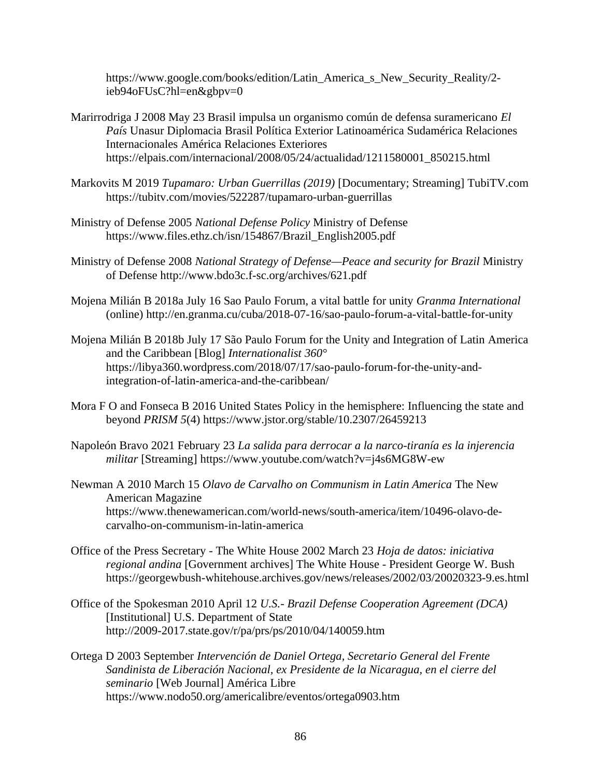https://www.google.com/books/edition/Latin\_America\_s\_New\_Security\_Reality/2 ieb94oFUsC?hl=en&gbpv=0

- Marirrodriga J 2008 May 23 Brasil impulsa un organismo común de defensa suramericano *El País* Unasur Diplomacia Brasil Política Exterior Latinoamérica Sudamérica Relaciones Internacionales América Relaciones Exteriores https://elpais.com/internacional/2008/05/24/actualidad/1211580001\_850215.html
- Markovits M 2019 *Tupamaro: Urban Guerrillas (2019)* [Documentary; Streaming] TubiTV.com https://tubitv.com/movies/522287/tupamaro-urban-guerrillas
- Ministry of Defense 2005 *National Defense Policy* Ministry of Defense https://www.files.ethz.ch/isn/154867/Brazil\_English2005.pdf
- Ministry of Defense 2008 *National Strategy of Defense—Peace and security for Brazil* Ministry of Defense http://www.bdo3c.f-sc.org/archives/621.pdf
- Mojena Milián B 2018a July 16 Sao Paulo Forum, a vital battle for unity *Granma International* (online) http://en.granma.cu/cuba/2018-07-16/sao-paulo-forum-a-vital-battle-for-unity
- Mojena Milián B 2018b July 17 São Paulo Forum for the Unity and Integration of Latin America and the Caribbean [Blog] *Internationalist 360°* https://libya360.wordpress.com/2018/07/17/sao-paulo-forum-for-the-unity-andintegration-of-latin-america-and-the-caribbean/
- Mora F O and Fonseca B 2016 United States Policy in the hemisphere: Influencing the state and beyond *PRISM 5*(4) https://www.jstor.org/stable/10.2307/26459213
- Napoleón Bravo 2021 February 23 *La salida para derrocar a la narco-tiranía es la injerencia militar* [Streaming] https://www.youtube.com/watch?v=j4s6MG8W-ew
- Newman A 2010 March 15 *Olavo de Carvalho on Communism in Latin America* The New American Magazine https://www.thenewamerican.com/world-news/south-america/item/10496-olavo-decarvalho-on-communism-in-latin-america
- Office of the Press Secretary The White House 2002 March 23 *Hoja de datos: iniciativa regional andina* [Government archives] The White House - President George W. Bush https://georgewbush-whitehouse.archives.gov/news/releases/2002/03/20020323-9.es.html
- Office of the Spokesman 2010 April 12 *U.S.- Brazil Defense Cooperation Agreement (DCA)* [Institutional] U.S. Department of State http://2009-2017.state.gov/r/pa/prs/ps/2010/04/140059.htm
- Ortega D 2003 September *Intervención de Daniel Ortega, Secretario General del Frente Sandinista de Liberación Nacional, ex Presidente de la Nicaragua, en el cierre del seminario* [Web Journal] América Libre https://www.nodo50.org/americalibre/eventos/ortega0903.htm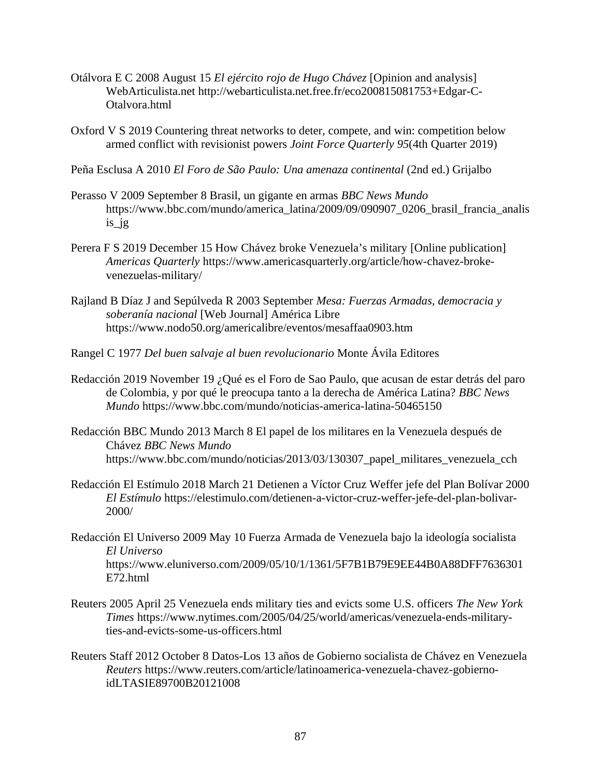- Otálvora E C 2008 August 15 *El ejército rojo de Hugo Chávez* [Opinion and analysis] WebArticulista.net http://webarticulista.net.free.fr/eco200815081753+Edgar-C-Otalvora.html
- Oxford V S 2019 Countering threat networks to deter, compete, and win: competition below armed conflict with revisionist powers *Joint Force Quarterly 95*(4th Quarter 2019)
- Peña Esclusa A 2010 *El Foro de São Paulo: Una amenaza continental* (2nd ed.) Grijalbo
- Perasso V 2009 September 8 Brasil, un gigante en armas *BBC News Mundo* https://www.bbc.com/mundo/america\_latina/2009/09/090907\_0206\_brasil\_francia\_analis is\_jg
- Perera F S 2019 December 15 How Chávez broke Venezuela's military [Online publication] *Americas Quarterly* https://www.americasquarterly.org/article/how-chavez-brokevenezuelas-military/
- Rajland B Díaz J and Sepúlveda R 2003 September *Mesa: Fuerzas Armadas, democracia y soberanía nacional* [Web Journal] América Libre https://www.nodo50.org/americalibre/eventos/mesaffaa0903.htm
- Rangel C 1977 *Del buen salvaje al buen revolucionario* Monte Ávila Editores
- Redacción 2019 November 19 ¿Qué es el Foro de Sao Paulo, que acusan de estar detrás del paro de Colombia, y por qué le preocupa tanto a la derecha de América Latina? *BBC News Mundo* https://www.bbc.com/mundo/noticias-america-latina-50465150
- Redacción BBC Mundo 2013 March 8 El papel de los militares en la Venezuela después de Chávez *BBC News Mundo* https://www.bbc.com/mundo/noticias/2013/03/130307\_papel\_militares\_venezuela\_cch
- Redacción El Estímulo 2018 March 21 Detienen a Víctor Cruz Weffer jefe del Plan Bolívar 2000 *El Estímulo* https://elestimulo.com/detienen-a-victor-cruz-weffer-jefe-del-plan-bolivar-2000/
- Redacción El Universo 2009 May 10 Fuerza Armada de Venezuela bajo la ideología socialista *El Universo* https://www.eluniverso.com/2009/05/10/1/1361/5F7B1B79E9EE44B0A88DFF7636301 E72.html
- Reuters 2005 April 25 Venezuela ends military ties and evicts some U.S. officers *The New York Times* https://www.nytimes.com/2005/04/25/world/americas/venezuela-ends-militaryties-and-evicts-some-us-officers.html
- Reuters Staff 2012 October 8 Datos-Los 13 años de Gobierno socialista de Chávez en Venezuela *Reuters* https://www.reuters.com/article/latinoamerica-venezuela-chavez-gobiernoidLTASIE89700B20121008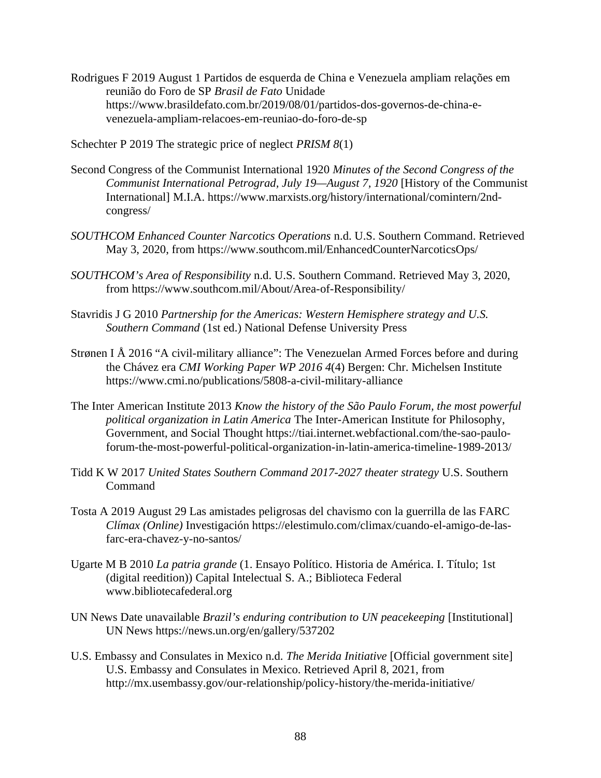Rodrigues F 2019 August 1 Partidos de esquerda de China e Venezuela ampliam relações em reunião do Foro de SP *Brasil de Fato* Unidade https://www.brasildefato.com.br/2019/08/01/partidos-dos-governos-de-china-evenezuela-ampliam-relacoes-em-reuniao-do-foro-de-sp

Schechter P 2019 The strategic price of neglect *PRISM 8*(1)

- Second Congress of the Communist International 1920 *Minutes of the Second Congress of the Communist International Petrograd, July 19—August 7, 1920* [History of the Communist International] M.I.A. https://www.marxists.org/history/international/comintern/2ndcongress/
- *SOUTHCOM Enhanced Counter Narcotics Operations* n.d. U.S. Southern Command. Retrieved May 3, 2020, from https://www.southcom.mil/EnhancedCounterNarcoticsOps/
- *SOUTHCOM's Area of Responsibility* n.d. U.S. Southern Command. Retrieved May 3, 2020, from https://www.southcom.mil/About/Area-of-Responsibility/
- Stavridis J G 2010 *Partnership for the Americas: Western Hemisphere strategy and U.S. Southern Command* (1st ed.) National Defense University Press
- Strønen I Å 2016 "A civil-military alliance": The Venezuelan Armed Forces before and during the Chávez era *CMI Working Paper WP 2016 4*(4) Bergen: Chr. Michelsen Institute https://www.cmi.no/publications/5808-a-civil-military-alliance
- The Inter American Institute 2013 *Know the history of the São Paulo Forum, the most powerful political organization in Latin America* The Inter-American Institute for Philosophy, Government, and Social Thought https://tiai.internet.webfactional.com/the-sao-pauloforum-the-most-powerful-political-organization-in-latin-america-timeline-1989-2013/
- Tidd K W 2017 *United States Southern Command 2017-2027 theater strategy* U.S. Southern Command
- Tosta A 2019 August 29 Las amistades peligrosas del chavismo con la guerrilla de las FARC *Clímax (Online)* Investigación https://elestimulo.com/climax/cuando-el-amigo-de-lasfarc-era-chavez-y-no-santos/
- Ugarte M B 2010 *La patria grande* (1. Ensayo Político. Historia de América. I. Título; 1st (digital reedition)) Capital Intelectual S. A.; Biblioteca Federal www.bibliotecafederal.org
- UN News Date unavailable *Brazil's enduring contribution to UN peacekeeping* [Institutional] UN News https://news.un.org/en/gallery/537202
- U.S. Embassy and Consulates in Mexico n.d. *The Merida Initiative* [Official government site] U.S. Embassy and Consulates in Mexico. Retrieved April 8, 2021, from http://mx.usembassy.gov/our-relationship/policy-history/the-merida-initiative/